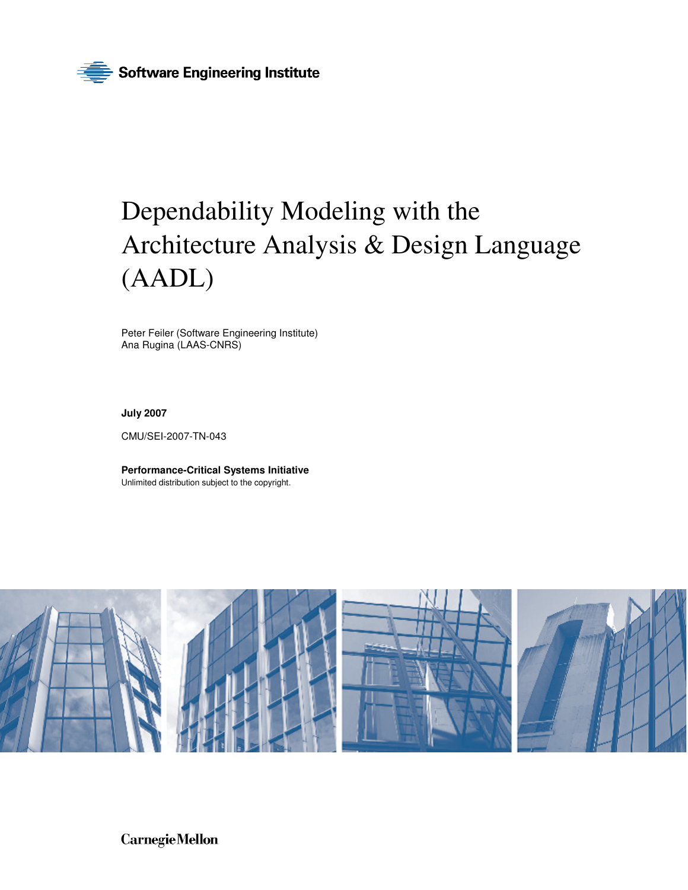

# Dependability Modeling with the Architecture Analysis & Design Language (AADL)

Peter Feiler (Software Engineering Institute) Ana Rugina (LAAS-CNRS)

**July 2007** 

CMU/SEI-2007-TN-043

**Performance-Critical Systems Initiative**  Unlimited distribution subject to the copyright.

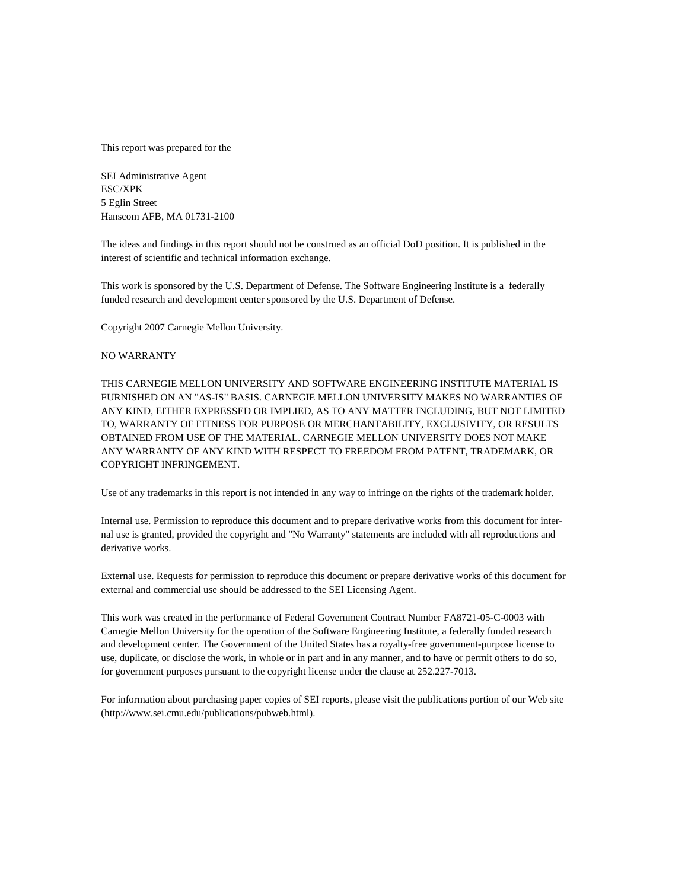This report was prepared for the

SEI Administrative Agent ESC/XPK 5 Eglin Street Hanscom AFB, MA 01731-2100

The ideas and findings in this report should not be construed as an official DoD position. It is published in the interest of scientific and technical information exchange.

This work is sponsored by the U.S. Department of Defense. The Software Engineering Institute is a federally funded research and development center sponsored by the U.S. Department of Defense.

Copyright 2007 Carnegie Mellon University.

#### NO WARRANTY

THIS CARNEGIE MELLON UNIVERSITY AND SOFTWARE ENGINEERING INSTITUTE MATERIAL IS FURNISHED ON AN "AS-IS" BASIS. CARNEGIE MELLON UNIVERSITY MAKES NO WARRANTIES OF ANY KIND, EITHER EXPRESSED OR IMPLIED, AS TO ANY MATTER INCLUDING, BUT NOT LIMITED TO, WARRANTY OF FITNESS FOR PURPOSE OR MERCHANTABILITY, EXCLUSIVITY, OR RESULTS OBTAINED FROM USE OF THE MATERIAL. CARNEGIE MELLON UNIVERSITY DOES NOT MAKE ANY WARRANTY OF ANY KIND WITH RESPECT TO FREEDOM FROM PATENT, TRADEMARK, OR COPYRIGHT INFRINGEMENT.

Use of any trademarks in this report is not intended in any way to infringe on the rights of the trademark holder.

Internal use. Permission to reproduce this document and to prepare derivative works from this document for internal use is granted, provided the copyright and "No Warranty" statements are included with all reproductions and derivative works.

External use. Requests for permission to reproduce this document or prepare derivative works of this document for external and commercial use should be addressed to the SEI Licensing Agent.

This work was created in the performance of Federal Government Contract Number FA8721-05-C-0003 with Carnegie Mellon University for the operation of the Software Engineering Institute, a federally funded research and development center. The Government of the United States has a royalty-free government-purpose license to use, duplicate, or disclose the work, in whole or in part and in any manner, and to have or permit others to do so, for government purposes pursuant to the copyright license under the clause at 252.227-7013.

For information about purchasing paper copies of SEI reports, please visit the publications portion of our Web site ([http://www.sei.cmu.edu/publications/pubweb.htm](http://www.sei.cmu.edu/publications/pubweb.html)l).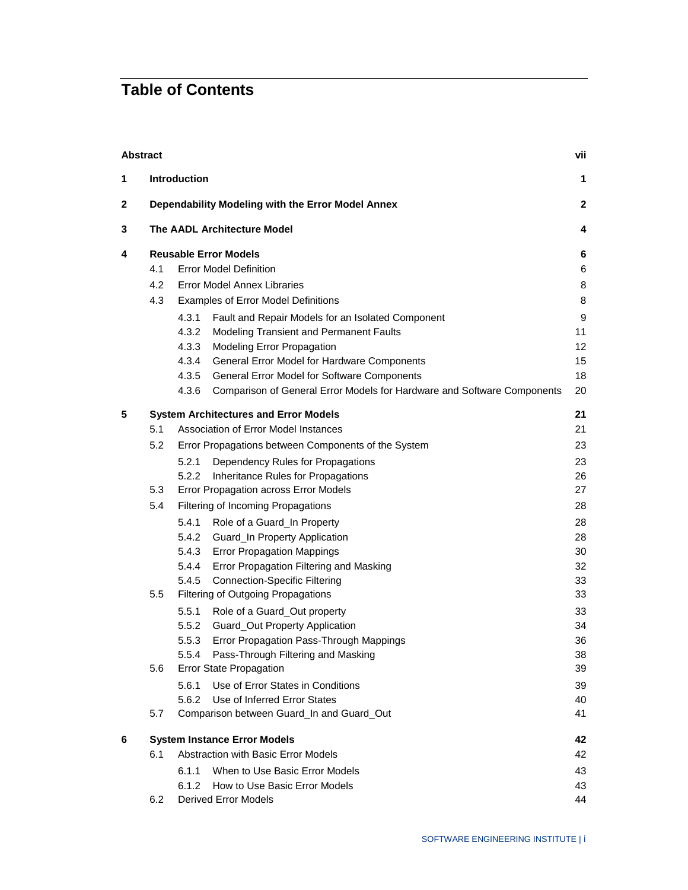# **Table of Contents**

| <b>Abstract</b> |                                           |              |                                                                         | vii              |
|-----------------|-------------------------------------------|--------------|-------------------------------------------------------------------------|------------------|
| 1               |                                           | Introduction |                                                                         | 1                |
| 2               |                                           |              | Dependability Modeling with the Error Model Annex                       | $\mathbf{2}$     |
| 3               |                                           |              | <b>The AADL Architecture Model</b>                                      | 4                |
| 4               |                                           |              | <b>Reusable Error Models</b>                                            | 6                |
|                 | 4.1                                       |              | <b>Error Model Definition</b>                                           | 6                |
|                 | 4.2                                       |              | <b>Error Model Annex Libraries</b>                                      | 8                |
|                 | 4.3                                       |              | Examples of Error Model Definitions                                     | 8                |
|                 |                                           | 4.3.1        | Fault and Repair Models for an Isolated Component                       | $\boldsymbol{9}$ |
|                 |                                           | 4.3.2        | Modeling Transient and Permanent Faults                                 | 11               |
|                 |                                           | 4.3.3        | Modeling Error Propagation                                              | 12               |
|                 |                                           | 4.3.4        | General Error Model for Hardware Components                             | 15               |
|                 |                                           | 4.3.5        | General Error Model for Software Components                             | 18               |
|                 |                                           | 4.3.6        | Comparison of General Error Models for Hardware and Software Components | 20               |
| 5               |                                           |              | <b>System Architectures and Error Models</b>                            | 21               |
|                 | 5.1                                       |              | Association of Error Model Instances                                    | 21               |
|                 | 5.2                                       |              | Error Propagations between Components of the System                     | 23               |
|                 |                                           | 5.2.1        | Dependency Rules for Propagations                                       | 23               |
|                 |                                           | 5.2.2        | Inheritance Rules for Propagations                                      | 26               |
|                 | 5.3                                       |              | Error Propagation across Error Models                                   | 27               |
|                 | 5.4                                       |              | Filtering of Incoming Propagations                                      | 28               |
|                 |                                           | 5.4.1        | Role of a Guard_In Property                                             | 28               |
|                 |                                           | 5.4.2        | Guard_In Property Application                                           | 28               |
|                 |                                           | 5.4.3        | <b>Error Propagation Mappings</b>                                       | 30               |
|                 |                                           | 5.4.4        | Error Propagation Filtering and Masking                                 | 32               |
|                 |                                           | 5.4.5        | <b>Connection-Specific Filtering</b>                                    | 33               |
|                 | 5.5                                       |              | Filtering of Outgoing Propagations                                      | 33               |
|                 |                                           | 5.5.1        | Role of a Guard_Out property                                            | 33               |
|                 |                                           | 5.5.2        | Guard_Out Property Application                                          | 34               |
|                 |                                           | 5.5.3        | Error Propagation Pass-Through Mappings                                 | 36               |
|                 |                                           |              | 5.5.4 Pass-Through Filtering and Masking                                | 38               |
|                 | 5.6                                       |              | <b>Error State Propagation</b>                                          | 39               |
|                 |                                           | 5.6.1        | Use of Error States in Conditions                                       | 39               |
|                 |                                           | 5.6.2        | Use of Inferred Error States                                            | 40               |
|                 | 5.7                                       |              | Comparison between Guard_In and Guard_Out                               | 41               |
| 6               | <b>System Instance Error Models</b><br>42 |              |                                                                         |                  |
|                 | 6.1                                       |              | Abstraction with Basic Error Models                                     | 42               |
|                 |                                           | 6.1.1        | When to Use Basic Error Models                                          | 43               |
|                 |                                           | 6.1.2        | How to Use Basic Error Models                                           | 43               |
|                 | 6.2                                       |              | <b>Derived Error Models</b>                                             | 44               |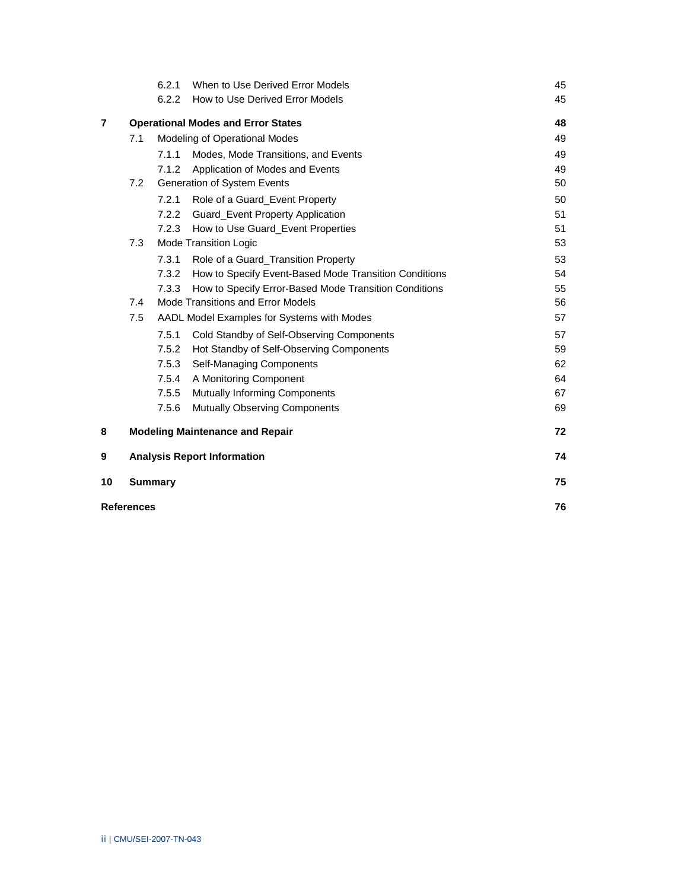|                |                         | 6.2.1          | When to Use Derived Error Models                      | 45 |
|----------------|-------------------------|----------------|-------------------------------------------------------|----|
|                |                         | 6.2.2          | How to Use Derived Error Models                       | 45 |
| $\overline{7}$ |                         |                | <b>Operational Modes and Error States</b>             | 48 |
|                | 7.1                     |                | Modeling of Operational Modes                         | 49 |
|                |                         | 7.1.1          | Modes, Mode Transitions, and Events                   | 49 |
|                |                         | 7.1.2          | Application of Modes and Events                       | 49 |
|                | 7.2                     |                | Generation of System Events                           | 50 |
|                |                         | 7.2.1          | Role of a Guard_Event Property                        | 50 |
|                |                         | 7.2.2          | <b>Guard_Event Property Application</b>               | 51 |
|                |                         | 7.2.3          | How to Use Guard Event Properties                     | 51 |
|                | 7.3                     |                | Mode Transition Logic                                 | 53 |
|                |                         | 7.3.1          | Role of a Guard_Transition Property                   | 53 |
|                |                         | 7.3.2          | How to Specify Event-Based Mode Transition Conditions | 54 |
|                |                         | 7.3.3          | How to Specify Error-Based Mode Transition Conditions | 55 |
|                | 7.4                     |                | Mode Transitions and Error Models                     | 56 |
|                | 7.5                     |                | AADL Model Examples for Systems with Modes            | 57 |
|                |                         | 7.5.1          | Cold Standby of Self-Observing Components             | 57 |
|                |                         | 7.5.2          | Hot Standby of Self-Observing Components              | 59 |
|                |                         | 7.5.3          | Self-Managing Components                              | 62 |
|                |                         | 7.5.4          | A Monitoring Component                                | 64 |
|                |                         | 7.5.5          | Mutually Informing Components                         | 67 |
|                |                         | 7.5.6          | Mutually Observing Components                         | 69 |
| 8              |                         |                | <b>Modeling Maintenance and Repair</b>                | 72 |
| 9              |                         |                | <b>Analysis Report Information</b>                    | 74 |
| 10             |                         | <b>Summary</b> |                                                       | 75 |
|                | <b>References</b><br>76 |                |                                                       |    |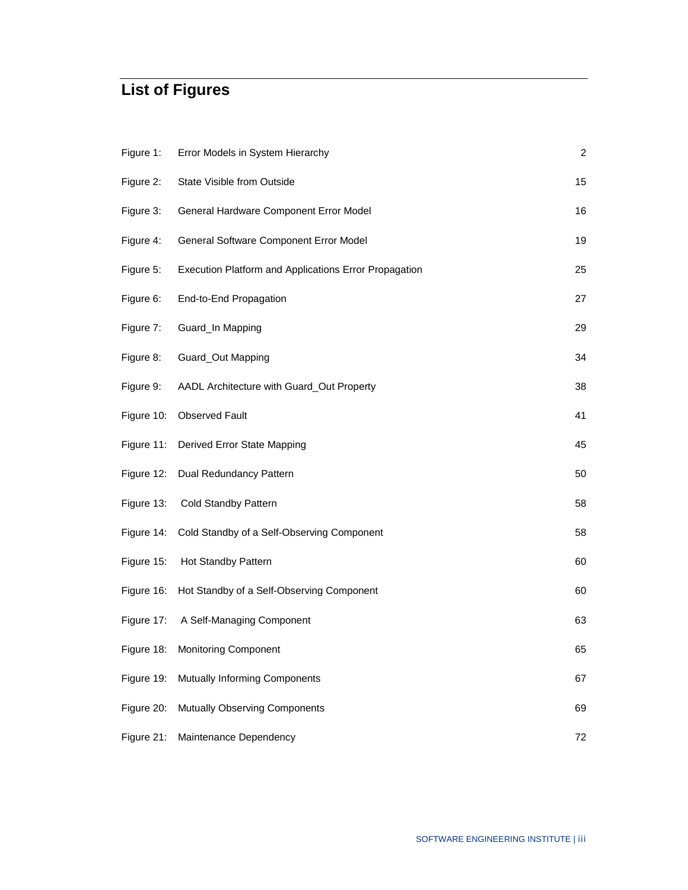# **List of Figures**

| Figure 1:  | Error Models in System Hierarchy                      | 2  |
|------------|-------------------------------------------------------|----|
| Figure 2:  | State Visible from Outside                            | 15 |
| Figure 3:  | General Hardware Component Error Model                | 16 |
| Figure 4:  | General Software Component Error Model                | 19 |
| Figure 5:  | Execution Platform and Applications Error Propagation | 25 |
| Figure 6:  | End-to-End Propagation                                | 27 |
| Figure 7:  | Guard_In Mapping                                      | 29 |
| Figure 8:  | Guard_Out Mapping                                     | 34 |
| Figure 9:  | AADL Architecture with Guard_Out Property             | 38 |
| Figure 10: | <b>Observed Fault</b>                                 | 41 |
| Figure 11: | Derived Error State Mapping                           | 45 |
| Figure 12: | Dual Redundancy Pattern                               | 50 |
| Figure 13: | <b>Cold Standby Pattern</b>                           | 58 |
| Figure 14: | Cold Standby of a Self-Observing Component            | 58 |
| Figure 15: | Hot Standby Pattern                                   | 60 |
| Figure 16: | Hot Standby of a Self-Observing Component             | 60 |
| Figure 17: | A Self-Managing Component                             | 63 |
|            | Figure 18: Monitoring Component                       | 65 |
| Figure 19: | Mutually Informing Components                         | 67 |
| Figure 20: | Mutually Observing Components                         | 69 |
| Figure 21: | Maintenance Dependency                                | 72 |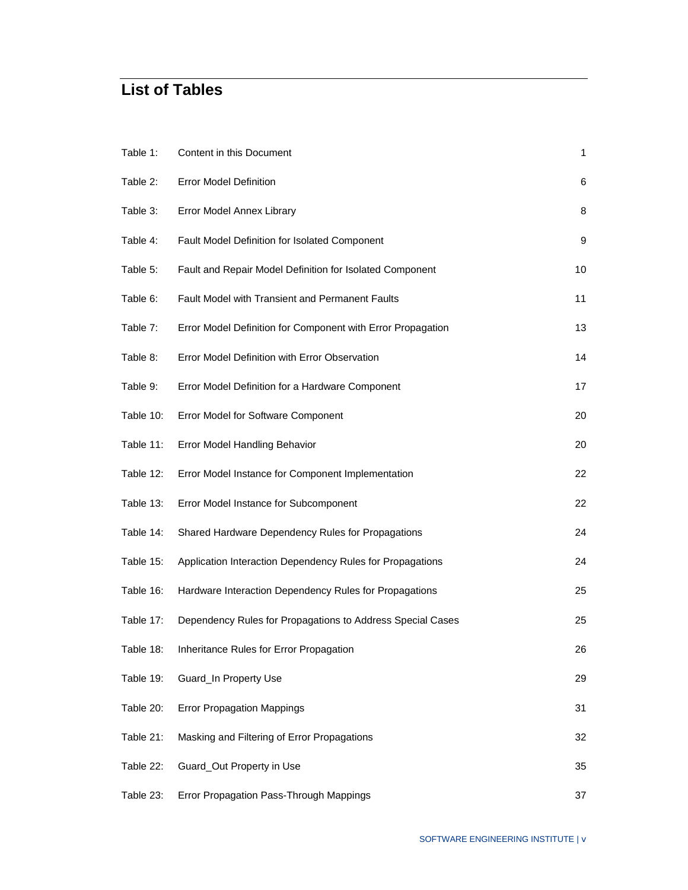# **List of Tables**

| Table 1:  | Content in this Document                                    | $\mathbf{1}$ |
|-----------|-------------------------------------------------------------|--------------|
| Table 2:  | <b>Error Model Definition</b>                               | 6            |
| Table 3:  | Error Model Annex Library                                   | 8            |
| Table 4:  | Fault Model Definition for Isolated Component               | 9            |
| Table 5:  | Fault and Repair Model Definition for Isolated Component    | 10           |
| Table 6:  | Fault Model with Transient and Permanent Faults             | 11           |
| Table 7:  | Error Model Definition for Component with Error Propagation | 13           |
| Table 8:  | Error Model Definition with Error Observation               | 14           |
| Table 9:  | Error Model Definition for a Hardware Component             | 17           |
| Table 10: | Error Model for Software Component                          | 20           |
| Table 11: | Error Model Handling Behavior                               | 20           |
| Table 12: | Error Model Instance for Component Implementation           | 22           |
| Table 13: | Error Model Instance for Subcomponent                       | 22           |
| Table 14: | Shared Hardware Dependency Rules for Propagations           | 24           |
| Table 15: | Application Interaction Dependency Rules for Propagations   | 24           |
| Table 16: | Hardware Interaction Dependency Rules for Propagations      | 25           |
| Table 17: | Dependency Rules for Propagations to Address Special Cases  | 25           |
| Table 18: | Inheritance Rules for Error Propagation                     | 26           |
| Table 19: | Guard_In Property Use                                       | 29           |
| Table 20: | <b>Error Propagation Mappings</b>                           | 31           |
| Table 21: | Masking and Filtering of Error Propagations                 | 32           |
| Table 22: | Guard_Out Property in Use                                   | 35           |
| Table 23: | Error Propagation Pass-Through Mappings                     | 37           |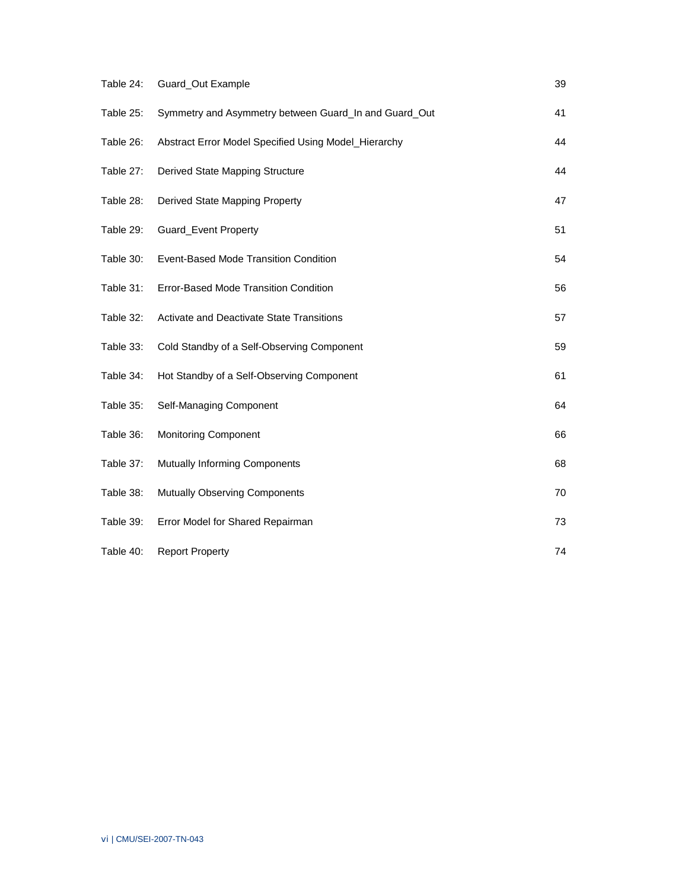| Table 24: | Guard_Out Example                                     | 39 |
|-----------|-------------------------------------------------------|----|
| Table 25: | Symmetry and Asymmetry between Guard_In and Guard_Out | 41 |
| Table 26: | Abstract Error Model Specified Using Model_Hierarchy  | 44 |
| Table 27: | Derived State Mapping Structure                       | 44 |
| Table 28: | Derived State Mapping Property                        | 47 |
| Table 29: | Guard_Event Property                                  | 51 |
| Table 30: | Event-Based Mode Transition Condition                 | 54 |
| Table 31: | Error-Based Mode Transition Condition                 | 56 |
| Table 32: | Activate and Deactivate State Transitions             | 57 |
| Table 33: | Cold Standby of a Self-Observing Component            | 59 |
| Table 34: | Hot Standby of a Self-Observing Component             | 61 |
| Table 35: | Self-Managing Component                               | 64 |
| Table 36: | <b>Monitoring Component</b>                           | 66 |
| Table 37: | Mutually Informing Components                         | 68 |
| Table 38: | <b>Mutually Observing Components</b>                  | 70 |
| Table 39: | Error Model for Shared Repairman                      | 73 |
| Table 40: | <b>Report Property</b>                                | 74 |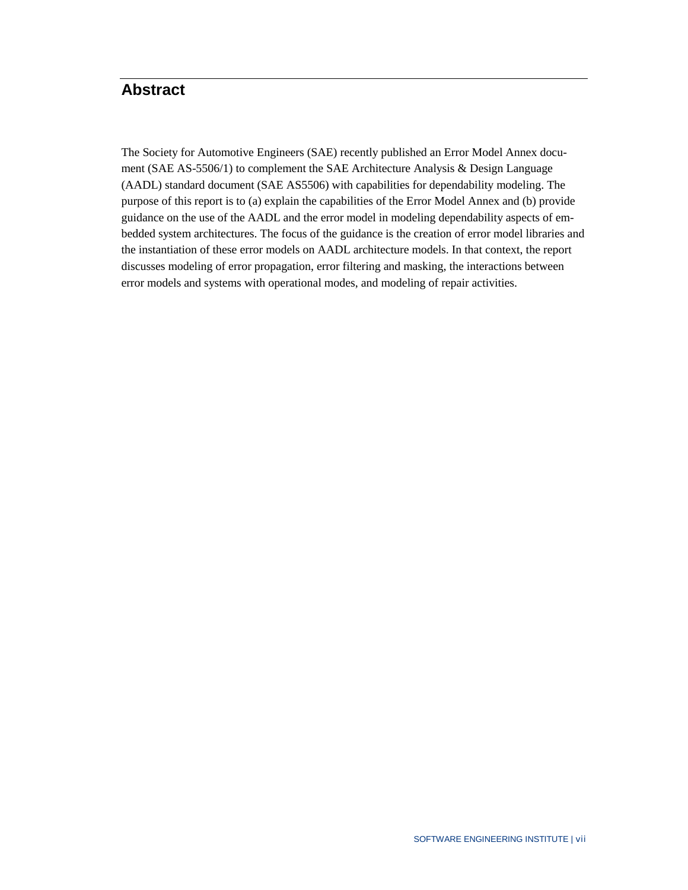# **Abstract**

The Society for Automotive Engineers (SAE) recently published an Error Model Annex document (SAE AS-5506/1) to complement the SAE Architecture Analysis & Design Language (AADL) standard document (SAE AS5506) with capabilities for dependability modeling. The purpose of this report is to (a) explain the capabilities of the Error Model Annex and (b) provide guidance on the use of the AADL and the error model in modeling dependability aspects of embedded system architectures. The focus of the guidance is the creation of error model libraries and the instantiation of these error models on AADL architecture models. In that context, the report discusses modeling of error propagation, error filtering and masking, the interactions between error models and systems with operational modes, and modeling of repair activities.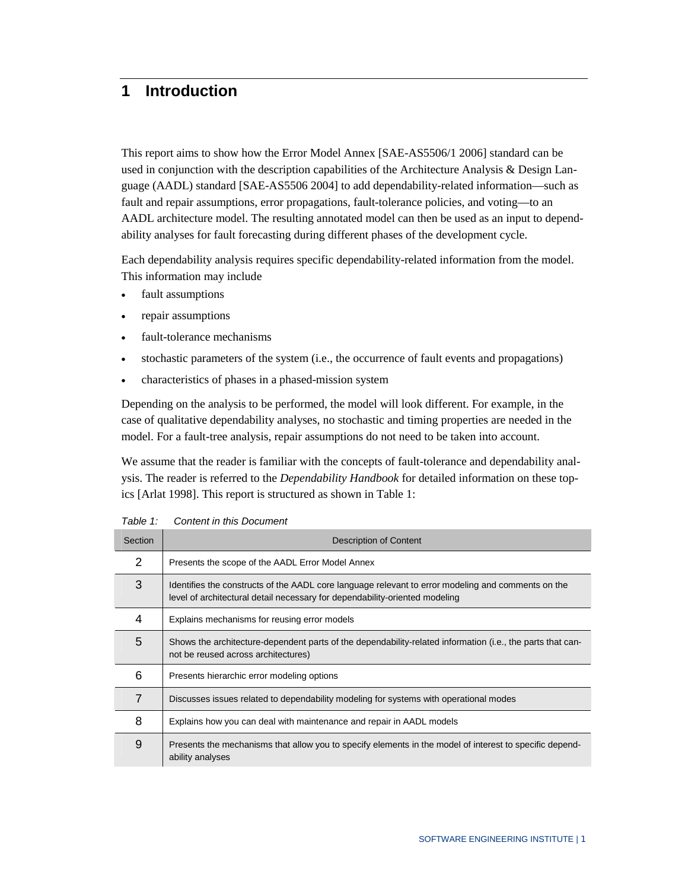### **1 Introduction**

This report aims to show how the Error Model Annex [SAE-AS5506/1 2006] standard can be used in conjunction with the description capabilities of the Architecture Analysis & Design Language (AADL) standard [SAE-AS5506 2004] to add dependability-related information—such as fault and repair assumptions, error propagations, fault-tolerance policies, and voting—to an AADL architecture model. The resulting annotated model can then be used as an input to dependability analyses for fault forecasting during different phases of the development cycle.

Each dependability analysis requires specific dependability-related information from the model. This information may include

- fault assumptions
- repair assumptions
- fault-tolerance mechanisms
- stochastic parameters of the system (i.e., the occurrence of fault events and propagations)
- characteristics of phases in a phased-mission system

Depending on the analysis to be performed, the model will look different. For example, in the case of qualitative dependability analyses, no stochastic and timing properties are needed in the model. For a fault-tree analysis, repair assumptions do not need to be taken into account.

We assume that the reader is familiar with the concepts of fault-tolerance and dependability analysis. The reader is referred to the *Dependability Handbook* for detailed information on these topics [Arlat 1998]. This report is structured as shown in Table 1:

| Section        | Description of Content                                                                                                                                                            |
|----------------|-----------------------------------------------------------------------------------------------------------------------------------------------------------------------------------|
| $\overline{2}$ | Presents the scope of the AADL Error Model Annex                                                                                                                                  |
| 3              | Identifies the constructs of the AADL core language relevant to error modeling and comments on the<br>level of architectural detail necessary for dependability-oriented modeling |
| 4              | Explains mechanisms for reusing error models                                                                                                                                      |
| 5              | Shows the architecture-dependent parts of the dependability-related information (i.e., the parts that can-<br>not be reused across architectures)                                 |
| 6              | Presents hierarchic error modeling options                                                                                                                                        |
| 7              | Discusses issues related to dependability modeling for systems with operational modes                                                                                             |
| 8              | Explains how you can deal with maintenance and repair in AADL models                                                                                                              |
| 9              | Presents the mechanisms that allow you to specify elements in the model of interest to specific depend-<br>ability analyses                                                       |

*Table 1: Content in this Document*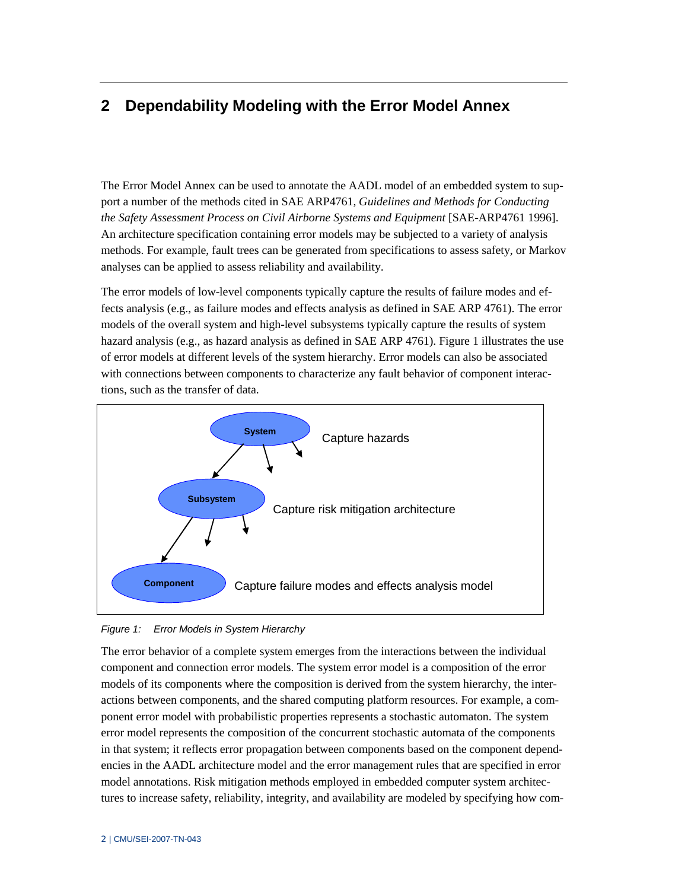### **2 Dependability Modeling with the Error Model Annex**

The Error Model Annex can be used to annotate the AADL model of an embedded system to support a number of the methods cited in SAE ARP4761, *Guidelines and Methods for Conducting the Safety Assessment Process on Civil Airborne Systems and Equipment* [SAE-ARP4761 1996]. An architecture specification containing error models may be subjected to a variety of analysis methods. For example, fault trees can be generated from specifications to assess safety, or Markov analyses can be applied to assess reliability and availability.

The error models of low-level components typically capture the results of failure modes and effects analysis (e.g., as failure modes and effects analysis as defined in SAE ARP 4761). The error models of the overall system and high-level subsystems typically capture the results of system hazard analysis (e.g., as hazard analysis as defined in SAE ARP 4761). Figure 1 illustrates the use of error models at different levels of the system hierarchy. Error models can also be associated with connections between components to characterize any fault behavior of component interactions, such as the transfer of data.



*Figure 1: Error Models in System Hierarchy* 

The error behavior of a complete system emerges from the interactions between the individual component and connection error models. The system error model is a composition of the error models of its components where the composition is derived from the system hierarchy, the interactions between components, and the shared computing platform resources. For example, a component error model with probabilistic properties represents a stochastic automaton. The system error model represents the composition of the concurrent stochastic automata of the components in that system; it reflects error propagation between components based on the component dependencies in the AADL architecture model and the error management rules that are specified in error model annotations. Risk mitigation methods employed in embedded computer system architectures to increase safety, reliability, integrity, and availability are modeled by specifying how com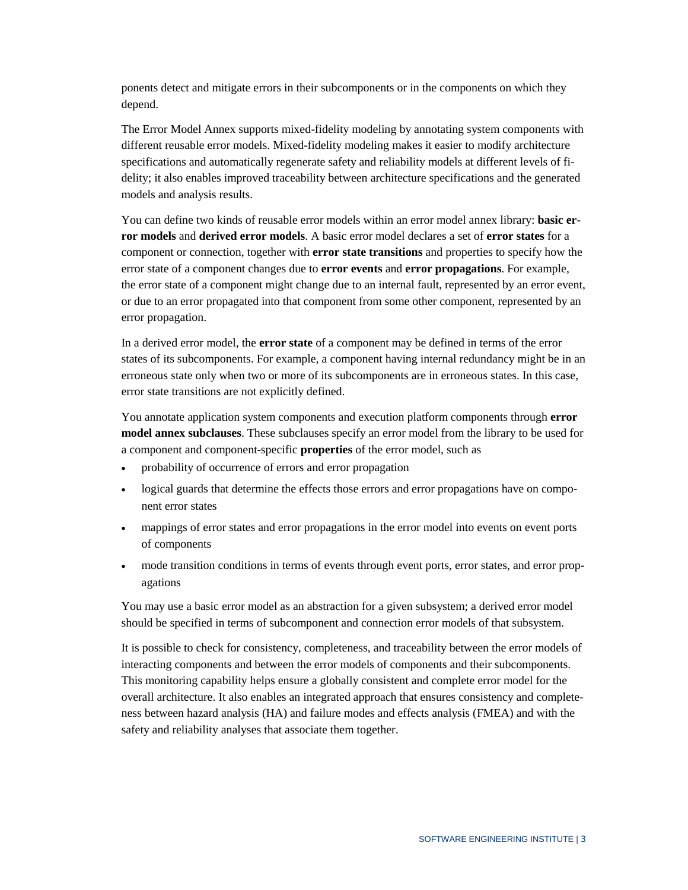ponents detect and mitigate errors in their subcomponents or in the components on which they depend.

The Error Model Annex supports mixed-fidelity modeling by annotating system components with different reusable error models. Mixed-fidelity modeling makes it easier to modify architecture specifications and automatically regenerate safety and reliability models at different levels of fidelity; it also enables improved traceability between architecture specifications and the generated models and analysis results.

You can define two kinds of reusable error models within an error model annex library: **basic error models** and **derived error models**. A basic error model declares a set of **error states** for a component or connection, together with **error state transitions** and properties to specify how the error state of a component changes due to **error events** and **error propagations**. For example, the error state of a component might change due to an internal fault, represented by an error event, or due to an error propagated into that component from some other component, represented by an error propagation.

In a derived error model, the **error state** of a component may be defined in terms of the error states of its subcomponents. For example, a component having internal redundancy might be in an erroneous state only when two or more of its subcomponents are in erroneous states. In this case, error state transitions are not explicitly defined.

You annotate application system components and execution platform components through **error model annex subclauses**. These subclauses specify an error model from the library to be used for a component and component-specific **properties** of the error model, such as

- probability of occurrence of errors and error propagation
- logical guards that determine the effects those errors and error propagations have on component error states
- mappings of error states and error propagations in the error model into events on event ports of components
- mode transition conditions in terms of events through event ports, error states, and error propagations

You may use a basic error model as an abstraction for a given subsystem; a derived error model should be specified in terms of subcomponent and connection error models of that subsystem.

It is possible to check for consistency, completeness, and traceability between the error models of interacting components and between the error models of components and their subcomponents. This monitoring capability helps ensure a globally consistent and complete error model for the overall architecture. It also enables an integrated approach that ensures consistency and completeness between hazard analysis (HA) and failure modes and effects analysis (FMEA) and with the safety and reliability analyses that associate them together.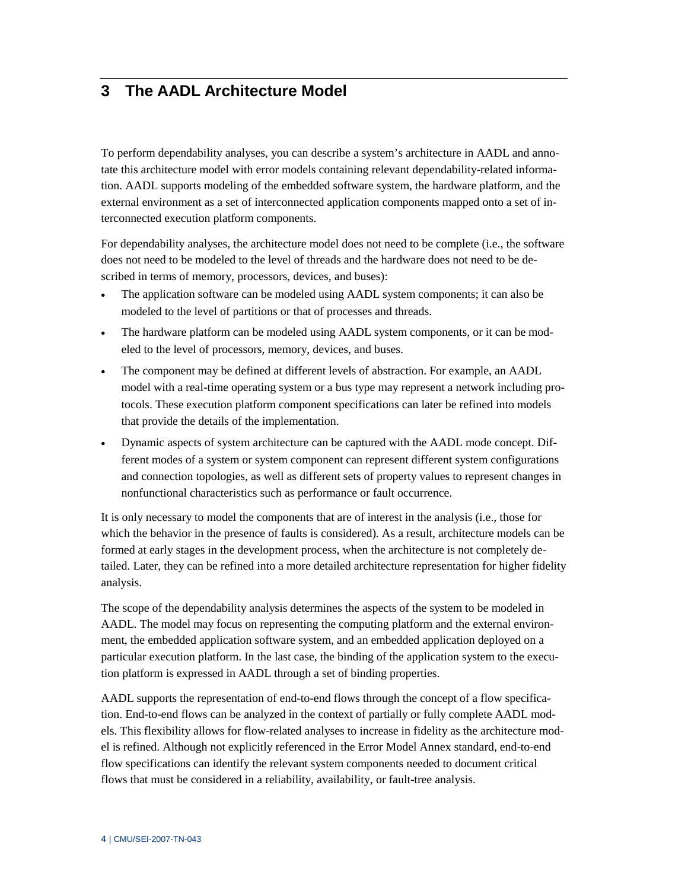# **3 The AADL Architecture Model**

To perform dependability analyses, you can describe a system's architecture in AADL and annotate this architecture model with error models containing relevant dependability-related information. AADL supports modeling of the embedded software system, the hardware platform, and the external environment as a set of interconnected application components mapped onto a set of interconnected execution platform components.

For dependability analyses, the architecture model does not need to be complete (i.e., the software does not need to be modeled to the level of threads and the hardware does not need to be described in terms of memory, processors, devices, and buses):

- The application software can be modeled using AADL system components; it can also be modeled to the level of partitions or that of processes and threads.
- The hardware platform can be modeled using AADL system components, or it can be modeled to the level of processors, memory, devices, and buses.
- The component may be defined at different levels of abstraction. For example, an AADL model with a real-time operating system or a bus type may represent a network including protocols. These execution platform component specifications can later be refined into models that provide the details of the implementation.
- Dynamic aspects of system architecture can be captured with the AADL mode concept. Different modes of a system or system component can represent different system configurations and connection topologies, as well as different sets of property values to represent changes in nonfunctional characteristics such as performance or fault occurrence.

It is only necessary to model the components that are of interest in the analysis (i.e., those for which the behavior in the presence of faults is considered). As a result, architecture models can be formed at early stages in the development process, when the architecture is not completely detailed. Later, they can be refined into a more detailed architecture representation for higher fidelity analysis.

The scope of the dependability analysis determines the aspects of the system to be modeled in AADL. The model may focus on representing the computing platform and the external environment, the embedded application software system, and an embedded application deployed on a particular execution platform. In the last case, the binding of the application system to the execution platform is expressed in AADL through a set of binding properties.

AADL supports the representation of end-to-end flows through the concept of a flow specification. End-to-end flows can be analyzed in the context of partially or fully complete AADL models. This flexibility allows for flow-related analyses to increase in fidelity as the architecture model is refined. Although not explicitly referenced in the Error Model Annex standard, end-to-end flow specifications can identify the relevant system components needed to document critical flows that must be considered in a reliability, availability, or fault-tree analysis.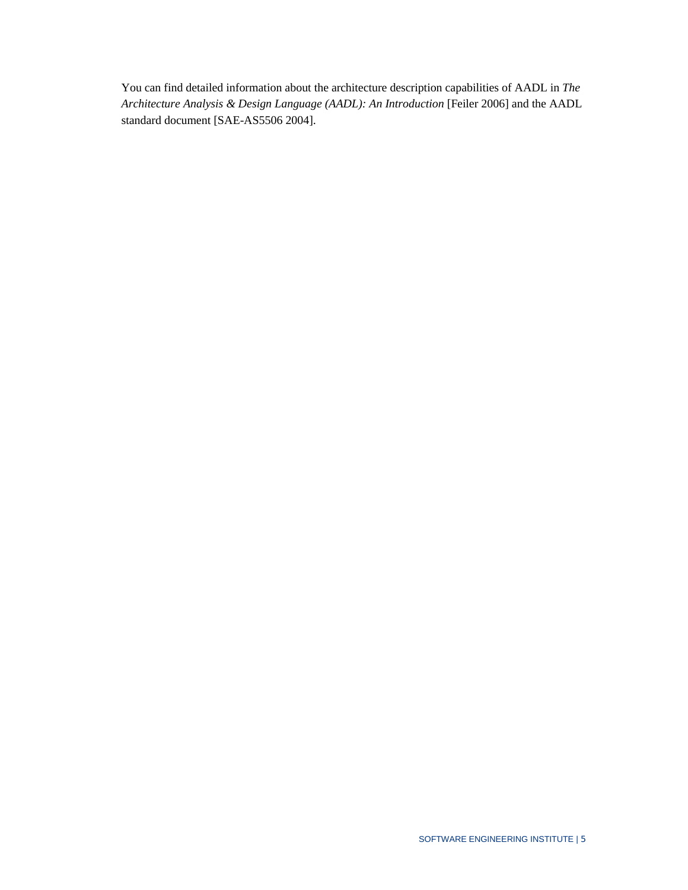You can find detailed information about the architecture description capabilities of AADL in *The Architecture Analysis & Design Language (AADL): An Introduction* [Feiler 2006] and the AADL standard document [SAE-AS5506 2004].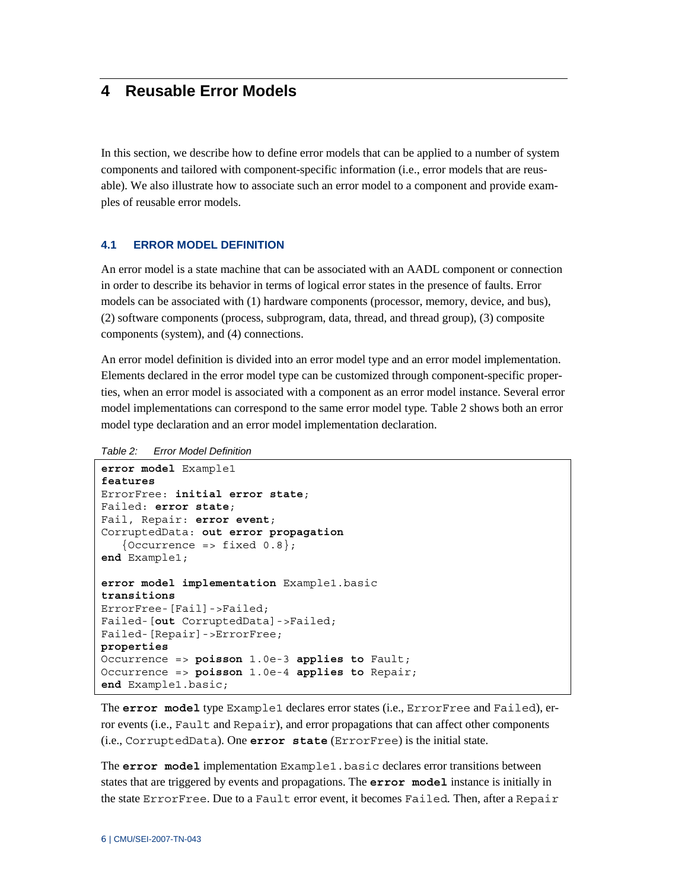### **4 Reusable Error Models**

In this section, we describe how to define error models that can be applied to a number of system components and tailored with component-specific information (i.e., error models that are reusable). We also illustrate how to associate such an error model to a component and provide examples of reusable error models.

#### **4.1 ERROR MODEL DEFINITION**

An error model is a state machine that can be associated with an AADL component or connection in order to describe its behavior in terms of logical error states in the presence of faults. Error models can be associated with (1) hardware components (processor, memory, device, and bus), (2) software components (process, subprogram, data, thread, and thread group), (3) composite components (system), and (4) connections.

An error model definition is divided into an error model type and an error model implementation. Elements declared in the error model type can be customized through component-specific properties, when an error model is associated with a component as an error model instance. Several error model implementations can correspond to the same error model type*.* Table 2 shows both an error model type declaration and an error model implementation declaration.

*Table 2: Error Model Definition* 

```
error model Example1 
features 
ErrorFree: initial error state; 
Failed: error state; 
Fail, Repair: error event; 
CorruptedData: out error propagation
   {Occurrence => fixed 0.8};
end Example1; 
error model implementation Example1.basic 
transitions 
ErrorFree-[Fail]->Failed; 
Failed-[out CorruptedData]->Failed; 
Failed-[Repair]->ErrorFree; 
properties 
Occurrence => poisson 1.0e-3 applies to Fault; 
Occurrence => poisson 1.0e-4 applies to Repair; 
end Example1.basic;
```
The **error model** type Example1 declares error states (i.e., ErrorFree and Failed), error events (i.e., Fault and Repair), and error propagations that can affect other components (i.e., CorruptedData). One **error state** (ErrorFree) is the initial state.

The **error model** implementation Example1.basic declares error transitions between states that are triggered by events and propagations. The **error model** instance is initially in the state ErrorFree. Due to a Fault error event, it becomes Failed*.* Then, after a Repair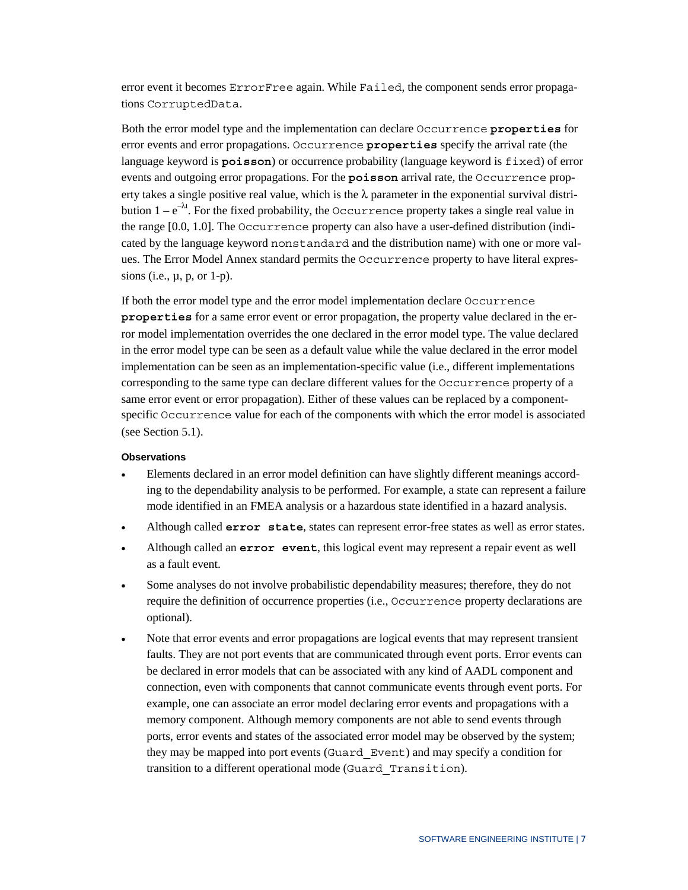error event it becomes ErrorFree again. While Failed, the component sends error propagations CorruptedData.

Both the error model type and the implementation can declare Occurrence **properties** for error events and error propagations. Occurrence **properties** specify the arrival rate (the language keyword is **poisson**) or occurrence probability (language keyword is fixed) of error events and outgoing error propagations. For the **poisson** arrival rate, the Occurrence property takes a single positive real value, which is the  $\lambda$  parameter in the exponential survival distribution  $1 - e^{-\lambda t}$ . For the fixed probability, the Occurrence property takes a single real value in the range [0.0, 1.0]. The Occurrence property can also have a user-defined distribution (indicated by the language keyword nonstandard and the distribution name) with one or more values. The Error Model Annex standard permits the Occurrence property to have literal expressions (i.e.,  $\mu$ ,  $p$ , or 1- $p$ ).

If both the error model type and the error model implementation declare Occurrence **properties** for a same error event or error propagation, the property value declared in the error model implementation overrides the one declared in the error model type. The value declared in the error model type can be seen as a default value while the value declared in the error model implementation can be seen as an implementation-specific value (i.e., different implementations corresponding to the same type can declare different values for the Occurrence property of a same error event or error propagation). Either of these values can be replaced by a componentspecific Occurrence value for each of the components with which the error model is associated (see Section 5.1).

#### **Observations**

- Elements declared in an error model definition can have slightly different meanings according to the dependability analysis to be performed. For example, a state can represent a failure mode identified in an FMEA analysis or a hazardous state identified in a hazard analysis.
- Although called **error state**, states can represent error-free states as well as error states.
- Although called an **error event**, this logical event may represent a repair event as well as a fault event.
- Some analyses do not involve probabilistic dependability measures; therefore, they do not require the definition of occurrence properties (i.e., Occurrence property declarations are optional).
- Note that error events and error propagations are logical events that may represent transient faults. They are not port events that are communicated through event ports. Error events can be declared in error models that can be associated with any kind of AADL component and connection, even with components that cannot communicate events through event ports. For example, one can associate an error model declaring error events and propagations with a memory component. Although memory components are not able to send events through ports, error events and states of the associated error model may be observed by the system; they may be mapped into port events (Guard\_Event) and may specify a condition for transition to a different operational mode (Guard\_Transition).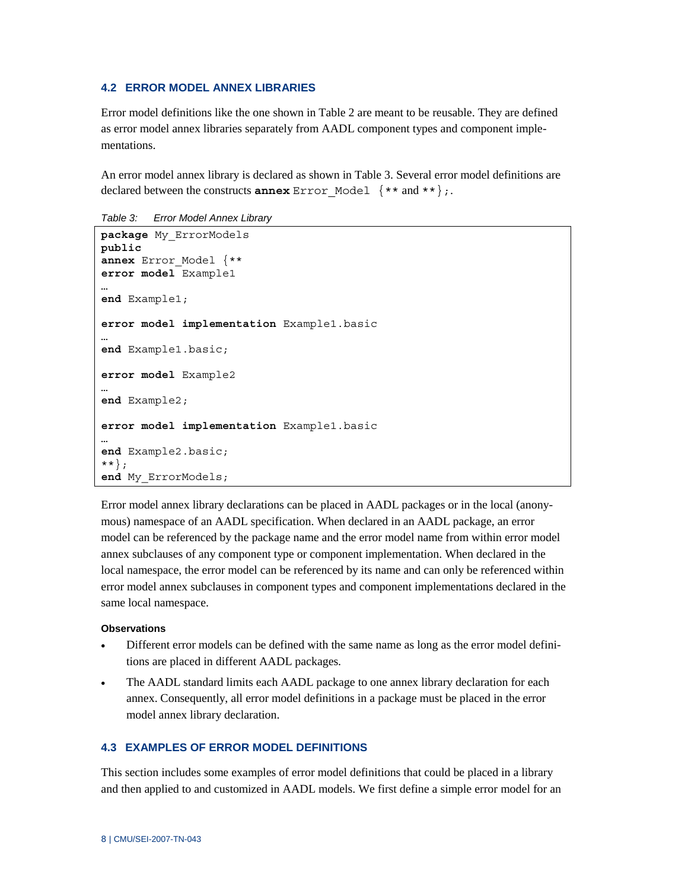#### **4.2 ERROR MODEL ANNEX LIBRARIES**

Error model definitions like the one shown in Table 2 are meant to be reusable. They are defined as error model annex libraries separately from AADL component types and component implementations.

An error model annex library is declared as shown in Table 3. Several error model definitions are declared between the constructs **annex** Error Model  $\{**$  and  $**\}$ ;.

*Table 3: Error Model Annex Library* 

```
package My_ErrorModels 
public
annex Error_Model {** 
error model Example1 
… 
end Example1; 
error model implementation Example1.basic 
… 
end Example1.basic; 
error model Example2 
… 
end Example2; 
error model implementation Example1.basic 
… 
end Example2.basic; 
**}; 
end My_ErrorModels;
```
Error model annex library declarations can be placed in AADL packages or in the local (anonymous) namespace of an AADL specification. When declared in an AADL package, an error model can be referenced by the package name and the error model name from within error model annex subclauses of any component type or component implementation. When declared in the local namespace, the error model can be referenced by its name and can only be referenced within error model annex subclauses in component types and component implementations declared in the same local namespace.

#### **Observations**

- Different error models can be defined with the same name as long as the error model definitions are placed in different AADL packages.
- The AADL standard limits each AADL package to one annex library declaration for each annex. Consequently, all error model definitions in a package must be placed in the error model annex library declaration.

#### **4.3 EXAMPLES OF ERROR MODEL DEFINITIONS**

This section includes some examples of error model definitions that could be placed in a library and then applied to and customized in AADL models. We first define a simple error model for an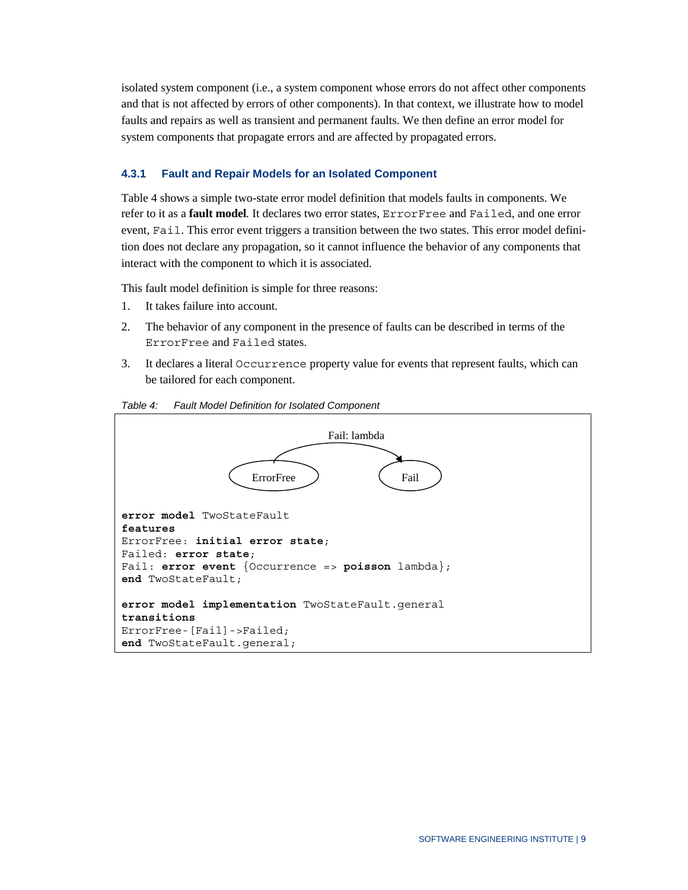isolated system component (i.e., a system component whose errors do not affect other components and that is not affected by errors of other components). In that context, we illustrate how to model faults and repairs as well as transient and permanent faults. We then define an error model for system components that propagate errors and are affected by propagated errors.

#### **4.3.1 Fault and Repair Models for an Isolated Component**

Table 4 shows a simple two-state error model definition that models faults in components. We refer to it as a **fault model***.* It declares two error states, ErrorFree and Failed, and one error event, Fail. This error event triggers a transition between the two states. This error model definition does not declare any propagation, so it cannot influence the behavior of any components that interact with the component to which it is associated.

This fault model definition is simple for three reasons:

- 1. It takes failure into account.
- 2. The behavior of any component in the presence of faults can be described in terms of the ErrorFree and Failed states.
- 3. It declares a literal Occurrence property value for events that represent faults, which can be tailored for each component.



*Table 4: Fault Model Definition for Isolated Component*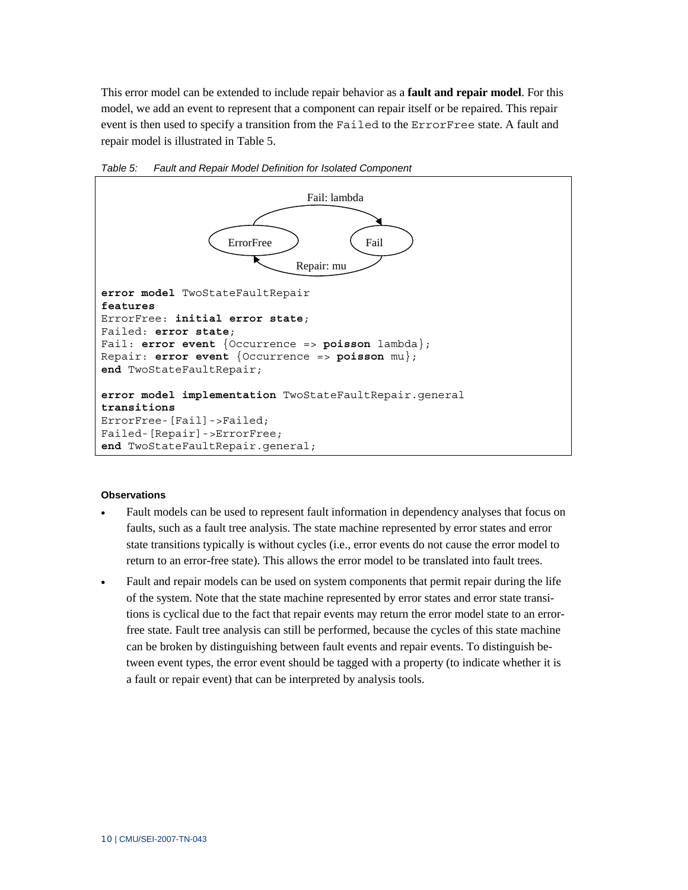This error model can be extended to include repair behavior as a **fault and repair model**. For this model, we add an event to represent that a component can repair itself or be repaired. This repair event is then used to specify a transition from the Failed to the ErrorFree state. A fault and repair model is illustrated in Table 5.





#### **Observations**

- Fault models can be used to represent fault information in dependency analyses that focus on faults, such as a fault tree analysis. The state machine represented by error states and error state transitions typically is without cycles (i.e., error events do not cause the error model to return to an error-free state). This allows the error model to be translated into fault trees.
- Fault and repair models can be used on system components that permit repair during the life of the system. Note that the state machine represented by error states and error state transitions is cyclical due to the fact that repair events may return the error model state to an errorfree state. Fault tree analysis can still be performed, because the cycles of this state machine can be broken by distinguishing between fault events and repair events. To distinguish between event types, the error event should be tagged with a property (to indicate whether it is a fault or repair event) that can be interpreted by analysis tools.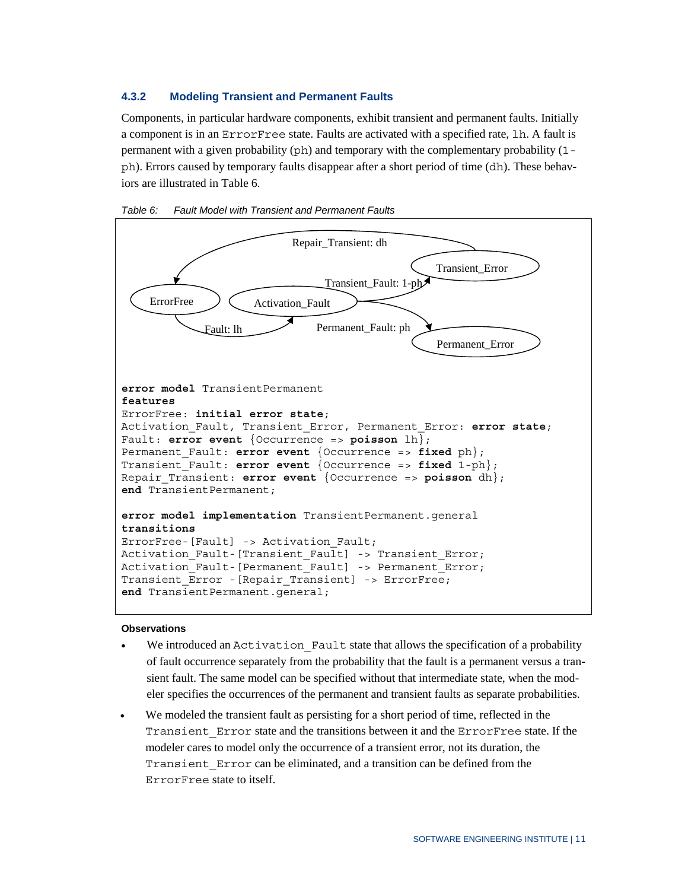#### **4.3.2 Modeling Transient and Permanent Faults**

Components, in particular hardware components, exhibit transient and permanent faults. Initially a component is in an ErrorFree state. Faults are activated with a specified rate, lh. A fault is permanent with a given probability (ph) and temporary with the complementary probability (1 ph). Errors caused by temporary faults disappear after a short period of time (dh). These behaviors are illustrated in Table 6.





#### **Observations**

- We introduced an Activation Fault state that allows the specification of a probability of fault occurrence separately from the probability that the fault is a permanent versus a transient fault. The same model can be specified without that intermediate state, when the modeler specifies the occurrences of the permanent and transient faults as separate probabilities.
- We modeled the transient fault as persisting for a short period of time, reflected in the Transient\_Error state and the transitions between it and the ErrorFree state. If the modeler cares to model only the occurrence of a transient error, not its duration, the Transient\_Error can be eliminated, and a transition can be defined from the ErrorFree state to itself.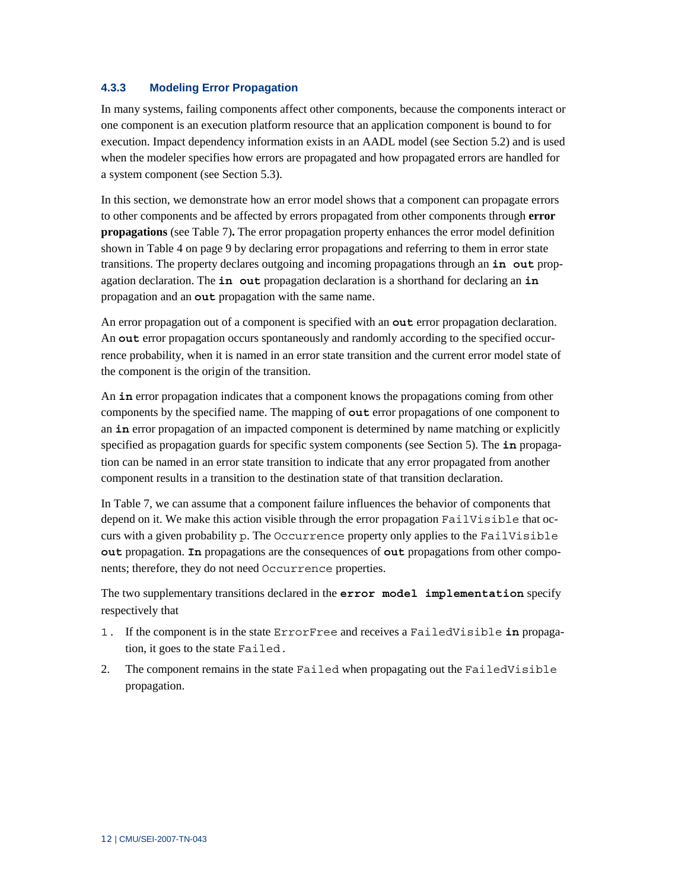#### **4.3.3 Modeling Error Propagation**

In many systems, failing components affect other components, because the components interact or one component is an execution platform resource that an application component is bound to for execution. Impact dependency information exists in an AADL model (see Section 5.2) and is used when the modeler specifies how errors are propagated and how propagated errors are handled for a system component (see Section 5.3).

In this section, we demonstrate how an error model shows that a component can propagate errors to other components and be affected by errors propagated from other components through **error propagations** (see Table 7)**.** The error propagation property enhances the error model definition shown in Table 4 on page 9 by declaring error propagations and referring to them in error state transitions. The property declares outgoing and incoming propagations through an **in out** propagation declaration. The **in out** propagation declaration is a shorthand for declaring an **in** propagation and an **out** propagation with the same name.

An error propagation out of a component is specified with an **out** error propagation declaration. An **out** error propagation occurs spontaneously and randomly according to the specified occurrence probability, when it is named in an error state transition and the current error model state of the component is the origin of the transition.

An **in** error propagation indicates that a component knows the propagations coming from other components by the specified name. The mapping of **out** error propagations of one component to an **in** error propagation of an impacted component is determined by name matching or explicitly specified as propagation guards for specific system components (see Section 5). The **in** propagation can be named in an error state transition to indicate that any error propagated from another component results in a transition to the destination state of that transition declaration.

In Table 7, we can assume that a component failure influences the behavior of components that depend on it. We make this action visible through the error propagation FailVisible that occurs with a given probability p. The Occurrence property only applies to the FailVisible **out** propagation. **In** propagations are the consequences of **out** propagations from other components; therefore, they do not need Occurrence properties.

The two supplementary transitions declared in the **error model implementation** specify respectively that

- 1. If the component is in the state ErrorFree and receives a FailedVisible **in** propagation, it goes to the state Failed.
- 2. The component remains in the state Failed when propagating out the FailedVisible propagation.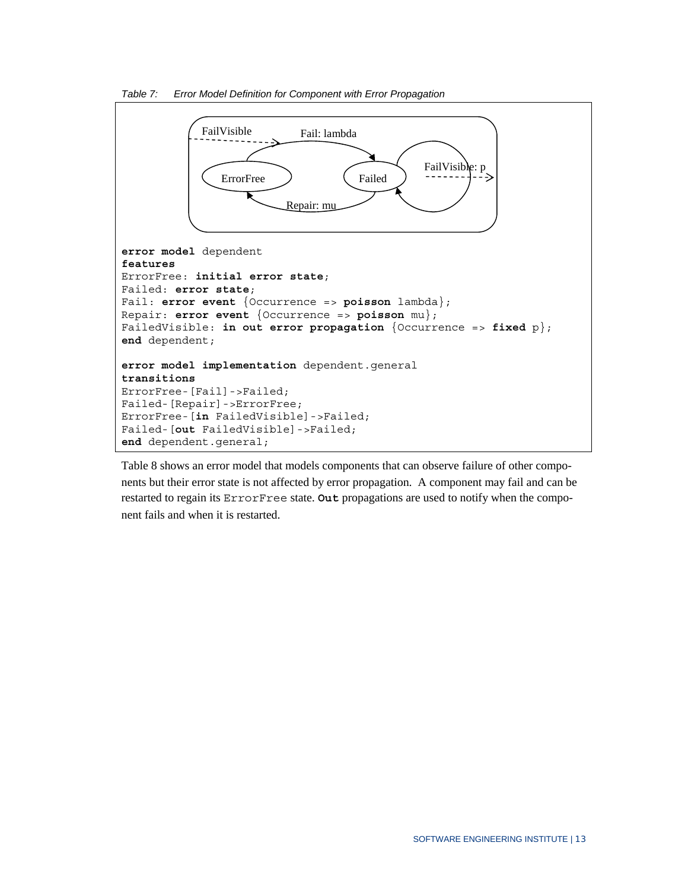

*Table 7: Error Model Definition for Component with Error Propagation* 

Table 8 shows an error model that models components that can observe failure of other components but their error state is not affected by error propagation. A component may fail and can be restarted to regain its ErrorFree state. **Out** propagations are used to notify when the component fails and when it is restarted.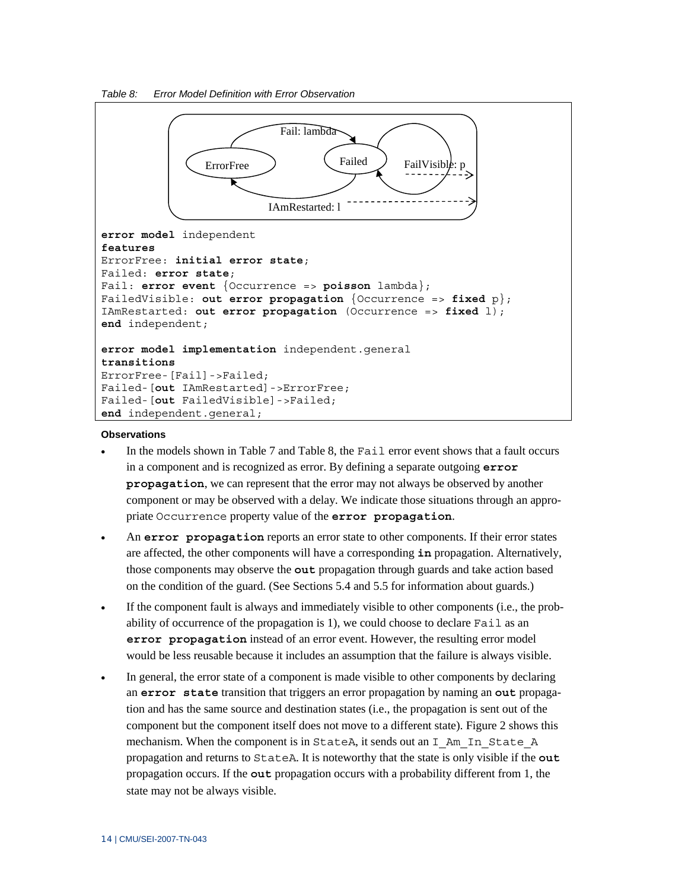



#### **Observations**

- In the models shown in Table 7 and Table 8, the Fail error event shows that a fault occurs in a component and is recognized as error. By defining a separate outgoing **error propagation**, we can represent that the error may not always be observed by another component or may be observed with a delay. We indicate those situations through an appropriate Occurrence property value of the **error propagation**.
- An **error propagation** reports an error state to other components. If their error states are affected, the other components will have a corresponding **in** propagation. Alternatively, those components may observe the **out** propagation through guards and take action based on the condition of the guard. (See Sections 5.4 and 5.5 for information about guards.)
- If the component fault is always and immediately visible to other components (i.e., the probability of occurrence of the propagation is 1), we could choose to declare Fail as an **error propagation** instead of an error event. However, the resulting error model would be less reusable because it includes an assumption that the failure is always visible.
- In general, the error state of a component is made visible to other components by declaring an **error state** transition that triggers an error propagation by naming an **out** propagation and has the same source and destination states (i.e., the propagation is sent out of the component but the component itself does not move to a different state). Figure 2 shows this mechanism. When the component is in StateA, it sends out an I\_Am\_In\_State\_A propagation and returns to StateA. It is noteworthy that the state is only visible if the **out** propagation occurs. If the **out** propagation occurs with a probability different from 1, the state may not be always visible.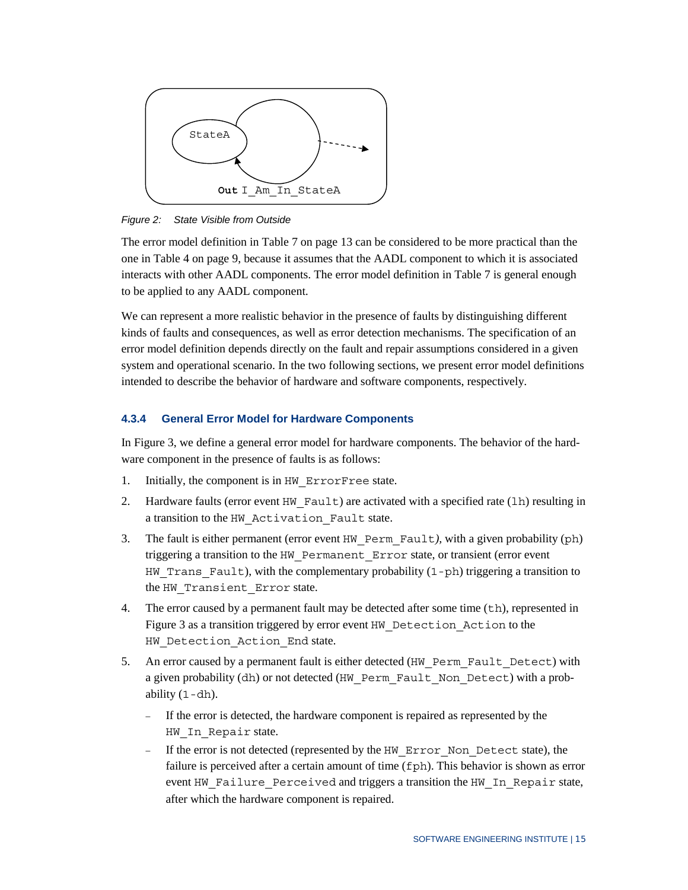

*Figure 2: State Visible from Outside* 

The error model definition in Table 7 on page 13 can be considered to be more practical than the one in Table 4 on page 9, because it assumes that the AADL component to which it is associated interacts with other AADL components. The error model definition in Table 7 is general enough to be applied to any AADL component.

We can represent a more realistic behavior in the presence of faults by distinguishing different kinds of faults and consequences, as well as error detection mechanisms. The specification of an error model definition depends directly on the fault and repair assumptions considered in a given system and operational scenario. In the two following sections, we present error model definitions intended to describe the behavior of hardware and software components, respectively.

#### **4.3.4 General Error Model for Hardware Components**

In Figure 3, we define a general error model for hardware components. The behavior of the hardware component in the presence of faults is as follows:

- 1. Initially, the component is in HW\_ErrorFree state.
- 2. Hardware faults (error event HW\_Fault) are activated with a specified rate (1h) resulting in a transition to the HW\_Activation\_Fault state.
- 3. The fault is either permanent (error event HW\_Perm\_Fault*),* with a given probability (ph) triggering a transition to the HW\_Permanent\_Error state, or transient (error event HW Trans Fault), with the complementary probability  $(1-ph)$  triggering a transition to the HW\_Transient\_Error state.
- 4. The error caused by a permanent fault may be detected after some time (th), represented in Figure 3 as a transition triggered by error event HW\_Detection\_Action to the HW Detection Action End state.
- 5. An error caused by a permanent fault is either detected (HW\_Perm\_Fault\_Detect) with a given probability (dh) or not detected (HW\_Perm\_Fault\_Non\_Detect) with a probability  $(1-dh)$ .
	- If the error is detected, the hardware component is repaired as represented by the HW In Repair state.
	- − If the error is not detected (represented by the HW\_Error\_Non\_Detect state), the failure is perceived after a certain amount of time (fph). This behavior is shown as error event HW\_Failure\_Perceived and triggers a transition the HW\_In\_Repair state, after which the hardware component is repaired.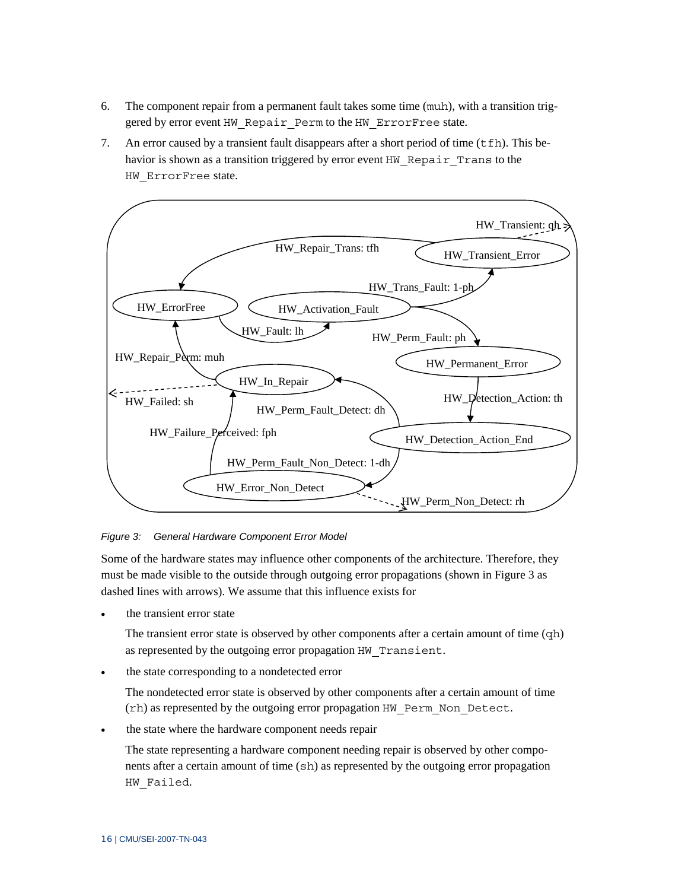- 6. The component repair from a permanent fault takes some time (muh), with a transition triggered by error event HW\_Repair\_Perm to the HW\_ErrorFree state.
- 7. An error caused by a transient fault disappears after a short period of time  $(t \in h)$ . This behavior is shown as a transition triggered by error event HW\_Repair\_Trans to the HW\_ErrorFree state.



*Figure 3: General Hardware Component Error Model* 

Some of the hardware states may influence other components of the architecture. Therefore, they must be made visible to the outside through outgoing error propagations (shown in Figure 3 as dashed lines with arrows). We assume that this influence exists for

the transient error state

The transient error state is observed by other components after a certain amount of time (qh) as represented by the outgoing error propagation HW\_Transient.

• the state corresponding to a nondetected error

The nondetected error state is observed by other components after a certain amount of time (rh) as represented by the outgoing error propagation HW\_Perm\_Non\_Detect.

• the state where the hardware component needs repair

The state representing a hardware component needing repair is observed by other components after a certain amount of time (sh) as represented by the outgoing error propagation HW\_Failed.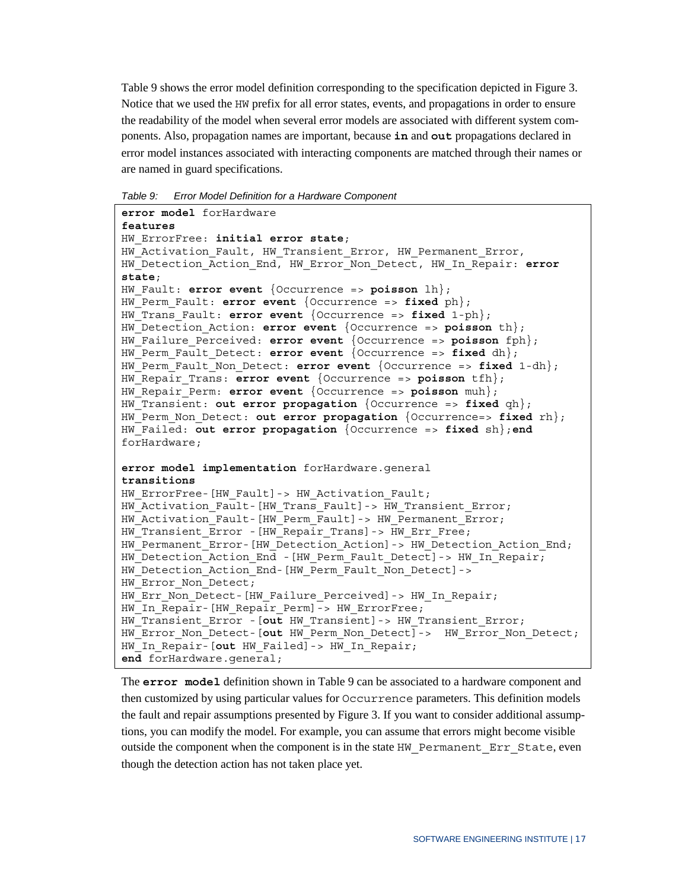Table 9 shows the error model definition corresponding to the specification depicted in Figure 3. Notice that we used the HW prefix for all error states, events, and propagations in order to ensure the readability of the model when several error models are associated with different system components. Also, propagation names are important, because **in** and **out** propagations declared in error model instances associated with interacting components are matched through their names or are named in guard specifications.

*Table 9: Error Model Definition for a Hardware Component* 

```
error model forHardware 
features 
HW_ErrorFree: initial error state; 
HW Activation Fault, HW Transient Error, HW Permanent Error,
HW_Detection_Action_End, HW_Error_Non_Detect, HW_In_Repair: error 
state; 
HW Fault: error event {Occurrence => poisson lh};
HW Perm Fault: error event {Occurrence => fixed ph};
HW_Trans_Fault: error event {Occurrence => fixed 1-ph}; 
HW_Detection_Action: error event {Occurrence => poisson th}; 
HW Failure Perceived: error event {Occurrence => poisson fph};
HW Perm Fault Detect: error event {Occurrence => fixed dh};
HW Perm Fault Non Detect: error event {Occurrence => fixed 1-dh};
HW Repair Trans: error event {Occurrence => poisson tfh};
HW Repair Perm: error event {Occurrence => poisson muh};
HW Transient: out error propagation {Occurrence => fixed qh};
HW Perm Non Detect: out error propagation {Occurrence=> fixed rh};
HW_Failed: out error propagation {Occurrence => fixed sh};end
forHardware; 
error model implementation forHardware.general 
transitions 
HW ErrorFree-[HW Fault]-> HW Activation Fault;
HW Activation Fault-[HW Trans Fault]-> HW Transient Error;
HW Activation Fault-[HW Perm Fault]-> HW Permanent Error;
HW Transient Error - [HW Repair Trans] -> HW Err Free;
HW_Permanent_Error-[HW_Detection_Action]-> HW_Detection_Action_End;
HW Detection Action End - [HW Perm Fault Detect]-> HW In Repair;
HW Detection Action End-[HW Perm Fault Non Detect]->
HW Error Non Detect;
HW_Err_Non_Detect-[HW_Failure_Perceived]-> HW_In_Repair;
HW In Repair-[HW Repair Perm]-> HW ErrorFree;
HW_Transient_Error -[out HW_Transient]-> HW_Transient_Error; 
HW_Error_Non_Detect-[out HW_Perm_Non_Detect]-> HW_Error_Non_Detect;
HW In Repair-[out HW Failed]-> HW In Repair;
end forHardware.general;
```
The **error model** definition shown in Table 9 can be associated to a hardware component and then customized by using particular values for Occurrence parameters. This definition models the fault and repair assumptions presented by Figure 3. If you want to consider additional assumptions, you can modify the model. For example, you can assume that errors might become visible outside the component when the component is in the state HW\_Permanent\_Err\_State, even though the detection action has not taken place yet.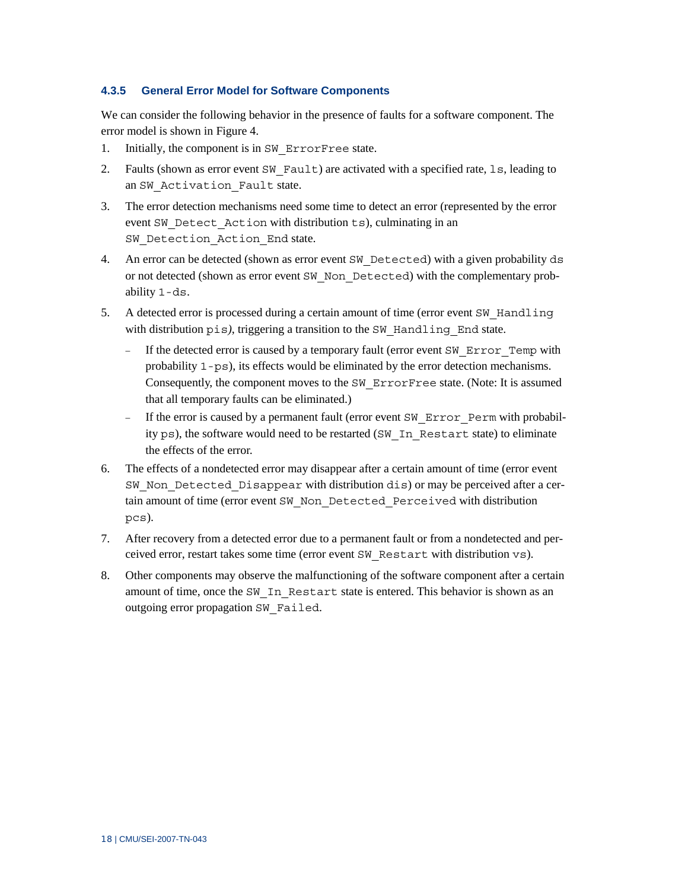#### **4.3.5 General Error Model for Software Components**

We can consider the following behavior in the presence of faults for a software component. The error model is shown in Figure 4.

- 1. Initially, the component is in SW\_ErrorFree state.
- 2. Faults (shown as error event SW\_Fault) are activated with a specified rate, ls, leading to an SW\_Activation\_Fault state.
- 3. The error detection mechanisms need some time to detect an error (represented by the error event SW\_Detect\_Action with distribution ts), culminating in an SW Detection Action End state.
- 4. An error can be detected (shown as error event SW\_Detected) with a given probability ds or not detected (shown as error event SW\_Non\_Detected) with the complementary probability 1-ds.
- 5. A detected error is processed during a certain amount of time (error event SW\_Handling with distribution pis), triggering a transition to the SW\_Handling\_End state.
	- If the detected error is caused by a temporary fault (error event SW\_Error\_Temp with probability 1-ps), its effects would be eliminated by the error detection mechanisms. Consequently, the component moves to the SW\_ErrorFree state. (Note: It is assumed that all temporary faults can be eliminated.)
	- − If the error is caused by a permanent fault (error event SW\_Error\_Perm with probability ps), the software would need to be restarted (SW\_In\_Restart state) to eliminate the effects of the error.
- 6. The effects of a nondetected error may disappear after a certain amount of time (error event SW Non Detected Disappear with distribution  $dis$ ) or may be perceived after a certain amount of time (error event SW\_Non\_Detected\_Perceived with distribution pcs).
- 7. After recovery from a detected error due to a permanent fault or from a nondetected and perceived error, restart takes some time (error event SW\_Restart with distribution vs).
- 8. Other components may observe the malfunctioning of the software component after a certain amount of time, once the SW\_In\_Restart state is entered. This behavior is shown as an outgoing error propagation SW\_Failed.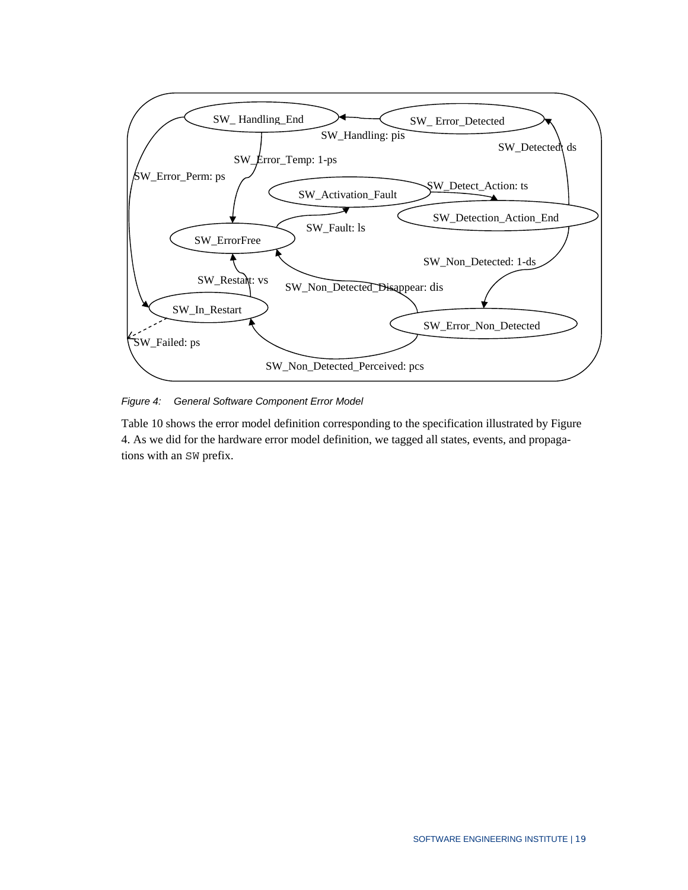

*Figure 4: General Software Component Error Model* 

Table 10 shows the error model definition corresponding to the specification illustrated by Figure 4. As we did for the hardware error model definition, we tagged all states, events, and propagations with an SW prefix.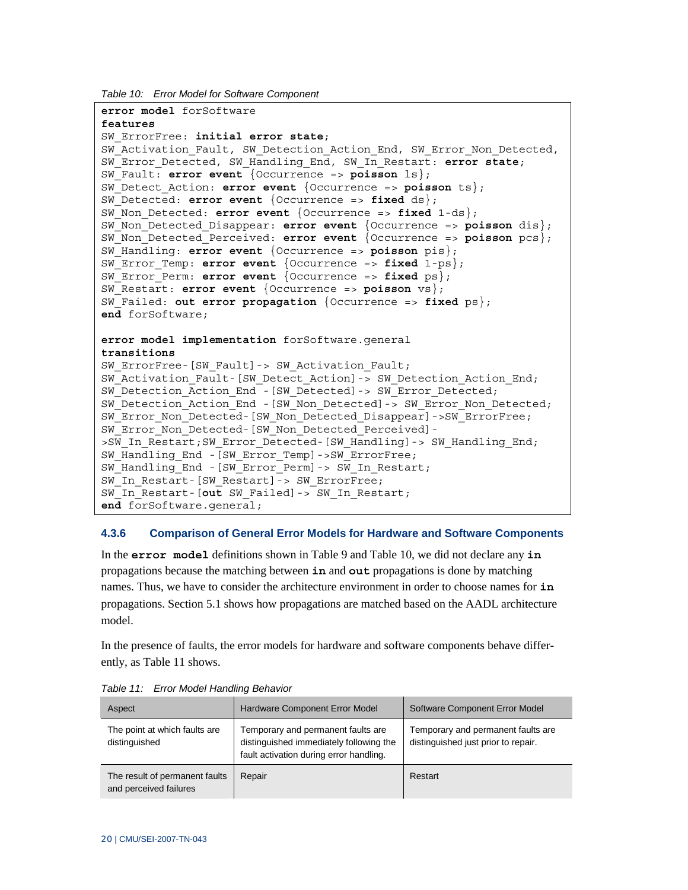```
Table 10: Error Model for Software Component
```

```
error model forSoftware 
features 
SW_ErrorFree: initial error state; 
SW_Activation_Fault, SW_Detection Action End, SW Error Non Detected,
SW_Error_Detected, SW_Handling_End, SW_In_Restart: error state; 
SW Fault: error event {Occurrence => poisson ls};
SW_Detect_Action: error event {Occurrence => poisson ts}; 
SW Detected: error event {Occurrence => fixed ds};
SW_Non_Detected: error event {Occurrence => fixed 1-ds}; 
SW_Non_Detected_Disappear: error event {Occurrence => poisson dis}; 
SW_Non_Detected_Perceived: error event {Occurrence => poisson pcs}; 
SW_Handling: error event {Occurrence => poisson pis}; 
SW Error Temp: error event {Occurrence => fixed 1-ps};
SW Error Perm: error event {Occurrence => fixed ps};
SW_Restart: error event {Occurrence => poisson vs}; 
SW Failed: out error propagation {Occurrence => fixed ps};
end forSoftware; 
error model implementation forSoftware.general 
transitions 
SW ErrorFree-[SW Fault]-> SW Activation Fault;
SW Activation Fault-[SW Detect Action]-> SW Detection Action End;
SW_Detection_Action_End - [SW_Detected]-> SW_Error_Detected;
SW Detection Action End - [SW Non Detected]-> SW Error Non Detected;
SW Error Non Detected-[SW Non Detected Disappear]->SW ErrorFree;
SW Error Non Detected-[SW Non Detected Perceived]-
>SW In Restart; SW Error Detected- [SW Handling]-> SW Handling End;
SW Handling End - [SW Error Temp]->SW ErrorFree;
SW Handling End - [SW Error Perm]-> SW In Restart;
SW In Restart-[SW Restart]-> SW ErrorFree;
SW In Restart-[out SW Failed]-> SW In Restart;
end forSoftware.general;
```
#### **4.3.6 Comparison of General Error Models for Hardware and Software Components**

In the **error model** definitions shown in Table 9 and Table 10, we did not declare any **in**  propagations because the matching between **in** and **out** propagations is done by matching names. Thus, we have to consider the architecture environment in order to choose names for **in** propagations. Section 5.1 shows how propagations are matched based on the AADL architecture model.

In the presence of faults, the error models for hardware and software components behave differently, as Table 11 shows.

| Aspect                                                   | Hardware Component Error Model                                                                                           | Software Component Error Model                                            |
|----------------------------------------------------------|--------------------------------------------------------------------------------------------------------------------------|---------------------------------------------------------------------------|
| The point at which faults are<br>distinguished           | Temporary and permanent faults are<br>distinguished immediately following the<br>fault activation during error handling. | Temporary and permanent faults are<br>distinguished just prior to repair. |
| The result of permanent faults<br>and perceived failures | Repair                                                                                                                   | Restart                                                                   |

*Table 11: Error Model Handling Behavior*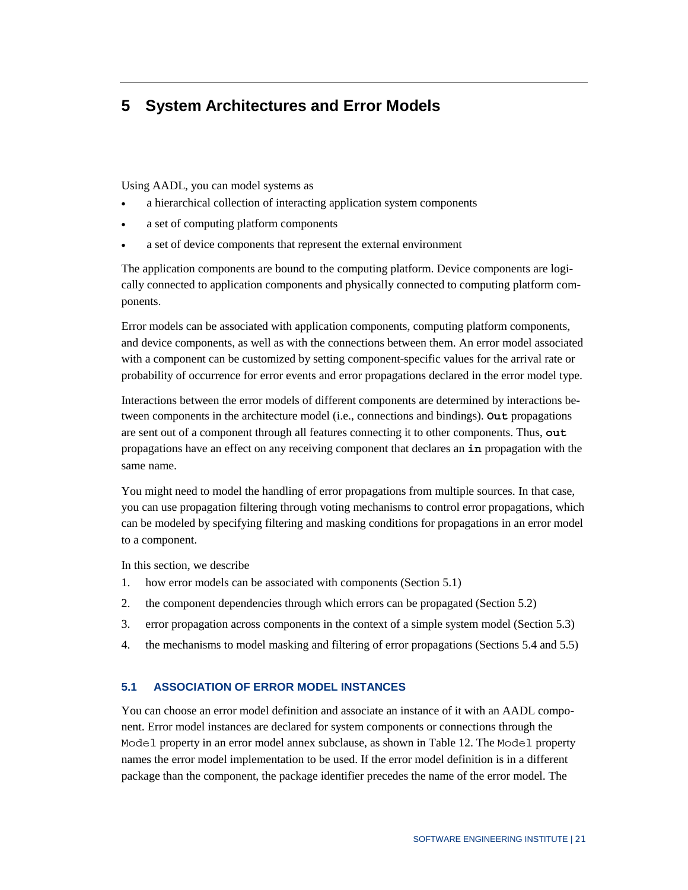## **5 System Architectures and Error Models**

Using AADL, you can model systems as

- a hierarchical collection of interacting application system components
- a set of computing platform components
- a set of device components that represent the external environment

The application components are bound to the computing platform. Device components are logically connected to application components and physically connected to computing platform components.

Error models can be associated with application components, computing platform components, and device components, as well as with the connections between them. An error model associated with a component can be customized by setting component-specific values for the arrival rate or probability of occurrence for error events and error propagations declared in the error model type.

Interactions between the error models of different components are determined by interactions between components in the architecture model (i.e., connections and bindings). **Out** propagations are sent out of a component through all features connecting it to other components. Thus, **out** propagations have an effect on any receiving component that declares an **in** propagation with the same name.

You might need to model the handling of error propagations from multiple sources. In that case, you can use propagation filtering through voting mechanisms to control error propagations, which can be modeled by specifying filtering and masking conditions for propagations in an error model to a component.

In this section, we describe

- 1. how error models can be associated with components (Section 5.1)
- 2. the component dependencies through which errors can be propagated (Section 5.2)
- 3. error propagation across components in the context of a simple system model (Section 5.3)
- 4. the mechanisms to model masking and filtering of error propagations (Sections 5.4 and 5.5)

#### **5.1 ASSOCIATION OF ERROR MODEL INSTANCES**

You can choose an error model definition and associate an instance of it with an AADL component. Error model instances are declared for system components or connections through the Model property in an error model annex subclause, as shown in Table 12. The Model property names the error model implementation to be used. If the error model definition is in a different package than the component, the package identifier precedes the name of the error model. The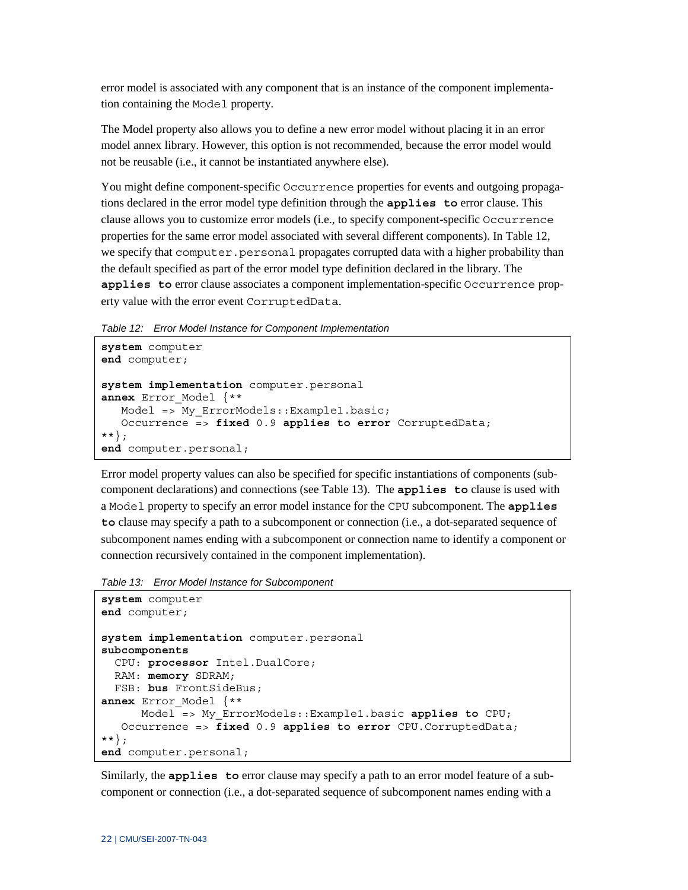error model is associated with any component that is an instance of the component implementation containing the Model property.

The Model property also allows you to define a new error model without placing it in an error model annex library. However, this option is not recommended, because the error model would not be reusable (i.e., it cannot be instantiated anywhere else).

You might define component-specific Occurrence properties for events and outgoing propagations declared in the error model type definition through the **applies to** error clause. This clause allows you to customize error models (i.e., to specify component-specific Occurrence properties for the same error model associated with several different components). In Table 12, we specify that computer.personal propagates corrupted data with a higher probability than the default specified as part of the error model type definition declared in the library. The **applies to** error clause associates a component implementation-specific Occurrence property value with the error event CorruptedData.

*Table 12: Error Model Instance for Component Implementation* 

```
system computer 
end computer; 
system implementation computer.personal 
annex Error_Model {** 
    Model => My_ErrorModels::Example1.basic; 
    Occurrence => fixed 0.9 applies to error CorruptedData; 
**}; 
end computer.personal;
```
Error model property values can also be specified for specific instantiations of components (subcomponent declarations) and connections (see Table 13). The **applies to** clause is used with a Model property to specify an error model instance for the CPU subcomponent. The **applies to** clause may specify a path to a subcomponent or connection (i.e., a dot-separated sequence of subcomponent names ending with a subcomponent or connection name to identify a component or connection recursively contained in the component implementation).

*Table 13: Error Model Instance for Subcomponent* 

```
system computer 
end computer; 
system implementation computer.personal 
subcomponents 
  CPU: processor Intel.DualCore; 
  RAM: memory SDRAM; 
  FSB: bus FrontSideBus; 
annex Error Model \{** Model => My_ErrorModels::Example1.basic applies to CPU; 
   Occurrence => fixed 0.9 applies to error CPU.CorruptedData; 
**}; 
end computer.personal;
```
Similarly, the **applies to** error clause may specify a path to an error model feature of a subcomponent or connection (i.e., a dot-separated sequence of subcomponent names ending with a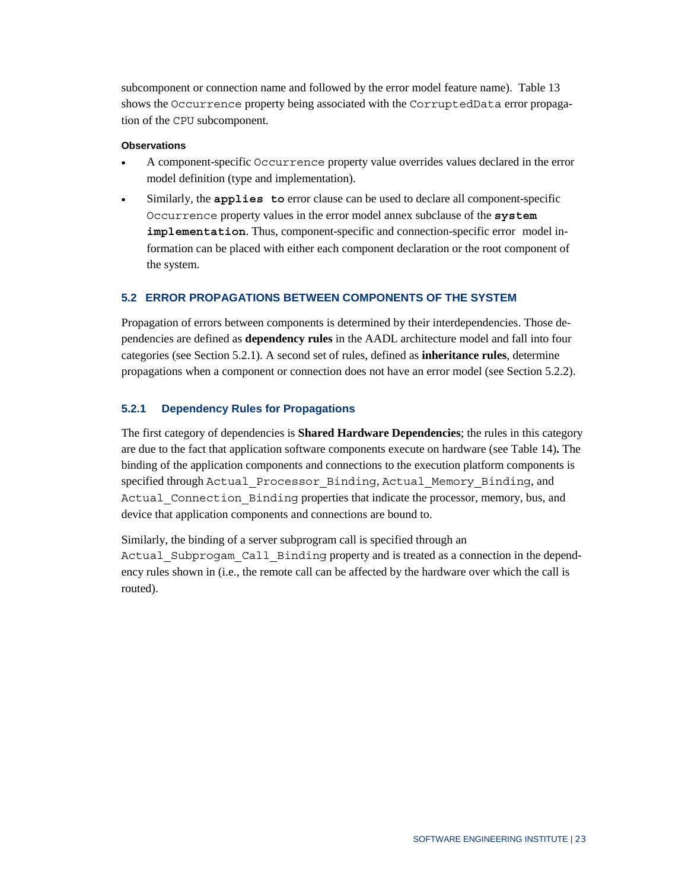subcomponent or connection name and followed by the error model feature name). Table 13 shows the Occurrence property being associated with the CorruptedData error propagation of the CPU subcomponent.

#### **Observations**

- A component-specific Occurrence property value overrides values declared in the error model definition (type and implementation).
- Similarly, the **applies to** error clause can be used to declare all component-specific Occurrence property values in the error model annex subclause of the **system implementation**. Thus, component-specific and connection-specific error model information can be placed with either each component declaration or the root component of the system.

#### **5.2 ERROR PROPAGATIONS BETWEEN COMPONENTS OF THE SYSTEM**

Propagation of errors between components is determined by their interdependencies. Those dependencies are defined as **dependency rules** in the AADL architecture model and fall into four categories (see Section 5.2.1). A second set of rules, defined as **inheritance rules**, determine propagations when a component or connection does not have an error model (see Section 5.2.2).

#### **5.2.1 Dependency Rules for Propagations**

The first category of dependencies is **Shared Hardware Dependencies**; the rules in this category are due to the fact that application software components execute on hardware (see Table 14)**.** The binding of the application components and connections to the execution platform components is specified through Actual Processor Binding, Actual Memory Binding, and Actual\_Connection\_Binding properties that indicate the processor, memory, bus, and device that application components and connections are bound to.

Similarly, the binding of a server subprogram call is specified through an Actual Subprogam Call Binding property and is treated as a connection in the dependency rules shown in (i.e., the remote call can be affected by the hardware over which the call is routed).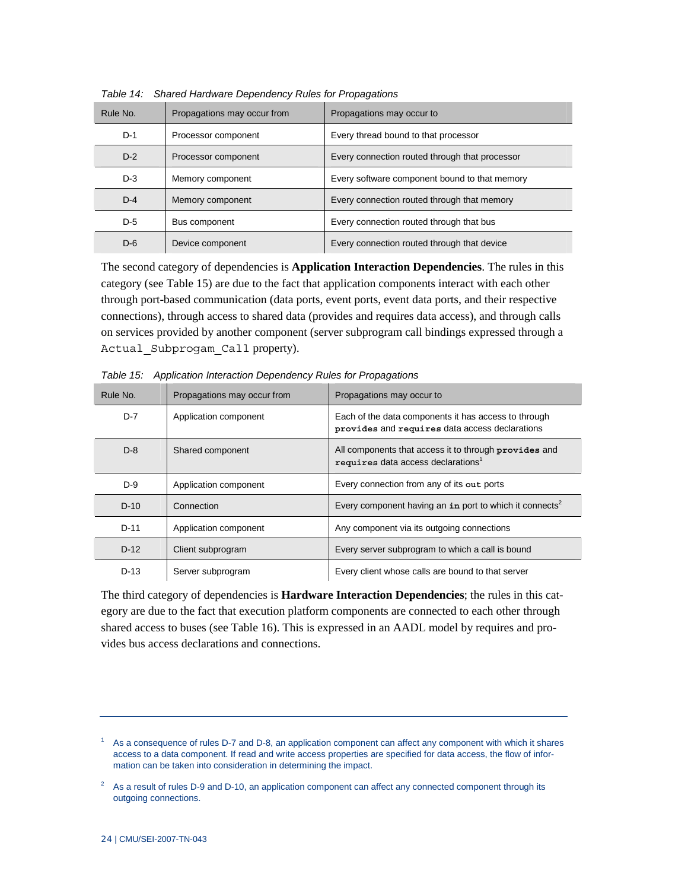| Rule No. | Propagations may occur from | Propagations may occur to                      |
|----------|-----------------------------|------------------------------------------------|
| $D-1$    | Processor component         | Every thread bound to that processor           |
| $D-2$    | Processor component         | Every connection routed through that processor |
| $D-3$    | Memory component            | Every software component bound to that memory  |
| $D-4$    | Memory component            | Every connection routed through that memory    |
| $D-5$    | Bus component               | Every connection routed through that bus       |
| $D-6$    | Device component            | Every connection routed through that device    |

*Table 14: Shared Hardware Dependency Rules for Propagations* 

The second category of dependencies is **Application Interaction Dependencies**. The rules in this category (see Table 15) are due to the fact that application components interact with each other through port-based communication (data ports, event ports, event data ports, and their respective connections), through access to shared data (provides and requires data access), and through calls on services provided by another component (server subprogram call bindings expressed through a Actual Subprogam Call property).

| Rule No. | Propagations may occur from | Propagations may occur to                                                                               |  |  |
|----------|-----------------------------|---------------------------------------------------------------------------------------------------------|--|--|
| $D-7$    | Application component       | Each of the data components it has access to through<br>provides and requires data access declarations  |  |  |
| $D-8$    | Shared component            | All components that access it to through provides and<br>requires data access declarations <sup>1</sup> |  |  |
| $D-9$    | Application component       | Every connection from any of its out ports                                                              |  |  |
| $D-10$   | Connection                  | Every component having an $\texttt{in}$ port to which it connects <sup>2</sup>                          |  |  |
| $D-11$   | Application component       | Any component via its outgoing connections                                                              |  |  |
| $D-12$   | Client subprogram           | Every server subprogram to which a call is bound                                                        |  |  |
| $D-13$   | Server subprogram           | Every client whose calls are bound to that server                                                       |  |  |

*Table 15: Application Interaction Dependency Rules for Propagations* 

The third category of dependencies is **Hardware Interaction Dependencies**; the rules in this category are due to the fact that execution platform components are connected to each other through shared access to buses (see Table 16). This is expressed in an AADL model by requires and provides bus access declarations and connections.

<sup>&</sup>lt;sup>1</sup> As a consequence of rules D-7 and D-8, an application component can affect any component with which it shares access to a data component. If read and write access properties are specified for data access, the flow of information can be taken into consideration in determining the impact.

 $2^2$  As a result of rules D-9 and D-10, an application component can affect any connected component through its outgoing connections.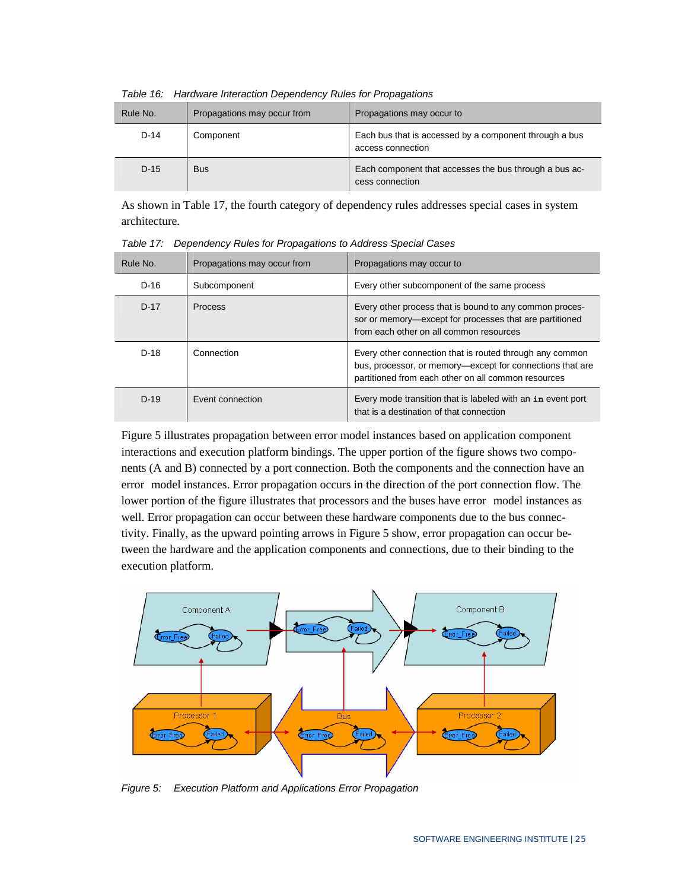| Rule No. | Propagations may occur from | Propagations may occur to                                                   |
|----------|-----------------------------|-----------------------------------------------------------------------------|
| $D-14$   | Component                   | Each bus that is accessed by a component through a bus<br>access connection |
| $D-15$   | <b>Bus</b>                  | Each component that accesses the bus through a bus ac-<br>cess connection   |

*Table 16: Hardware Interaction Dependency Rules for Propagations* 

As shown in Table 17, the fourth category of dependency rules addresses special cases in system architecture.

*Table 17: Dependency Rules for Propagations to Address Special Cases* 

| Rule No. | Propagations may occur from | Propagations may occur to                                                                                                                                                    |
|----------|-----------------------------|------------------------------------------------------------------------------------------------------------------------------------------------------------------------------|
| $D-16$   | Subcomponent                | Every other subcomponent of the same process                                                                                                                                 |
| $D-17$   | Process                     | Every other process that is bound to any common proces-<br>sor or memory—except for processes that are partitioned<br>from each other on all common resources                |
| D-18     | Connection                  | Every other connection that is routed through any common<br>bus, processor, or memory-except for connections that are<br>partitioned from each other on all common resources |
| $D-19$   | Event connection            | Every mode transition that is labeled with an in event port<br>that is a destination of that connection                                                                      |

Figure 5 illustrates propagation between error model instances based on application component interactions and execution platform bindings. The upper portion of the figure shows two components (A and B) connected by a port connection. Both the components and the connection have an error model instances. Error propagation occurs in the direction of the port connection flow. The lower portion of the figure illustrates that processors and the buses have error model instances as well. Error propagation can occur between these hardware components due to the bus connectivity. Finally, as the upward pointing arrows in Figure 5 show, error propagation can occur between the hardware and the application components and connections, due to their binding to the execution platform.



*Figure 5: Execution Platform and Applications Error Propagation*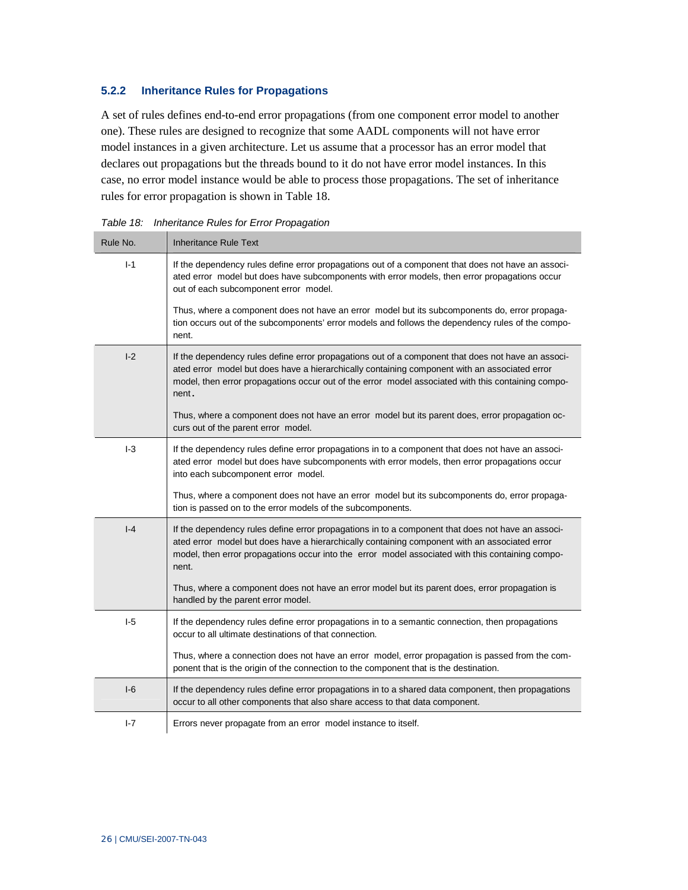#### **5.2.2 Inheritance Rules for Propagations**

A set of rules defines end-to-end error propagations (from one component error model to another one). These rules are designed to recognize that some AADL components will not have error model instances in a given architecture. Let us assume that a processor has an error model that declares out propagations but the threads bound to it do not have error model instances. In this case, no error model instance would be able to process those propagations. The set of inheritance rules for error propagation is shown in Table 18.

| Rule No. | <b>Inheritance Rule Text</b>                                                                                                                                                                                                                                                                                       |
|----------|--------------------------------------------------------------------------------------------------------------------------------------------------------------------------------------------------------------------------------------------------------------------------------------------------------------------|
| $1-1$    | If the dependency rules define error propagations out of a component that does not have an associ-<br>ated error model but does have subcomponents with error models, then error propagations occur<br>out of each subcomponent error model.                                                                       |
|          | Thus, where a component does not have an error model but its subcomponents do, error propaga-<br>tion occurs out of the subcomponents' error models and follows the dependency rules of the compo-<br>nent.                                                                                                        |
| $1-2$    | If the dependency rules define error propagations out of a component that does not have an associ-<br>ated error model but does have a hierarchically containing component with an associated error<br>model, then error propagations occur out of the error model associated with this containing compo-<br>nent. |
|          | Thus, where a component does not have an error model but its parent does, error propagation oc-<br>curs out of the parent error model.                                                                                                                                                                             |
| $-3$     | If the dependency rules define error propagations in to a component that does not have an associ-<br>ated error model but does have subcomponents with error models, then error propagations occur<br>into each subcomponent error model.                                                                          |
|          | Thus, where a component does not have an error model but its subcomponents do, error propaga-<br>tion is passed on to the error models of the subcomponents.                                                                                                                                                       |
| $ -4$    | If the dependency rules define error propagations in to a component that does not have an associ-<br>ated error model but does have a hierarchically containing component with an associated error<br>model, then error propagations occur into the error model associated with this containing compo-<br>nent.    |
|          | Thus, where a component does not have an error model but its parent does, error propagation is<br>handled by the parent error model.                                                                                                                                                                               |
| $1-5$    | If the dependency rules define error propagations in to a semantic connection, then propagations<br>occur to all ultimate destinations of that connection.                                                                                                                                                         |
|          | Thus, where a connection does not have an error model, error propagation is passed from the com-<br>ponent that is the origin of the connection to the component that is the destination.                                                                                                                          |
| $1-6$    | If the dependency rules define error propagations in to a shared data component, then propagations<br>occur to all other components that also share access to that data component.                                                                                                                                 |
| $I - 7$  | Errors never propagate from an error model instance to itself.                                                                                                                                                                                                                                                     |

*Table 18: Inheritance Rules for Error Propagation*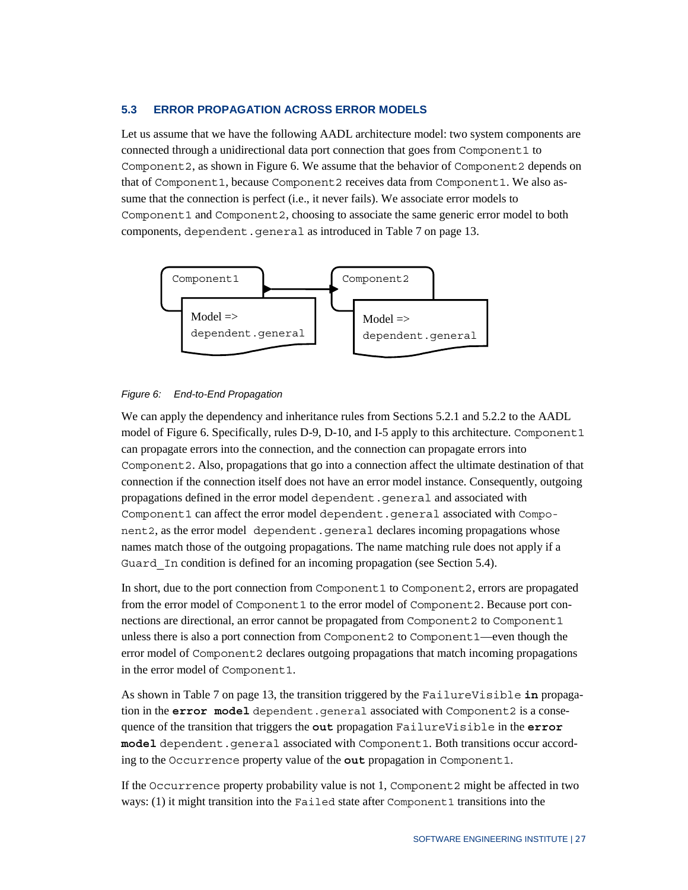### **5.3 ERROR PROPAGATION ACROSS ERROR MODELS**

Let us assume that we have the following AADL architecture model: two system components are connected through a unidirectional data port connection that goes from Component1 to Component2, as shown in Figure 6. We assume that the behavior of Component2 depends on that of Component1, because Component2 receives data from Component1. We also assume that the connection is perfect (i.e., it never fails). We associate error models to Component1 and Component2, choosing to associate the same generic error model to both components, dependent. general as introduced in Table 7 on page 13.



#### *Figure 6: End-to-End Propagation*

We can apply the dependency and inheritance rules from Sections 5.2.1 and 5.2.2 to the AADL model of Figure 6. Specifically, rules D-9, D-10, and I-5 apply to this architecture. Component 1 can propagate errors into the connection, and the connection can propagate errors into Component2. Also, propagations that go into a connection affect the ultimate destination of that connection if the connection itself does not have an error model instance. Consequently, outgoing propagations defined in the error model dependent. general and associated with Component1 can affect the error model dependent.general associated with Component2, as the error model dependent.general declares incoming propagations whose names match those of the outgoing propagations. The name matching rule does not apply if a Guard In condition is defined for an incoming propagation (see Section 5.4).

In short, due to the port connection from Component1 to Component2, errors are propagated from the error model of Component1 to the error model of Component2. Because port connections are directional, an error cannot be propagated from Component2 to Component1 unless there is also a port connection from Component2 to Component1—even though the error model of Component2 declares outgoing propagations that match incoming propagations in the error model of Component1.

As shown in Table 7 on page 13, the transition triggered by the FailureVisible **in** propagation in the **error model** dependent.general associated with Component2 is a consequence of the transition that triggers the **out** propagation FailureVisible in the **error model** dependent.general associated with Component1*.* Both transitions occur according to the Occurrence property value of the **out** propagation in Component1*.*

If the Occurrence property probability value is not 1, Component2 might be affected in two ways:  $(1)$  it might transition into the Failed state after Component 1 transitions into the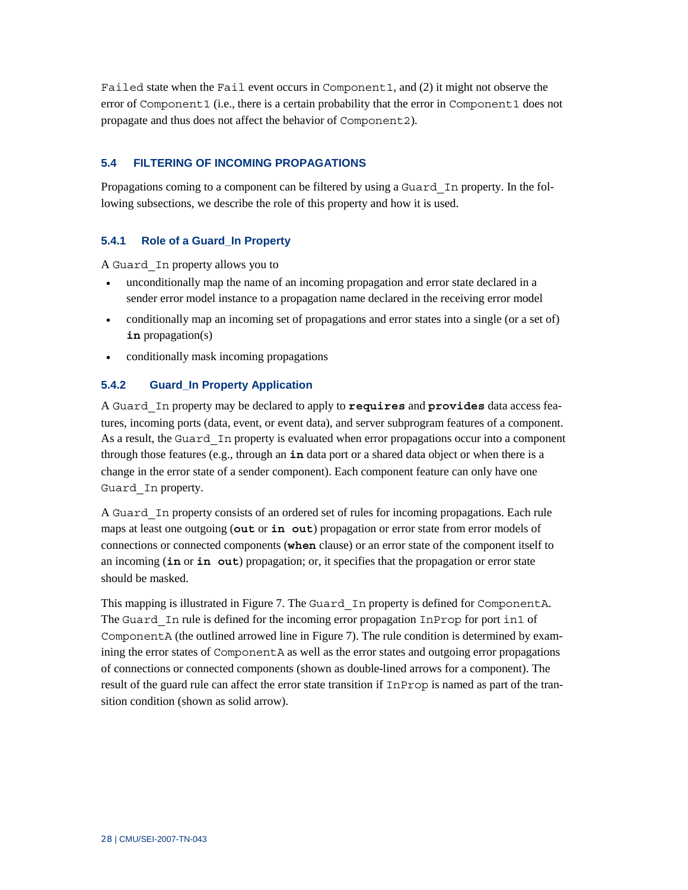Failed state when the Fail event occurs in Component1, and (2) it might not observe the error of Component1 (i.e., there is a certain probability that the error in Component1 does not propagate and thus does not affect the behavior of Component2)*.* 

# **5.4 FILTERING OF INCOMING PROPAGATIONS**

Propagations coming to a component can be filtered by using a Guard\_In property. In the following subsections, we describe the role of this property and how it is used.

# **5.4.1 Role of a Guard\_In Property**

A Guard\_In property allows you to

- unconditionally map the name of an incoming propagation and error state declared in a sender error model instance to a propagation name declared in the receiving error model
- conditionally map an incoming set of propagations and error states into a single (or a set of) **in** propagation(s)
- conditionally mask incoming propagations

# **5.4.2 Guard\_In Property Application**

A Guard\_In property may be declared to apply to **requires** and **provides** data access features, incoming ports (data, event, or event data), and server subprogram features of a component. As a result, the Guard In property is evaluated when error propagations occur into a component through those features (e.g., through an **in** data port or a shared data object or when there is a change in the error state of a sender component). Each component feature can only have one Guard\_In property.

A Guard\_In property consists of an ordered set of rules for incoming propagations. Each rule maps at least one outgoing (**out** or **in out**) propagation or error state from error models of connections or connected components (**when** clause) or an error state of the component itself to an incoming (**in** or **in out**) propagation; or, it specifies that the propagation or error state should be masked.

This mapping is illustrated in Figure 7. The Guard\_In property is defined for ComponentA. The Guard\_In rule is defined for the incoming error propagation InProp for port in1 of ComponentA (the outlined arrowed line in Figure 7). The rule condition is determined by examining the error states of ComponentA as well as the error states and outgoing error propagations of connections or connected components (shown as double-lined arrows for a component). The result of the guard rule can affect the error state transition if InProp is named as part of the transition condition (shown as solid arrow).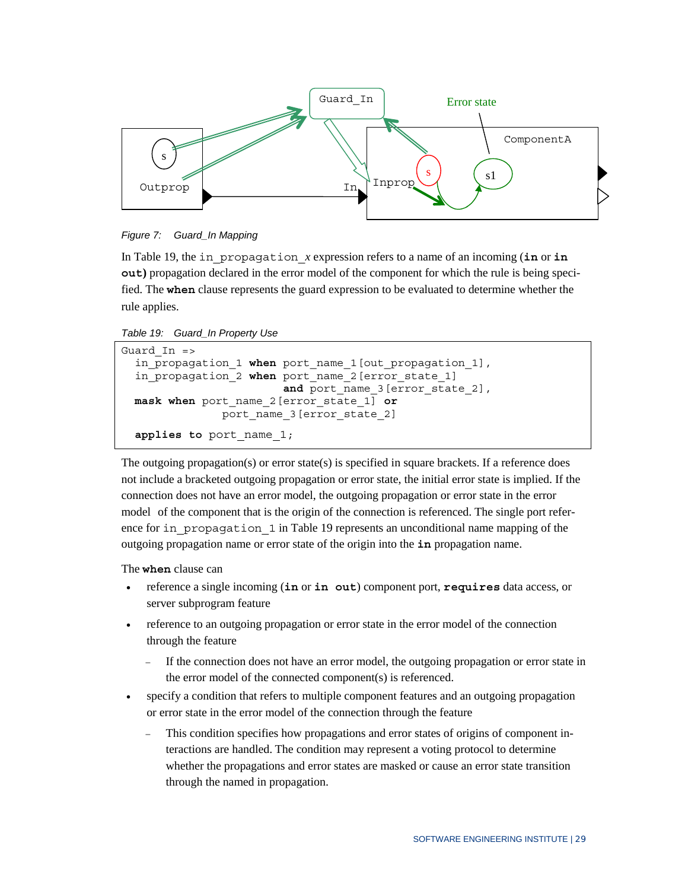

*Figure 7: Guard\_In Mapping* 

In Table 19, the in propagation x expression refers to a name of an incoming (in or in **out)** propagation declared in the error model of the component for which the rule is being specified. The **when** clause represents the guard expression to be evaluated to determine whether the rule applies.

*Table 19: Guard\_In Property Use* 

```
Guard In =>
   in_propagation_1 when port_name_1[out_propagation_1], 
  in propagation 2 when port name 2 [error state 1]
                         and port name 3 [error state 2],
  mask when port_name_2[error_state_1] or 
               port name 3 [error state 2]
   applies to port_name_1;
```
The outgoing propagation(s) or error state(s) is specified in square brackets. If a reference does not include a bracketed outgoing propagation or error state, the initial error state is implied. If the connection does not have an error model, the outgoing propagation or error state in the error model of the component that is the origin of the connection is referenced. The single port reference for in propagation 1 in Table 19 represents an unconditional name mapping of the outgoing propagation name or error state of the origin into the **in** propagation name.

The **when** clause can

- reference a single incoming (**in** or **in out**) component port, **requires** data access, or server subprogram feature
- reference to an outgoing propagation or error state in the error model of the connection through the feature
	- If the connection does not have an error model, the outgoing propagation or error state in the error model of the connected component(s) is referenced.
- specify a condition that refers to multiple component features and an outgoing propagation or error state in the error model of the connection through the feature
	- This condition specifies how propagations and error states of origins of component interactions are handled. The condition may represent a voting protocol to determine whether the propagations and error states are masked or cause an error state transition through the named in propagation.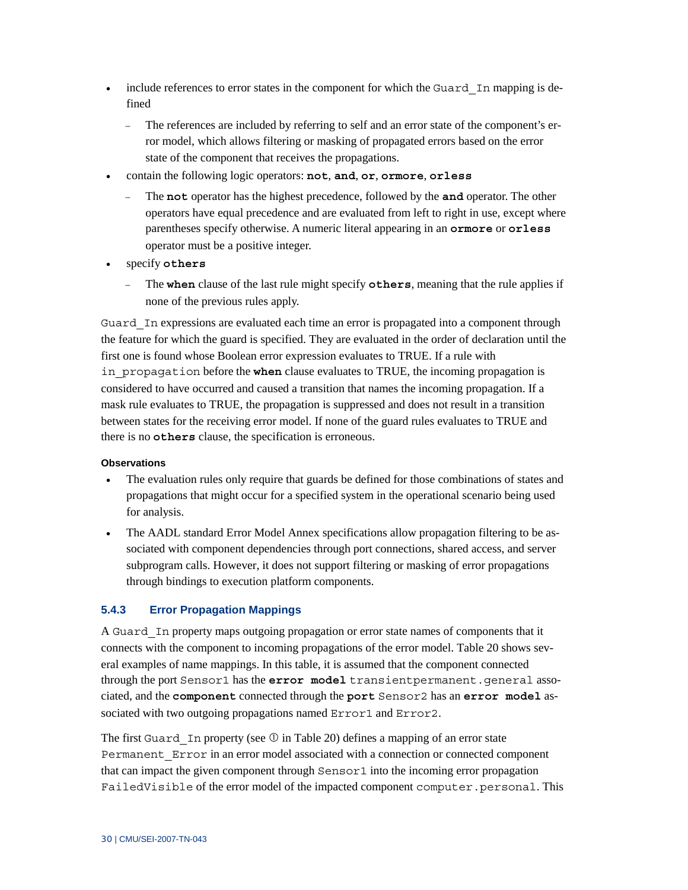- include references to error states in the component for which the Guard\_In mapping is defined
	- The references are included by referring to self and an error state of the component's error model, which allows filtering or masking of propagated errors based on the error state of the component that receives the propagations.
- contain the following logic operators: **not**, **and**, **or**, **ormore**, **orless**
	- − The **not** operator has the highest precedence, followed by the **and** operator. The other operators have equal precedence and are evaluated from left to right in use, except where parentheses specify otherwise. A numeric literal appearing in an **ormore** or **orless** operator must be a positive integer.
- specify others
	- The when clause of the last rule might specify others, meaning that the rule applies if none of the previous rules apply.

Guard\_In expressions are evaluated each time an error is propagated into a component through the feature for which the guard is specified. They are evaluated in the order of declaration until the first one is found whose Boolean error expression evaluates to TRUE. If a rule with in\_propagation before the **when** clause evaluates to TRUE, the incoming propagation is considered to have occurred and caused a transition that names the incoming propagation. If a mask rule evaluates to TRUE, the propagation is suppressed and does not result in a transition between states for the receiving error model. If none of the guard rules evaluates to TRUE and there is no **others** clause, the specification is erroneous.

# **Observations**

- The evaluation rules only require that guards be defined for those combinations of states and propagations that might occur for a specified system in the operational scenario being used for analysis.
- The AADL standard Error Model Annex specifications allow propagation filtering to be associated with component dependencies through port connections, shared access, and server subprogram calls. However, it does not support filtering or masking of error propagations through bindings to execution platform components.

# **5.4.3 Error Propagation Mappings**

A Guard\_In property maps outgoing propagation or error state names of components that it connects with the component to incoming propagations of the error model. Table 20 shows several examples of name mappings. In this table, it is assumed that the component connected through the port Sensor1 has the **error model** transientpermanent.general associated, and the **component** connected through the **port** Sensor2 has an **error model** associated with two outgoing propagations named Error1 and Error2.

The first Guard In property (see  $\mathbb O$  in Table 20) defines a mapping of an error state Permanent Error in an error model associated with a connection or connected component that can impact the given component through Sensor1 into the incoming error propagation FailedVisible of the error model of the impacted component computer.personal. This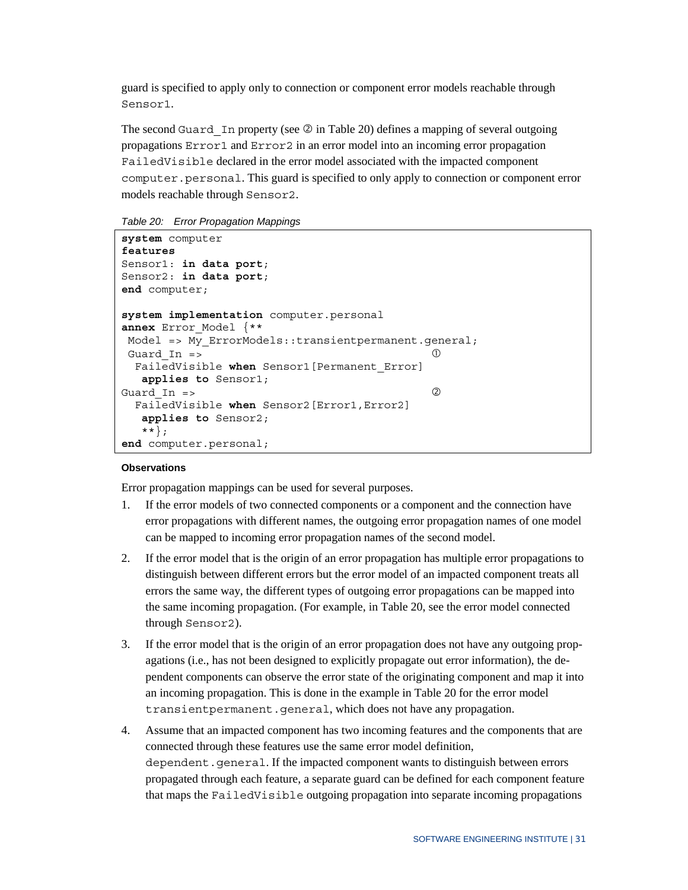guard is specified to apply only to connection or component error models reachable through Sensor1.

The second Guard In property (see  $\oslash$  in Table 20) defines a mapping of several outgoing propagations Error1 and Error2 in an error model into an incoming error propagation FailedVisible declared in the error model associated with the impacted component computer.personal. This guard is specified to only apply to connection or component error models reachable through Sensor2.

*Table 20: Error Propagation Mappings* 

```
system computer 
features 
Sensor1: in data port; 
Sensor2: in data port; 
end computer; 
system implementation computer.personal 
annex Error Model \{** Model => My_ErrorModels::transientpermanent.general; 
Guard In = >
 FailedVisible when Sensor1[Permanent Error]
  applies to Sensor1; 
Guard In \Rightarrow 0
  FailedVisible when Sensor2[Error1,Error2] 
  applies to Sensor2; 
    **}; 
end computer.personal;
```
# **Observations**

Error propagation mappings can be used for several purposes.

- 1. If the error models of two connected components or a component and the connection have error propagations with different names, the outgoing error propagation names of one model can be mapped to incoming error propagation names of the second model.
- 2. If the error model that is the origin of an error propagation has multiple error propagations to distinguish between different errors but the error model of an impacted component treats all errors the same way, the different types of outgoing error propagations can be mapped into the same incoming propagation. (For example, in Table 20, see the error model connected through Sensor2).
- 3. If the error model that is the origin of an error propagation does not have any outgoing propagations (i.e., has not been designed to explicitly propagate out error information), the dependent components can observe the error state of the originating component and map it into an incoming propagation. This is done in the example in Table 20 for the error model transientpermanent.general, which does not have any propagation.
- 4. Assume that an impacted component has two incoming features and the components that are connected through these features use the same error model definition, dependent.general. If the impacted component wants to distinguish between errors propagated through each feature, a separate guard can be defined for each component feature that maps the FailedVisible outgoing propagation into separate incoming propagations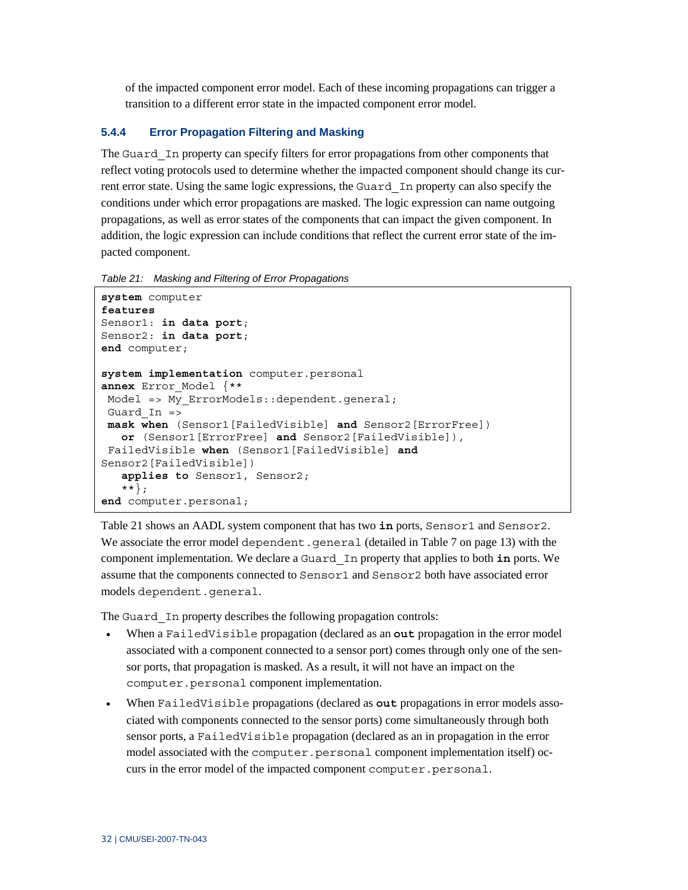of the impacted component error model. Each of these incoming propagations can trigger a transition to a different error state in the impacted component error model.

# **5.4.4 Error Propagation Filtering and Masking**

The Guard\_In property can specify filters for error propagations from other components that reflect voting protocols used to determine whether the impacted component should change its current error state. Using the same logic expressions, the Guard\_In property can also specify the conditions under which error propagations are masked. The logic expression can name outgoing propagations, as well as error states of the components that can impact the given component. In addition, the logic expression can include conditions that reflect the current error state of the impacted component.

*Table 21: Masking and Filtering of Error Propagations* 

```
system computer 
features 
Sensor1: in data port; 
Sensor2: in data port; 
end computer; 
system implementation computer.personal 
annex Error_Model {** 
 Model => My_ErrorModels::dependent.general; 
Guard In =>
mask when (Sensor1[FailedVisible] and Sensor2[ErrorFree]) 
    or (Sensor1[ErrorFree] and Sensor2[FailedVisible]), 
 FailedVisible when (Sensor1[FailedVisible] and
Sensor2[FailedVisible]) 
   applies to Sensor1, Sensor2; 
    **}; 
end computer.personal;
```
Table 21 shows an AADL system component that has two in ports, Sensor1 and Sensor2. We associate the error model dependent.general (detailed in Table 7 on page 13) with the component implementation. We declare a Guard\_In property that applies to both **in** ports. We assume that the components connected to Sensor1 and Sensor2 both have associated error models dependent.general.

The Guard In property describes the following propagation controls:

- When a FailedVisible propagation (declared as an **out** propagation in the error model associated with a component connected to a sensor port) comes through only one of the sensor ports, that propagation is masked. As a result, it will not have an impact on the computer.personal component implementation.
- When FailedVisible propagations (declared as **out** propagations in error models associated with components connected to the sensor ports) come simultaneously through both sensor ports, a FailedVisible propagation (declared as an in propagation in the error model associated with the computer.personal component implementation itself) occurs in the error model of the impacted component computer.personal.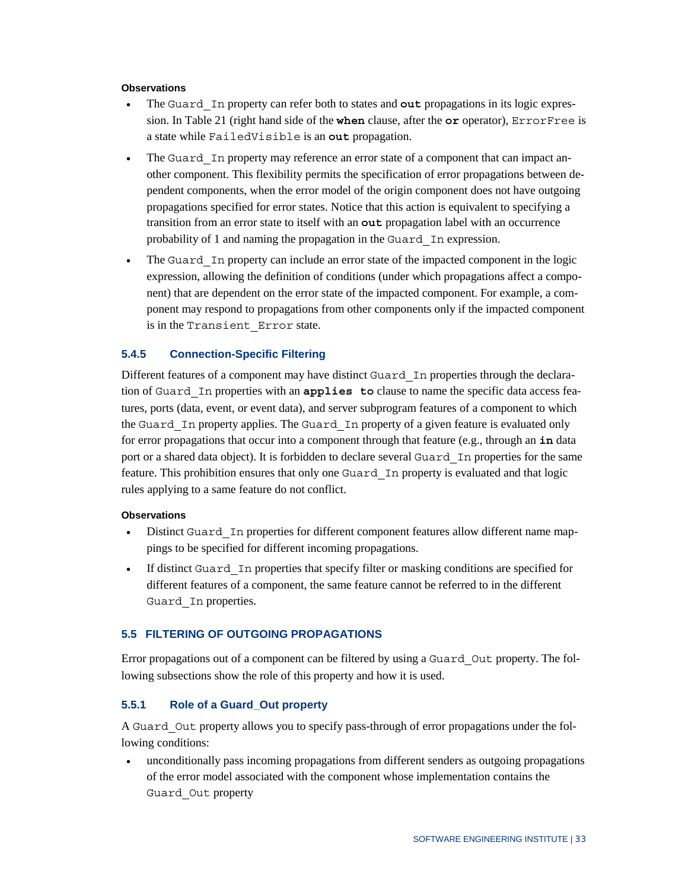#### **Observations**

- The Guard In property can refer both to states and **out** propagations in its logic expression. In Table 21 (right hand side of the **when** clause, after the **or** operator), ErrorFree is a state while FailedVisible is an **out** propagation.
- The Guard In property may reference an error state of a component that can impact another component. This flexibility permits the specification of error propagations between dependent components, when the error model of the origin component does not have outgoing propagations specified for error states. Notice that this action is equivalent to specifying a transition from an error state to itself with an **out** propagation label with an occurrence probability of 1 and naming the propagation in the Guard\_In expression.
- The Guard In property can include an error state of the impacted component in the logic expression, allowing the definition of conditions (under which propagations affect a component) that are dependent on the error state of the impacted component. For example, a component may respond to propagations from other components only if the impacted component is in the Transient\_Error state.

# **5.4.5 Connection-Specific Filtering**

Different features of a component may have distinct Guard\_In properties through the declaration of Guard\_In properties with an **applies to** clause to name the specific data access features, ports (data, event, or event data), and server subprogram features of a component to which the Guard\_In property applies. The Guard\_In property of a given feature is evaluated only for error propagations that occur into a component through that feature (e.g., through an **in** data port or a shared data object). It is forbidden to declare several Guard\_In properties for the same feature. This prohibition ensures that only one Guard\_In property is evaluated and that logic rules applying to a same feature do not conflict.

#### **Observations**

- Distinct Guard In properties for different component features allow different name mappings to be specified for different incoming propagations.
- If distinct Guard In properties that specify filter or masking conditions are specified for different features of a component, the same feature cannot be referred to in the different Guard\_In properties.

# **5.5 FILTERING OF OUTGOING PROPAGATIONS**

Error propagations out of a component can be filtered by using a Guard\_Out property. The following subsections show the role of this property and how it is used.

## **5.5.1 Role of a Guard\_Out property**

A Guard\_Out property allows you to specify pass-through of error propagations under the following conditions:

• unconditionally pass incoming propagations from different senders as outgoing propagations of the error model associated with the component whose implementation contains the Guard\_Out property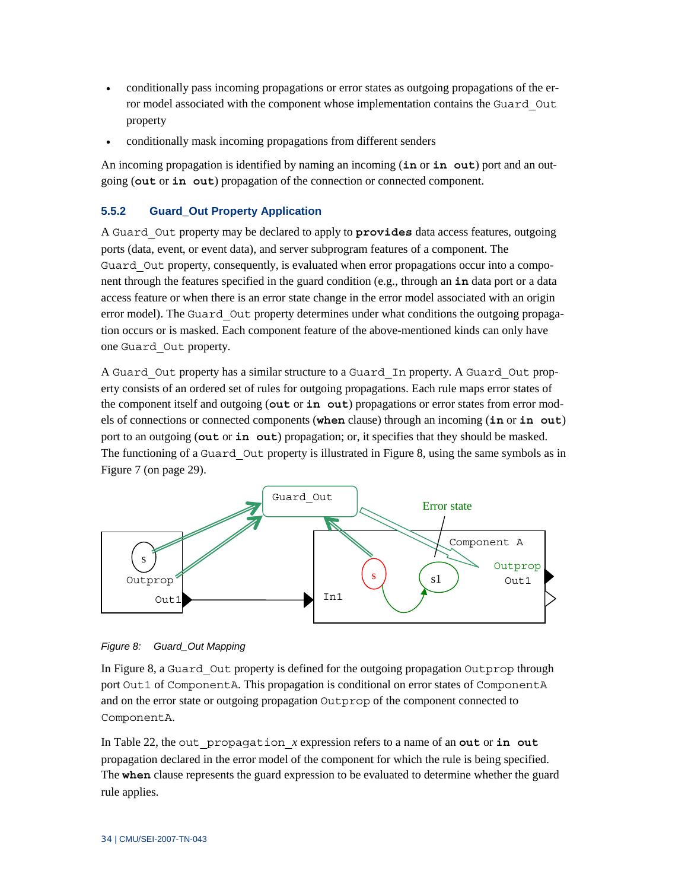- conditionally pass incoming propagations or error states as outgoing propagations of the error model associated with the component whose implementation contains the Guard Out property
- conditionally mask incoming propagations from different senders

An incoming propagation is identified by naming an incoming (**in** or **in out**) port and an outgoing (**out** or **in out**) propagation of the connection or connected component.

# **5.5.2 Guard\_Out Property Application**

A Guard\_Out property may be declared to apply to **provides** data access features, outgoing ports (data, event, or event data), and server subprogram features of a component. The Guard Out property, consequently, is evaluated when error propagations occur into a component through the features specified in the guard condition (e.g., through an **in** data port or a data access feature or when there is an error state change in the error model associated with an origin error model). The Guard\_Out property determines under what conditions the outgoing propagation occurs or is masked. Each component feature of the above-mentioned kinds can only have one Guard\_Out property.

A Guard\_Out property has a similar structure to a Guard\_In property. A Guard\_Out property consists of an ordered set of rules for outgoing propagations. Each rule maps error states of the component itself and outgoing (**out** or **in out**) propagations or error states from error models of connections or connected components (**when** clause) through an incoming (**in** or **in out**) port to an outgoing (**out** or **in out**) propagation; or, it specifies that they should be masked. The functioning of a Guard Out property is illustrated in Figure 8, using the same symbols as in Figure 7 (on page 29).



*Figure 8: Guard\_Out Mapping* 

In Figure 8, a Guard Out property is defined for the outgoing propagation Outprop through port Out1 of ComponentA. This propagation is conditional on error states of ComponentA and on the error state or outgoing propagation Outprop of the component connected to ComponentA.

In Table 22, the out\_propagation\_*x* expression refers to a name of an **out** or **in out** propagation declared in the error model of the component for which the rule is being specified. The **when** clause represents the guard expression to be evaluated to determine whether the guard rule applies.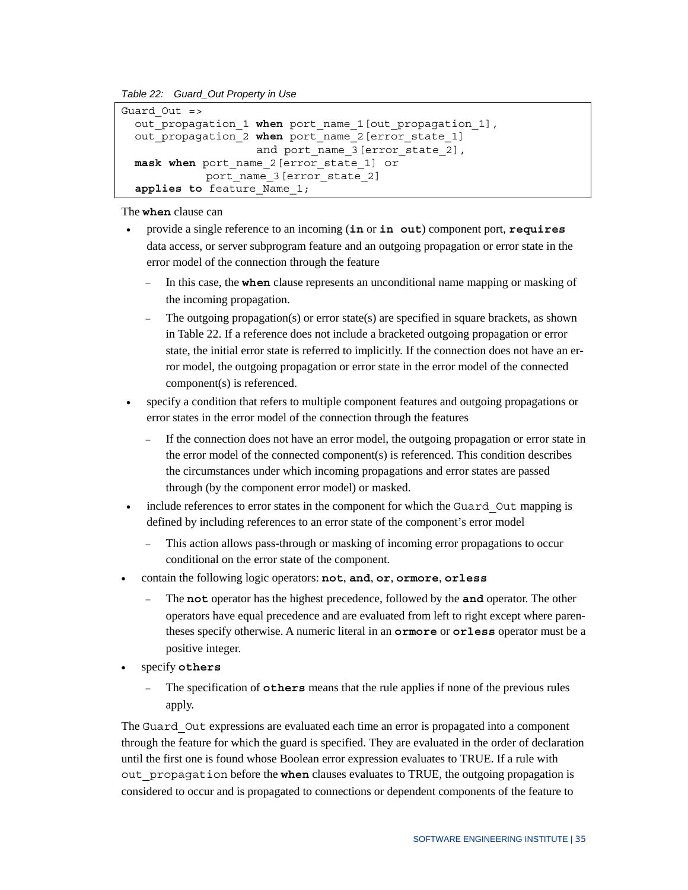*Table 22: Guard\_Out Property in Use* 

```
Guard Out =>
  out propagation 1 when port name 1 [out propagation 1],
  out propagation 2 when port name 2 [error state 1]
                    and port name 3 [error state 2],
  mask when port_name_2[error_state_1] or 
             port name 3 [error state 2]
   applies to feature_Name_1;
```
The **when** clause can

- provide a single reference to an incoming (**in** or **in out**) component port, **requires** data access, or server subprogram feature and an outgoing propagation or error state in the error model of the connection through the feature
	- In this case, the **when** clause represents an unconditional name mapping or masking of the incoming propagation.
	- The outgoing propagation(s) or error state(s) are specified in square brackets, as shown in Table 22. If a reference does not include a bracketed outgoing propagation or error state, the initial error state is referred to implicitly. If the connection does not have an error model, the outgoing propagation or error state in the error model of the connected component(s) is referenced.
- specify a condition that refers to multiple component features and outgoing propagations or error states in the error model of the connection through the features
	- If the connection does not have an error model, the outgoing propagation or error state in the error model of the connected component(s) is referenced. This condition describes the circumstances under which incoming propagations and error states are passed through (by the component error model) or masked.
- include references to error states in the component for which the Guard Out mapping is defined by including references to an error state of the component's error model
	- This action allows pass-through or masking of incoming error propagations to occur conditional on the error state of the component.
- contain the following logic operators: **not**, **and**, **or**, **ormore**, **orless**
	- − The **not** operator has the highest precedence, followed by the **and** operator. The other operators have equal precedence and are evaluated from left to right except where parentheses specify otherwise. A numeric literal in an **ormore** or **orless** operator must be a positive integer.
- specify **others**
	- − The specification of **others** means that the rule applies if none of the previous rules apply.

The Guard Out expressions are evaluated each time an error is propagated into a component through the feature for which the guard is specified. They are evaluated in the order of declaration until the first one is found whose Boolean error expression evaluates to TRUE. If a rule with out\_propagation before the **when** clauses evaluates to TRUE, the outgoing propagation is considered to occur and is propagated to connections or dependent components of the feature to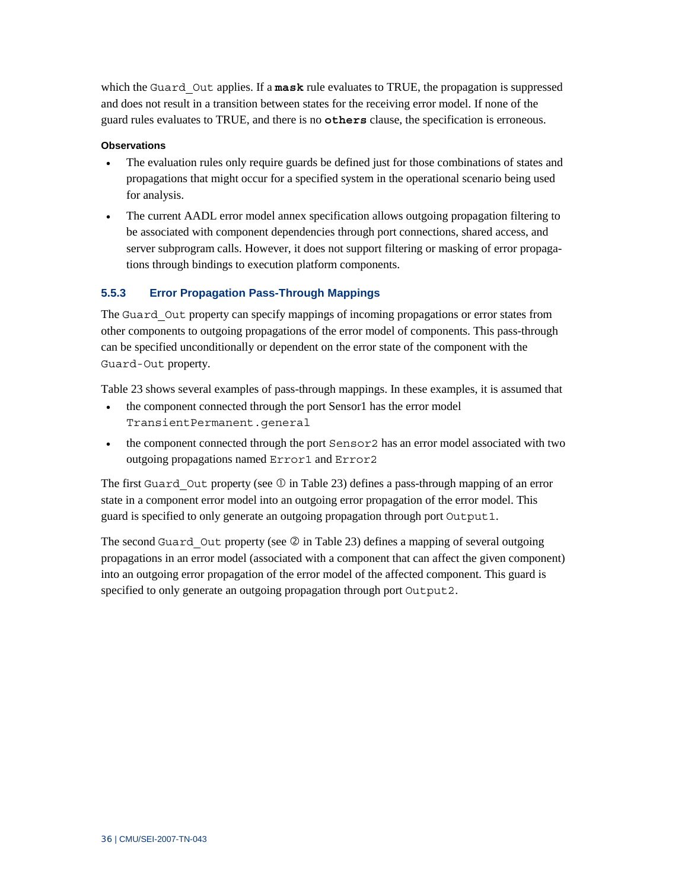which the Guard\_Out applies. If a **mask** rule evaluates to TRUE, the propagation is suppressed and does not result in a transition between states for the receiving error model. If none of the guard rules evaluates to TRUE, and there is no **others** clause, the specification is erroneous.

## **Observations**

- The evaluation rules only require guards be defined just for those combinations of states and propagations that might occur for a specified system in the operational scenario being used for analysis.
- The current AADL error model annex specification allows outgoing propagation filtering to be associated with component dependencies through port connections, shared access, and server subprogram calls. However, it does not support filtering or masking of error propagations through bindings to execution platform components.

# **5.5.3 Error Propagation Pass-Through Mappings**

The Guard Out property can specify mappings of incoming propagations or error states from other components to outgoing propagations of the error model of components. This pass-through can be specified unconditionally or dependent on the error state of the component with the Guard-Out property.

Table 23 shows several examples of pass-through mappings. In these examples, it is assumed that

- the component connected through the port Sensor1 has the error model TransientPermanent.general
- the component connected through the port Sensor2 has an error model associated with two outgoing propagations named Error1 and Error2

The first Guard  $\overline{O}$  Out property (see  $\overline{O}$  in Table 23) defines a pass-through mapping of an error state in a component error model into an outgoing error propagation of the error model. This guard is specified to only generate an outgoing propagation through port Output1.

The second Guard Out property (see  $\oslash$  in Table 23) defines a mapping of several outgoing propagations in an error model (associated with a component that can affect the given component) into an outgoing error propagation of the error model of the affected component. This guard is specified to only generate an outgoing propagation through port Output2.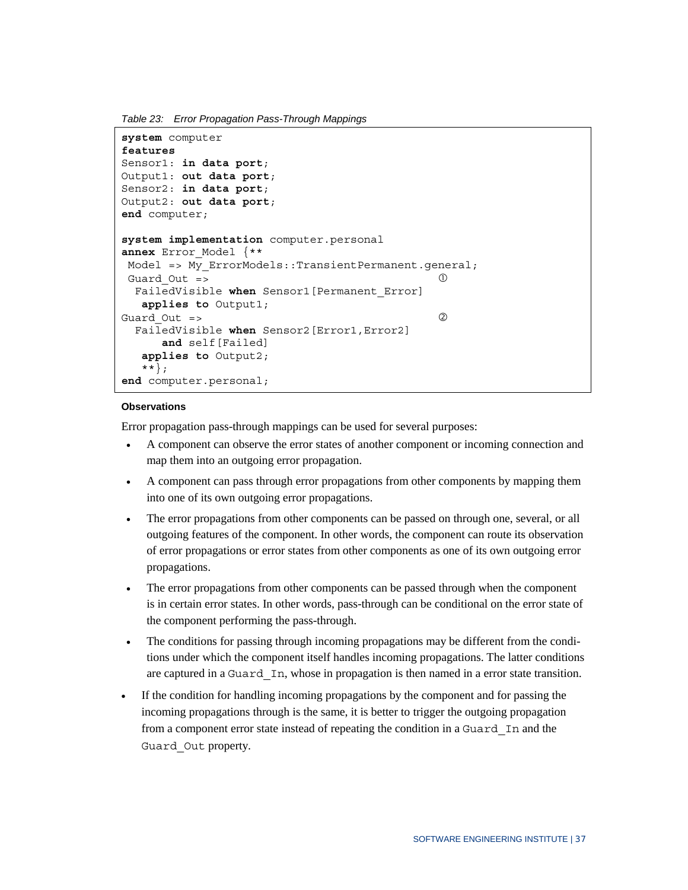*Table 23: Error Propagation Pass-Through Mappings* 

```
system computer 
features 
Sensor1: in data port; 
Output1: out data port; 
Sensor2: in data port; 
Output2: out data port; 
end computer; 
system implementation computer.personal 
annex Error Model \{**\} Model => My_ErrorModels::TransientPermanent.general; 
Guard Out =>
  FailedVisible when Sensor1[Permanent_Error] 
   applies to Output1; 
Guard Out \Rightarrow denotes the contract of \circledcirc FailedVisible when Sensor2[Error1,Error2] 
       and self[Failed] 
   applies to Output2; 
    **}; 
end computer.personal;
```
#### **Observations**

Error propagation pass-through mappings can be used for several purposes:

- A component can observe the error states of another component or incoming connection and map them into an outgoing error propagation.
- A component can pass through error propagations from other components by mapping them into one of its own outgoing error propagations.
- The error propagations from other components can be passed on through one, several, or all outgoing features of the component. In other words, the component can route its observation of error propagations or error states from other components as one of its own outgoing error propagations.
- The error propagations from other components can be passed through when the component is in certain error states. In other words, pass-through can be conditional on the error state of the component performing the pass-through.
- The conditions for passing through incoming propagations may be different from the conditions under which the component itself handles incoming propagations. The latter conditions are captured in a Guard\_In, whose in propagation is then named in a error state transition.
- If the condition for handling incoming propagations by the component and for passing the incoming propagations through is the same, it is better to trigger the outgoing propagation from a component error state instead of repeating the condition in a Guard\_In and the Guard\_Out property.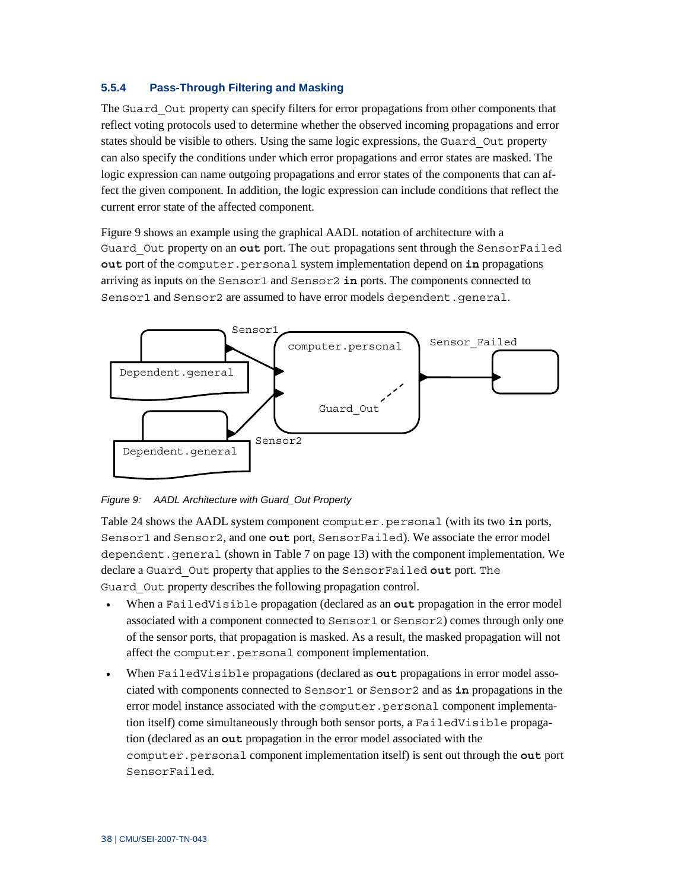## **5.5.4 Pass-Through Filtering and Masking**

The Guard\_Out property can specify filters for error propagations from other components that reflect voting protocols used to determine whether the observed incoming propagations and error states should be visible to others. Using the same logic expressions, the Guard\_Out property can also specify the conditions under which error propagations and error states are masked. The logic expression can name outgoing propagations and error states of the components that can affect the given component. In addition, the logic expression can include conditions that reflect the current error state of the affected component.

Figure 9 shows an example using the graphical AADL notation of architecture with a Guard\_Out property on an **out** port. The out propagations sent through the SensorFailed **out** port of the computer.personal system implementation depend on **in** propagations arriving as inputs on the Sensor1 and Sensor2 **in** ports. The components connected to Sensor1 and Sensor2 are assumed to have error models dependent.general.



*Figure 9: AADL Architecture with Guard\_Out Property* 

Table 24 shows the AADL system component computer.personal (with its two **in** ports, Sensor1 and Sensor2*,* and one **out** port, SensorFailed). We associate the error model dependent.general (shown in Table 7 on page 13) with the component implementation. We declare a Guard\_Out property that applies to the SensorFailed **out** port. The Guard Out property describes the following propagation control.

- When a FailedVisible propagation (declared as an **out** propagation in the error model associated with a component connected to Sensor1 or Sensor2) comes through only one of the sensor ports, that propagation is masked. As a result, the masked propagation will not affect the computer.personal component implementation.
- When FailedVisible propagations (declared as **out** propagations in error model associated with components connected to Sensor1 or Sensor2 and as **in** propagations in the error model instance associated with the computer.personal component implementation itself) come simultaneously through both sensor ports, a FailedVisible propagation (declared as an **out** propagation in the error model associated with the computer.personal component implementation itself) is sent out through the **out** port SensorFailed.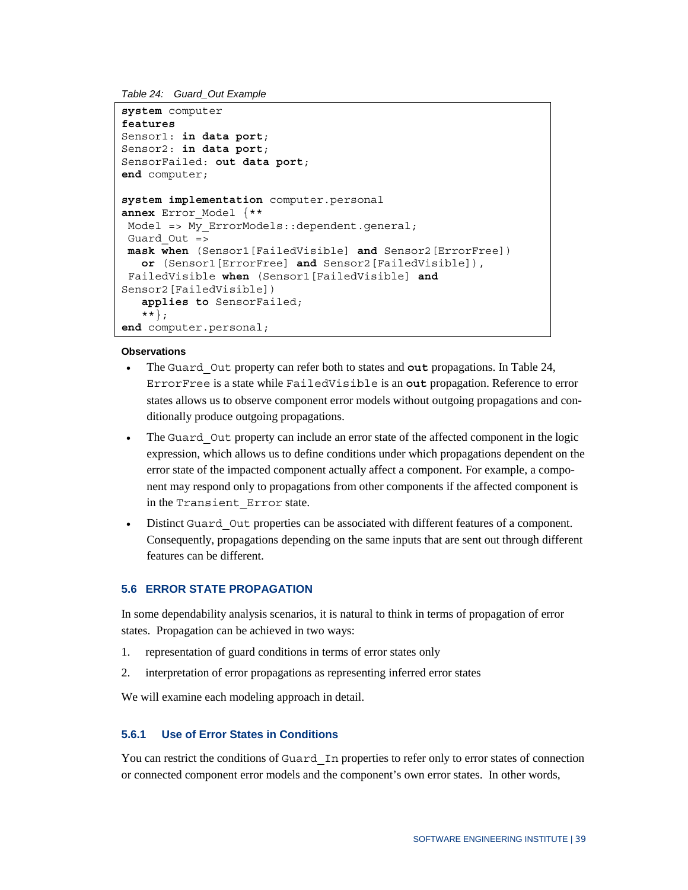*Table 24: Guard\_Out Example* 

```
system computer 
features 
Sensor1: in data port; 
Sensor2: in data port; 
SensorFailed: out data port; 
end computer; 
system implementation computer.personal 
annex Error Model \{**\}Model => My ErrorModels::dependent.general;
Guard Out =>
mask when (Sensor1[FailedVisible] and Sensor2[ErrorFree]) 
   or (Sensor1[ErrorFree] and Sensor2[FailedVisible]), 
 FailedVisible when (Sensor1[FailedVisible] and
Sensor2[FailedVisible]) 
   applies to SensorFailed; 
    **}; 
end computer.personal;
```
#### **Observations**

- The Guard\_Out property can refer both to states and **out** propagations. In Table 24, ErrorFree is a state while FailedVisible is an **out** propagation. Reference to error states allows us to observe component error models without outgoing propagations and conditionally produce outgoing propagations.
- The Guard Out property can include an error state of the affected component in the logic expression, which allows us to define conditions under which propagations dependent on the error state of the impacted component actually affect a component. For example, a component may respond only to propagations from other components if the affected component is in the Transient\_Error state.
- Distinct Guard Out properties can be associated with different features of a component. Consequently, propagations depending on the same inputs that are sent out through different features can be different.

## **5.6 ERROR STATE PROPAGATION**

In some dependability analysis scenarios, it is natural to think in terms of propagation of error states. Propagation can be achieved in two ways:

- 1. representation of guard conditions in terms of error states only
- 2. interpretation of error propagations as representing inferred error states

We will examine each modeling approach in detail.

#### **5.6.1 Use of Error States in Conditions**

You can restrict the conditions of Guard In properties to refer only to error states of connection or connected component error models and the component's own error states. In other words,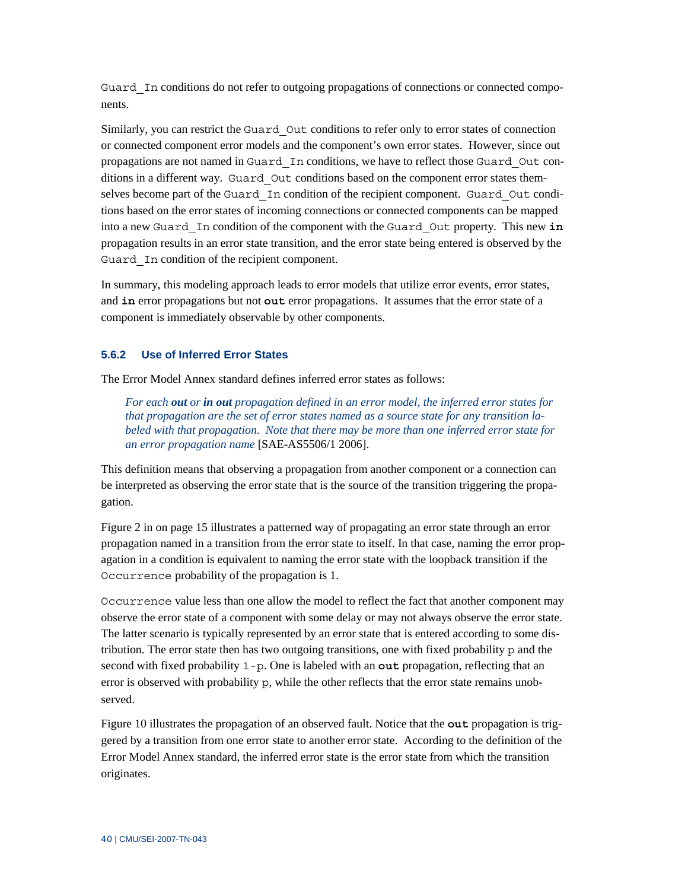Guard\_In conditions do not refer to outgoing propagations of connections or connected components.

Similarly, you can restrict the Guard\_Out conditions to refer only to error states of connection or connected component error models and the component's own error states. However, since out propagations are not named in Guard\_In conditions, we have to reflect those Guard\_Out conditions in a different way. Guard\_Out conditions based on the component error states themselves become part of the Guard In condition of the recipient component. Guard Out conditions based on the error states of incoming connections or connected components can be mapped into a new Guard\_In condition of the component with the Guard\_Out property. This new **in** propagation results in an error state transition, and the error state being entered is observed by the Guard\_In condition of the recipient component.

In summary, this modeling approach leads to error models that utilize error events, error states, and **in** error propagations but not **out** error propagations. It assumes that the error state of a component is immediately observable by other components.

# **5.6.2 Use of Inferred Error States**

The Error Model Annex standard defines inferred error states as follows:

*For each out or in out propagation defined in an error model, the inferred error states for that propagation are the set of error states named as a source state for any transition labeled with that propagation. Note that there may be more than one inferred error state for an error propagation name* [SAE-AS5506/1 2006].

This definition means that observing a propagation from another component or a connection can be interpreted as observing the error state that is the source of the transition triggering the propagation.

Figure 2 in on page 15 illustrates a patterned way of propagating an error state through an error propagation named in a transition from the error state to itself. In that case, naming the error propagation in a condition is equivalent to naming the error state with the loopback transition if the Occurrence probability of the propagation is 1.

Occurrence value less than one allow the model to reflect the fact that another component may observe the error state of a component with some delay or may not always observe the error state. The latter scenario is typically represented by an error state that is entered according to some distribution. The error state then has two outgoing transitions, one with fixed probability p and the second with fixed probability 1-p. One is labeled with an **out** propagation, reflecting that an error is observed with probability p, while the other reflects that the error state remains unobserved.

Figure 10 illustrates the propagation of an observed fault. Notice that the **out** propagation is triggered by a transition from one error state to another error state. According to the definition of the Error Model Annex standard, the inferred error state is the error state from which the transition originates.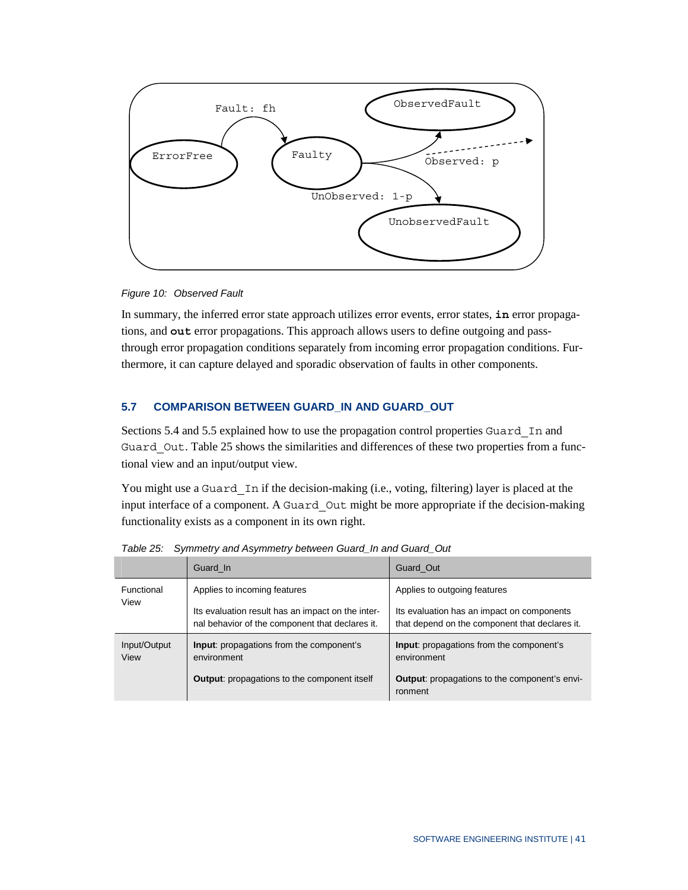

*Figure 10: Observed Fault* 

In summary, the inferred error state approach utilizes error events, error states, **in** error propagations, and **out** error propagations. This approach allows users to define outgoing and passthrough error propagation conditions separately from incoming error propagation conditions. Furthermore, it can capture delayed and sporadic observation of faults in other components.

# **5.7 COMPARISON BETWEEN GUARD\_IN AND GUARD\_OUT**

Sections 5.4 and 5.5 explained how to use the propagation control properties Guard\_In and Guard Out. Table 25 shows the similarities and differences of these two properties from a functional view and an input/output view.

You might use a Guard In if the decision-making (i.e., voting, filtering) layer is placed at the input interface of a component. A Guard Out might be more appropriate if the decision-making functionality exists as a component in its own right.

|                      | Guard In                                                                                             | Guard Out                                                                                    |
|----------------------|------------------------------------------------------------------------------------------------------|----------------------------------------------------------------------------------------------|
| Functional<br>View   | Applies to incoming features                                                                         | Applies to outgoing features                                                                 |
|                      | Its evaluation result has an impact on the inter-<br>nal behavior of the component that declares it. | Its evaluation has an impact on components<br>that depend on the component that declares it. |
| Input/Output<br>View | <b>Input:</b> propagations from the component's<br>environment                                       | <b>Input:</b> propagations from the component's<br>environment                               |
|                      | <b>Output:</b> propagations to the component itself                                                  | <b>Output:</b> propagations to the component's envi-<br>ronment                              |

*Table 25: Symmetry and Asymmetry between Guard\_In and Guard\_Out*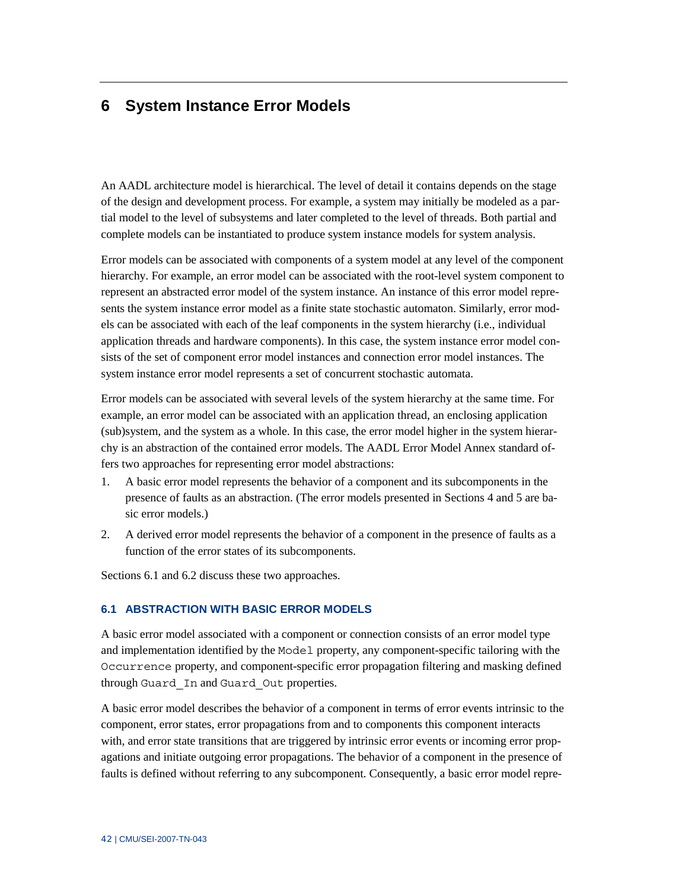# **6 System Instance Error Models**

An AADL architecture model is hierarchical. The level of detail it contains depends on the stage of the design and development process. For example, a system may initially be modeled as a partial model to the level of subsystems and later completed to the level of threads. Both partial and complete models can be instantiated to produce system instance models for system analysis.

Error models can be associated with components of a system model at any level of the component hierarchy. For example, an error model can be associated with the root-level system component to represent an abstracted error model of the system instance. An instance of this error model represents the system instance error model as a finite state stochastic automaton. Similarly, error models can be associated with each of the leaf components in the system hierarchy (i.e., individual application threads and hardware components). In this case, the system instance error model consists of the set of component error model instances and connection error model instances. The system instance error model represents a set of concurrent stochastic automata.

Error models can be associated with several levels of the system hierarchy at the same time. For example, an error model can be associated with an application thread, an enclosing application (sub)system, and the system as a whole. In this case, the error model higher in the system hierarchy is an abstraction of the contained error models. The AADL Error Model Annex standard offers two approaches for representing error model abstractions:

- 1. A basic error model represents the behavior of a component and its subcomponents in the presence of faults as an abstraction. (The error models presented in Sections 4 and 5 are basic error models.)
- 2. A derived error model represents the behavior of a component in the presence of faults as a function of the error states of its subcomponents.

Sections 6.1 and 6.2 discuss these two approaches.

### **6.1 ABSTRACTION WITH BASIC ERROR MODELS**

A basic error model associated with a component or connection consists of an error model type and implementation identified by the Model property, any component-specific tailoring with the Occurrence property, and component-specific error propagation filtering and masking defined through Guard\_In and Guard\_Out properties.

A basic error model describes the behavior of a component in terms of error events intrinsic to the component, error states, error propagations from and to components this component interacts with, and error state transitions that are triggered by intrinsic error events or incoming error propagations and initiate outgoing error propagations. The behavior of a component in the presence of faults is defined without referring to any subcomponent. Consequently, a basic error model repre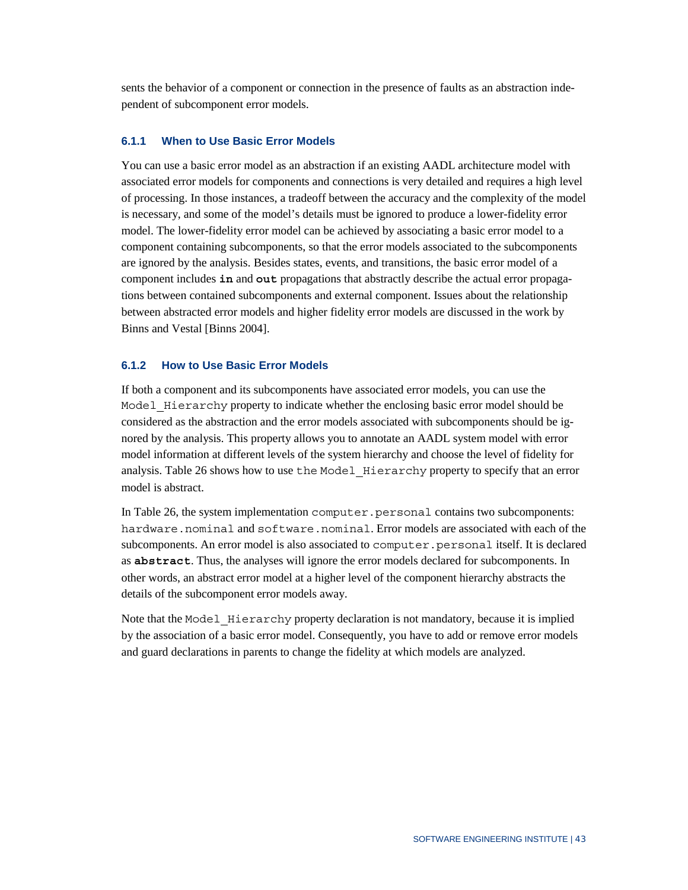sents the behavior of a component or connection in the presence of faults as an abstraction independent of subcomponent error models.

#### **6.1.1 When to Use Basic Error Models**

You can use a basic error model as an abstraction if an existing AADL architecture model with associated error models for components and connections is very detailed and requires a high level of processing. In those instances, a tradeoff between the accuracy and the complexity of the model is necessary, and some of the model's details must be ignored to produce a lower-fidelity error model. The lower-fidelity error model can be achieved by associating a basic error model to a component containing subcomponents, so that the error models associated to the subcomponents are ignored by the analysis. Besides states, events, and transitions, the basic error model of a component includes **in** and **out** propagations that abstractly describe the actual error propagations between contained subcomponents and external component. Issues about the relationship between abstracted error models and higher fidelity error models are discussed in the work by Binns and Vestal [Binns 2004].

## **6.1.2 How to Use Basic Error Models**

If both a component and its subcomponents have associated error models, you can use the Model Hierarchy property to indicate whether the enclosing basic error model should be considered as the abstraction and the error models associated with subcomponents should be ignored by the analysis. This property allows you to annotate an AADL system model with error model information at different levels of the system hierarchy and choose the level of fidelity for analysis. Table 26 shows how to use the Model\_Hierarchy property to specify that an error model is abstract.

In Table 26, the system implementation computer.personal contains two subcomponents: hardware.nominal and software.nominal. Error models are associated with each of the subcomponents. An error model is also associated to computer.personal itself. It is declared as **abstract**. Thus, the analyses will ignore the error models declared for subcomponents. In other words, an abstract error model at a higher level of the component hierarchy abstracts the details of the subcomponent error models away.

Note that the Model Hierarchy property declaration is not mandatory, because it is implied by the association of a basic error model. Consequently, you have to add or remove error models and guard declarations in parents to change the fidelity at which models are analyzed.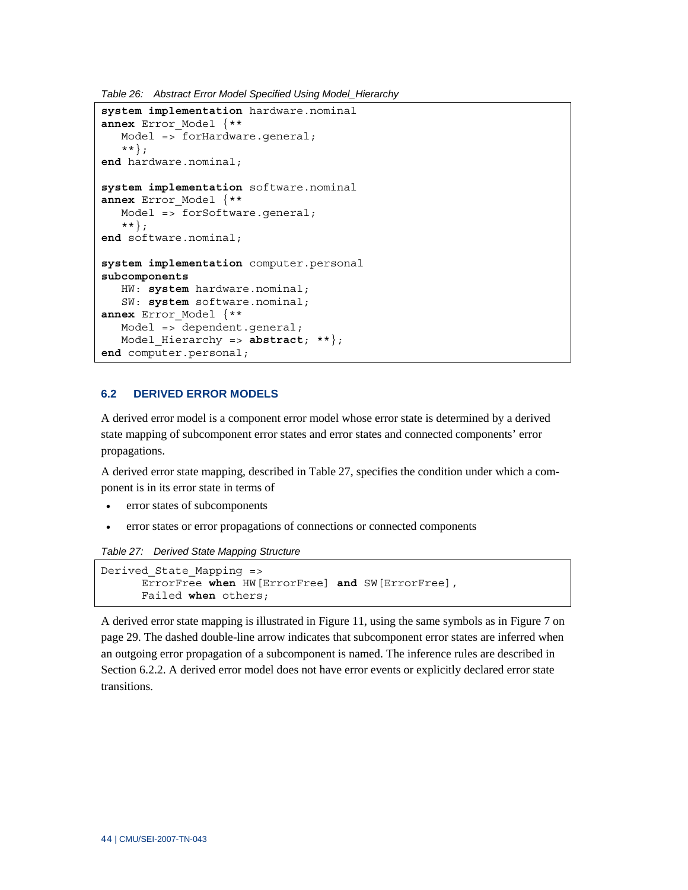*Table 26: Abstract Error Model Specified Using Model\_Hierarchy* 

```
system implementation hardware.nominal 
annex Error_Model {** 
    Model => forHardware.general; 
    **}; 
end hardware.nominal; 
system implementation software.nominal 
annex Error_Model {** 
    Model => forSoftware.general; 
    **}; 
end software.nominal; 
system implementation computer.personal 
subcomponents 
    HW: system hardware.nominal; 
    SW: system software.nominal; 
annex Error_Model {** 
    Model => dependent.general; 
    Model_Hierarchy => abstract; **}; 
end computer.personal;
```
#### **6.2 DERIVED ERROR MODELS**

A derived error model is a component error model whose error state is determined by a derived state mapping of subcomponent error states and error states and connected components' error propagations.

A derived error state mapping, described in Table 27, specifies the condition under which a component is in its error state in terms of

- error states of subcomponents
- error states or error propagations of connections or connected components

*Table 27: Derived State Mapping Structure* 

```
Derived_State_Mapping => 
       ErrorFree when HW[ErrorFree] and SW[ErrorFree], 
       Failed when others;
```
A derived error state mapping is illustrated in Figure 11, using the same symbols as in Figure 7 on page 29. The dashed double-line arrow indicates that subcomponent error states are inferred when an outgoing error propagation of a subcomponent is named. The inference rules are described in Section 6.2.2. A derived error model does not have error events or explicitly declared error state transitions.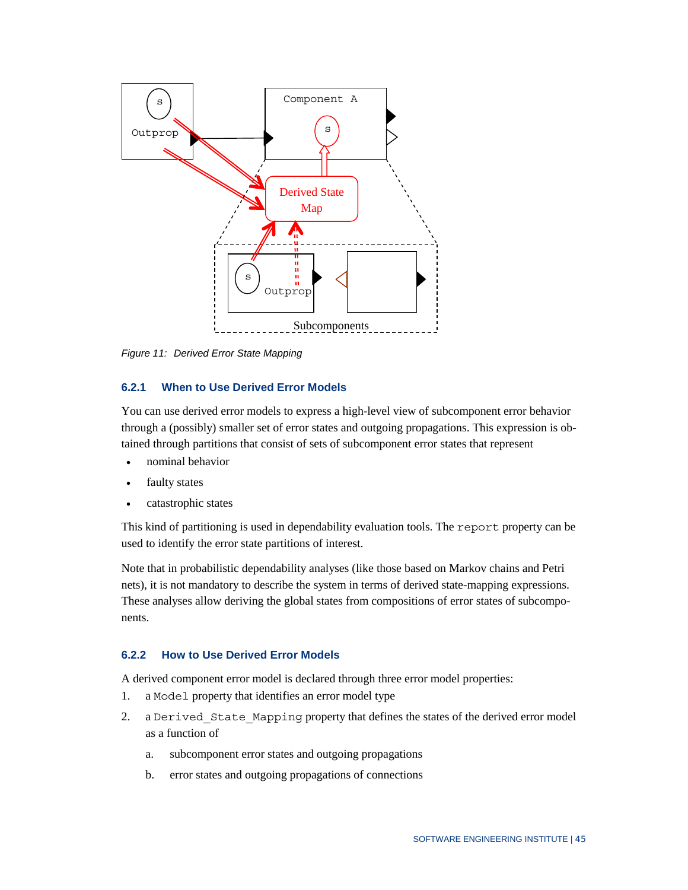

*Figure 11: Derived Error State Mapping* 

## **6.2.1 When to Use Derived Error Models**

You can use derived error models to express a high-level view of subcomponent error behavior through a (possibly) smaller set of error states and outgoing propagations. This expression is obtained through partitions that consist of sets of subcomponent error states that represent

- nominal behavior
- faulty states
- catastrophic states

This kind of partitioning is used in dependability evaluation tools. The report property can be used to identify the error state partitions of interest.

Note that in probabilistic dependability analyses (like those based on Markov chains and Petri nets), it is not mandatory to describe the system in terms of derived state-mapping expressions. These analyses allow deriving the global states from compositions of error states of subcomponents.

#### **6.2.2 How to Use Derived Error Models**

A derived component error model is declared through three error model properties:

- 1. a Model property that identifies an error model type
- 2. a Derived State Mapping property that defines the states of the derived error model as a function of
	- a. subcomponent error states and outgoing propagations
	- b. error states and outgoing propagations of connections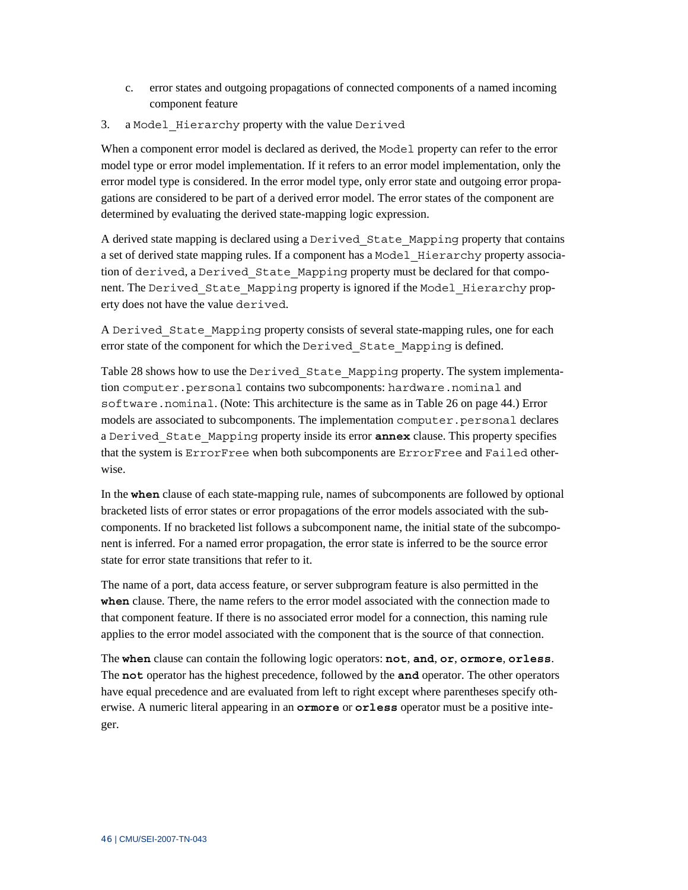- c. error states and outgoing propagations of connected components of a named incoming component feature
- 3. a Model\_Hierarchy property with the value Derived

When a component error model is declared as derived, the Model property can refer to the error model type or error model implementation. If it refers to an error model implementation, only the error model type is considered. In the error model type, only error state and outgoing error propagations are considered to be part of a derived error model. The error states of the component are determined by evaluating the derived state-mapping logic expression.

A derived state mapping is declared using a Derived\_State\_Mapping property that contains a set of derived state mapping rules. If a component has a Model Hierarchy property association of derived, a Derived\_State\_Mapping property must be declared for that component. The Derived\_State\_Mapping property is ignored if the Model\_Hierarchy property does not have the value derived.

A Derived\_State\_Mapping property consists of several state-mapping rules, one for each error state of the component for which the Derived State Mapping is defined.

Table 28 shows how to use the Derived\_State\_Mapping property. The system implementation computer.personal contains two subcomponents: hardware.nominal and software.nominal. (Note: This architecture is the same as in Table 26 on page 44.) Error models are associated to subcomponents. The implementation computer.personal declares a Derived\_State\_Mapping property inside its error **annex** clause. This property specifies that the system is ErrorFree when both subcomponents are ErrorFree and Failed otherwise.

In the **when** clause of each state-mapping rule, names of subcomponents are followed by optional bracketed lists of error states or error propagations of the error models associated with the subcomponents. If no bracketed list follows a subcomponent name, the initial state of the subcomponent is inferred. For a named error propagation, the error state is inferred to be the source error state for error state transitions that refer to it.

The name of a port, data access feature, or server subprogram feature is also permitted in the **when** clause. There, the name refers to the error model associated with the connection made to that component feature. If there is no associated error model for a connection, this naming rule applies to the error model associated with the component that is the source of that connection.

The **when** clause can contain the following logic operators: **not**, **and**, **or**, **ormore**, **orless**. The **not** operator has the highest precedence, followed by the **and** operator. The other operators have equal precedence and are evaluated from left to right except where parentheses specify otherwise. A numeric literal appearing in an **ormore** or **orless** operator must be a positive integer.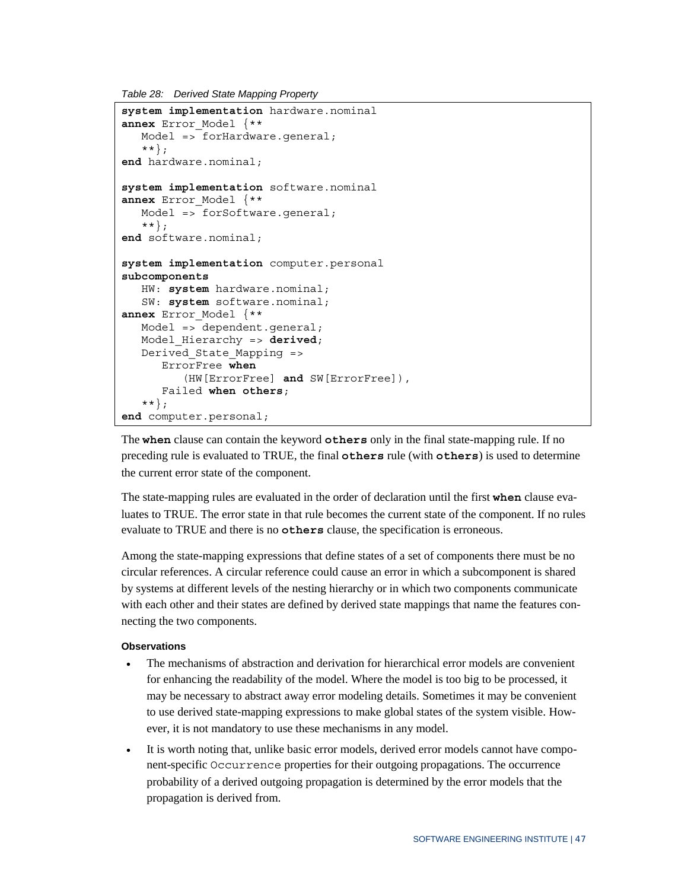*Table 28: Derived State Mapping Property* 

```
system implementation hardware.nominal 
annex Error Model \{** Model => forHardware.general; 
    **}; 
end hardware.nominal; 
system implementation software.nominal 
annex Error Model \{**\} Model => forSoftware.general; 
    **}; 
end software.nominal; 
system implementation computer.personal 
subcomponents
    HW: system hardware.nominal; 
    SW: system software.nominal; 
annex Error_Model {** 
    Model => dependent.general; 
    Model_Hierarchy => derived; 
    Derived_State_Mapping => 
       ErrorFree when 
           (HW[ErrorFree] and SW[ErrorFree]), 
       Failed when others; 
    **}; 
end computer.personal;
```
The **when** clause can contain the keyword **others** only in the final state-mapping rule. If no preceding rule is evaluated to TRUE, the final **others** rule (with **others**) is used to determine the current error state of the component.

The state-mapping rules are evaluated in the order of declaration until the first **when** clause evaluates to TRUE. The error state in that rule becomes the current state of the component. If no rules evaluate to TRUE and there is no **others** clause, the specification is erroneous.

Among the state-mapping expressions that define states of a set of components there must be no circular references. A circular reference could cause an error in which a subcomponent is shared by systems at different levels of the nesting hierarchy or in which two components communicate with each other and their states are defined by derived state mappings that name the features connecting the two components.

#### **Observations**

- The mechanisms of abstraction and derivation for hierarchical error models are convenient for enhancing the readability of the model. Where the model is too big to be processed, it may be necessary to abstract away error modeling details. Sometimes it may be convenient to use derived state-mapping expressions to make global states of the system visible. However, it is not mandatory to use these mechanisms in any model.
- It is worth noting that, unlike basic error models, derived error models cannot have component-specific Occurrence properties for their outgoing propagations. The occurrence probability of a derived outgoing propagation is determined by the error models that the propagation is derived from.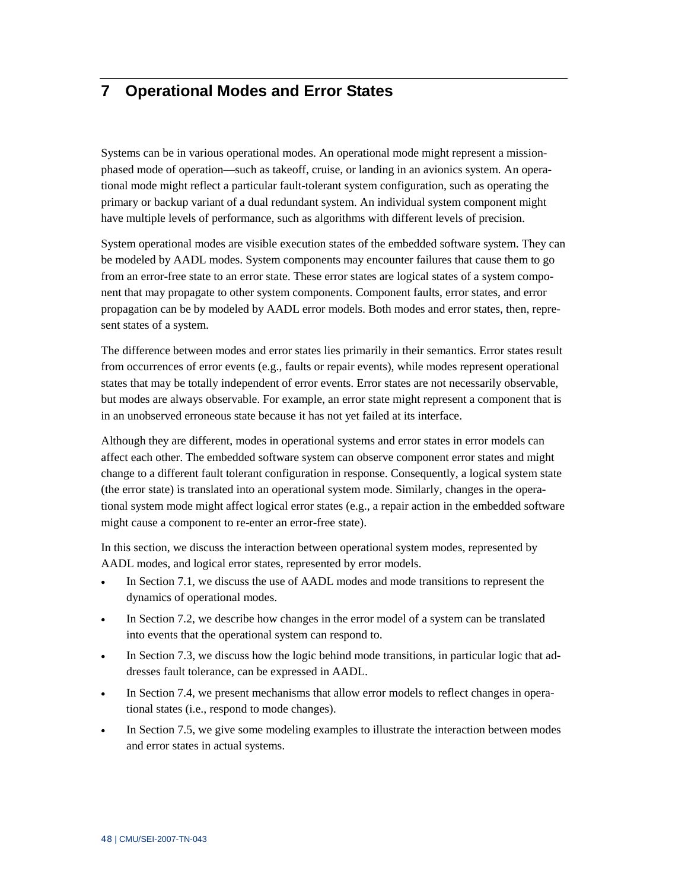# **7 Operational Modes and Error States**

Systems can be in various operational modes. An operational mode might represent a missionphased mode of operation—such as takeoff, cruise, or landing in an avionics system. An operational mode might reflect a particular fault-tolerant system configuration, such as operating the primary or backup variant of a dual redundant system. An individual system component might have multiple levels of performance, such as algorithms with different levels of precision.

System operational modes are visible execution states of the embedded software system. They can be modeled by AADL modes. System components may encounter failures that cause them to go from an error-free state to an error state. These error states are logical states of a system component that may propagate to other system components. Component faults, error states, and error propagation can be by modeled by AADL error models. Both modes and error states, then, represent states of a system.

The difference between modes and error states lies primarily in their semantics. Error states result from occurrences of error events (e.g., faults or repair events), while modes represent operational states that may be totally independent of error events. Error states are not necessarily observable, but modes are always observable. For example, an error state might represent a component that is in an unobserved erroneous state because it has not yet failed at its interface.

Although they are different, modes in operational systems and error states in error models can affect each other. The embedded software system can observe component error states and might change to a different fault tolerant configuration in response. Consequently, a logical system state (the error state) is translated into an operational system mode. Similarly, changes in the operational system mode might affect logical error states (e.g., a repair action in the embedded software might cause a component to re-enter an error-free state).

In this section, we discuss the interaction between operational system modes, represented by AADL modes, and logical error states, represented by error models.

- In Section 7.1, we discuss the use of AADL modes and mode transitions to represent the dynamics of operational modes.
- In Section 7.2, we describe how changes in the error model of a system can be translated into events that the operational system can respond to.
- In Section 7.3, we discuss how the logic behind mode transitions, in particular logic that addresses fault tolerance, can be expressed in AADL.
- In Section 7.4, we present mechanisms that allow error models to reflect changes in operational states (i.e., respond to mode changes).
- In Section 7.5, we give some modeling examples to illustrate the interaction between modes and error states in actual systems.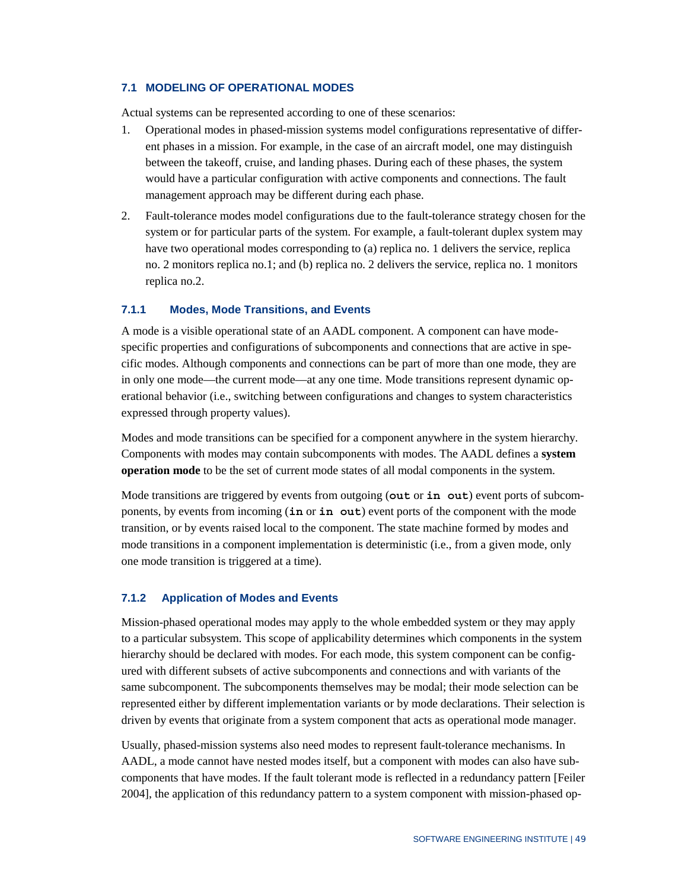## **7.1 MODELING OF OPERATIONAL MODES**

Actual systems can be represented according to one of these scenarios:

- 1. Operational modes in phased-mission systems model configurations representative of different phases in a mission. For example, in the case of an aircraft model, one may distinguish between the takeoff, cruise, and landing phases. During each of these phases, the system would have a particular configuration with active components and connections. The fault management approach may be different during each phase.
- 2. Fault-tolerance modes model configurations due to the fault-tolerance strategy chosen for the system or for particular parts of the system. For example, a fault-tolerant duplex system may have two operational modes corresponding to (a) replica no. 1 delivers the service, replica no. 2 monitors replica no.1; and (b) replica no. 2 delivers the service, replica no. 1 monitors replica no.2.

### **7.1.1 Modes, Mode Transitions, and Events**

A mode is a visible operational state of an AADL component. A component can have modespecific properties and configurations of subcomponents and connections that are active in specific modes. Although components and connections can be part of more than one mode, they are in only one mode—the current mode—at any one time. Mode transitions represent dynamic operational behavior (i.e., switching between configurations and changes to system characteristics expressed through property values).

Modes and mode transitions can be specified for a component anywhere in the system hierarchy. Components with modes may contain subcomponents with modes. The AADL defines a **system operation mode** to be the set of current mode states of all modal components in the system.

Mode transitions are triggered by events from outgoing (**out** or **in out**) event ports of subcomponents, by events from incoming (**in** or **in out**) event ports of the component with the mode transition, or by events raised local to the component. The state machine formed by modes and mode transitions in a component implementation is deterministic (i.e., from a given mode, only one mode transition is triggered at a time).

#### **7.1.2 Application of Modes and Events**

Mission-phased operational modes may apply to the whole embedded system or they may apply to a particular subsystem. This scope of applicability determines which components in the system hierarchy should be declared with modes. For each mode, this system component can be configured with different subsets of active subcomponents and connections and with variants of the same subcomponent. The subcomponents themselves may be modal; their mode selection can be represented either by different implementation variants or by mode declarations. Their selection is driven by events that originate from a system component that acts as operational mode manager.

Usually, phased-mission systems also need modes to represent fault-tolerance mechanisms. In AADL, a mode cannot have nested modes itself, but a component with modes can also have subcomponents that have modes. If the fault tolerant mode is reflected in a redundancy pattern [Feiler 2004], the application of this redundancy pattern to a system component with mission-phased op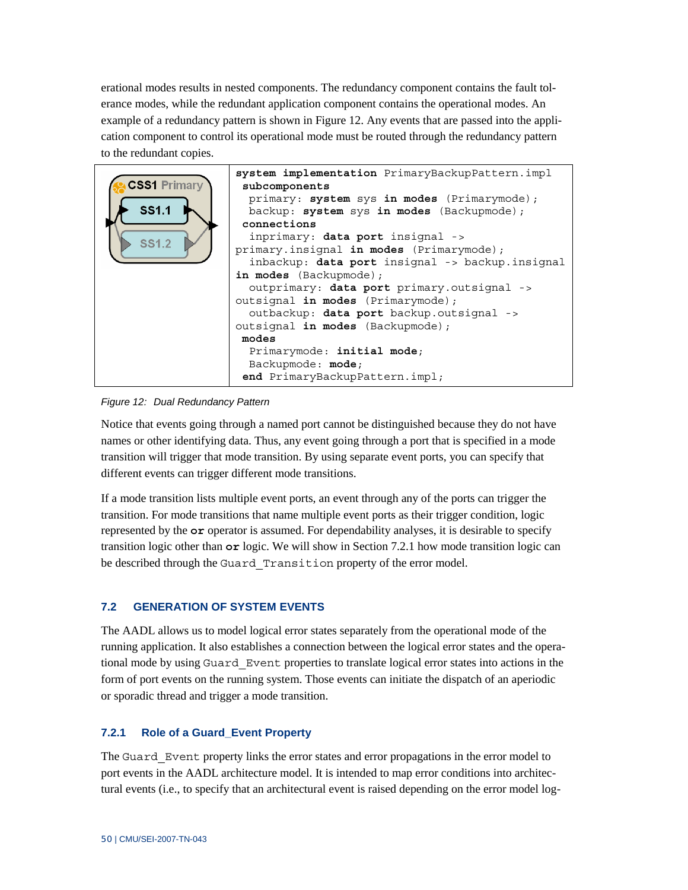erational modes results in nested components. The redundancy component contains the fault tolerance modes, while the redundant application component contains the operational modes. An example of a redundancy pattern is shown in Figure 12. Any events that are passed into the application component to control its operational mode must be routed through the redundancy pattern to the redundant copies.



*Figure 12: Dual Redundancy Pattern* 

Notice that events going through a named port cannot be distinguished because they do not have names or other identifying data. Thus, any event going through a port that is specified in a mode transition will trigger that mode transition. By using separate event ports, you can specify that different events can trigger different mode transitions.

If a mode transition lists multiple event ports, an event through any of the ports can trigger the transition. For mode transitions that name multiple event ports as their trigger condition, logic represented by the **or** operator is assumed. For dependability analyses, it is desirable to specify transition logic other than **or** logic. We will show in Section 7.2.1 how mode transition logic can be described through the Guard\_Transition property of the error model.

# **7.2 GENERATION OF SYSTEM EVENTS**

The AADL allows us to model logical error states separately from the operational mode of the running application. It also establishes a connection between the logical error states and the operational mode by using Guard\_Event properties to translate logical error states into actions in the form of port events on the running system. Those events can initiate the dispatch of an aperiodic or sporadic thread and trigger a mode transition.

# **7.2.1 Role of a Guard\_Event Property**

The Guard\_Event property links the error states and error propagations in the error model to port events in the AADL architecture model. It is intended to map error conditions into architectural events (i.e., to specify that an architectural event is raised depending on the error model log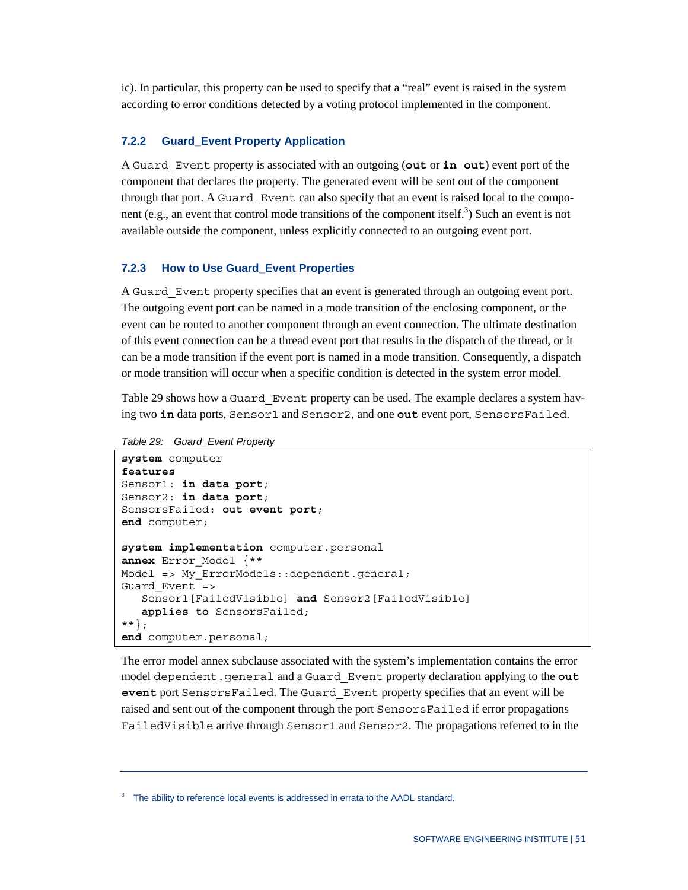ic). In particular, this property can be used to specify that a "real" event is raised in the system according to error conditions detected by a voting protocol implemented in the component.

#### **7.2.2 Guard\_Event Property Application**

A Guard\_Event property is associated with an outgoing (**out** or **in out**) event port of the component that declares the property. The generated event will be sent out of the component through that port. A Guard\_Event can also specify that an event is raised local to the component (e.g., an event that control mode transitions of the component itself.<sup>3</sup>) Such an event is not available outside the component, unless explicitly connected to an outgoing event port.

#### **7.2.3 How to Use Guard\_Event Properties**

A Guard\_Event property specifies that an event is generated through an outgoing event port. The outgoing event port can be named in a mode transition of the enclosing component, or the event can be routed to another component through an event connection. The ultimate destination of this event connection can be a thread event port that results in the dispatch of the thread, or it can be a mode transition if the event port is named in a mode transition. Consequently, a dispatch or mode transition will occur when a specific condition is detected in the system error model.

Table 29 shows how a Guard\_Event property can be used. The example declares a system having two **in** data ports, Sensor1 and Sensor2, and one **out** event port, SensorsFailed.

```
Table 29: Guard_Event Property
```

```
system computer 
features 
Sensor1: in data port; 
Sensor2: in data port; 
SensorsFailed: out event port; 
end computer; 
system implementation computer.personal 
annex Error Model \{**\}Model => My ErrorModels::dependent.general;
Guard Event = >
    Sensor1[FailedVisible] and Sensor2[FailedVisible] 
   applies to SensorsFailed; 
**}; 
end computer.personal;
```
The error model annex subclause associated with the system's implementation contains the error model dependent.general and a Guard\_Event property declaration applying to the **out event** port SensorsFailed. The Guard\_Event property specifies that an event will be raised and sent out of the component through the port SensorsFailed if error propagations FailedVisible arrive through Sensor1 and Sensor2. The propagations referred to in the

 $3$  The ability to reference local events is addressed in errata to the AADL standard.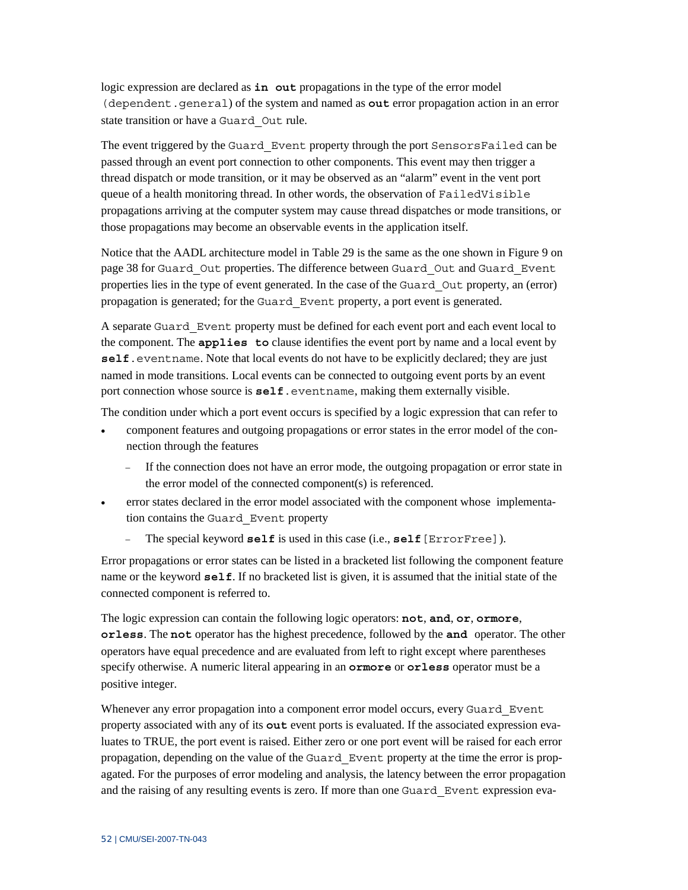logic expression are declared as **in out** propagations in the type of the error model (dependent.general) of the system and named as **out** error propagation action in an error state transition or have a Guard\_Out rule.

The event triggered by the Guard\_Event property through the port SensorsFailed can be passed through an event port connection to other components. This event may then trigger a thread dispatch or mode transition, or it may be observed as an "alarm" event in the vent port queue of a health monitoring thread. In other words, the observation of FailedVisible propagations arriving at the computer system may cause thread dispatches or mode transitions, or those propagations may become an observable events in the application itself.

Notice that the AADL architecture model in Table 29 is the same as the one shown in Figure 9 on page 38 for Guard Out properties. The difference between Guard Out and Guard Event properties lies in the type of event generated. In the case of the Guard\_Out property, an (error) propagation is generated; for the Guard\_Event property, a port event is generated.

A separate Guard\_Event property must be defined for each event port and each event local to the component. The **applies to** clause identifies the event port by name and a local event by **self**. eventname. Note that local events do not have to be explicitly declared; they are just named in mode transitions. Local events can be connected to outgoing event ports by an event port connection whose source is **self**.eventname, making them externally visible.

The condition under which a port event occurs is specified by a logic expression that can refer to

- component features and outgoing propagations or error states in the error model of the connection through the features
	- If the connection does not have an error mode, the outgoing propagation or error state in the error model of the connected component(s) is referenced.
- error states declared in the error model associated with the component whose implementation contains the Guard\_Event property
	- − The special keyword **self** is used in this case (i.e., **self**[ErrorFree]).

Error propagations or error states can be listed in a bracketed list following the component feature name or the keyword **self**. If no bracketed list is given, it is assumed that the initial state of the connected component is referred to.

The logic expression can contain the following logic operators: **not**, **and**, **or**, **ormore**, **orless**. The **not** operator has the highest precedence, followed by the **and** operator. The other operators have equal precedence and are evaluated from left to right except where parentheses specify otherwise. A numeric literal appearing in an **ormore** or **orless** operator must be a positive integer.

Whenever any error propagation into a component error model occurs, every Guard Event property associated with any of its **out** event ports is evaluated. If the associated expression evaluates to TRUE, the port event is raised. Either zero or one port event will be raised for each error propagation, depending on the value of the Guard\_Event property at the time the error is propagated. For the purposes of error modeling and analysis, the latency between the error propagation and the raising of any resulting events is zero. If more than one Guard\_Event expression eva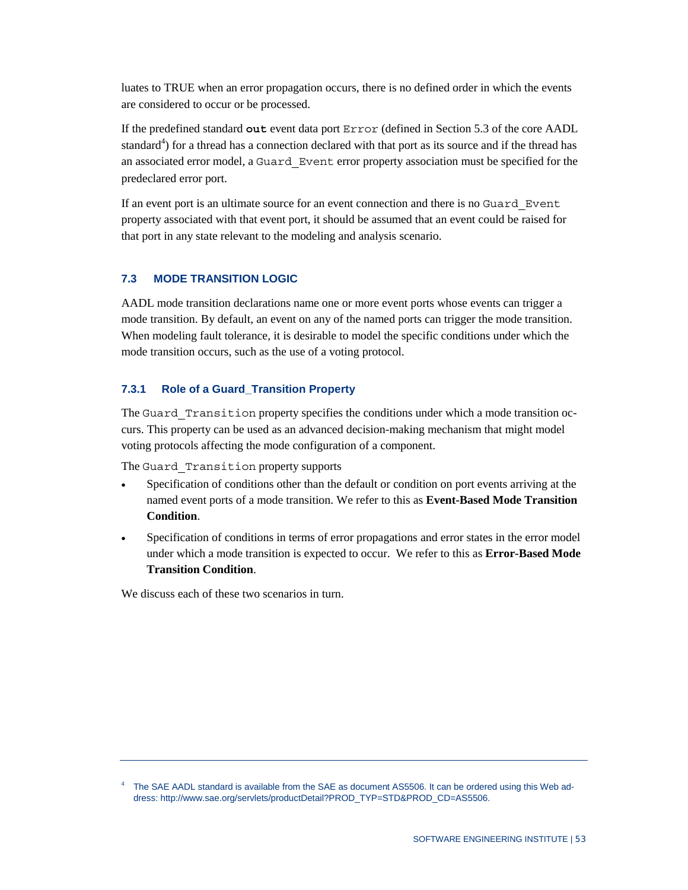luates to TRUE when an error propagation occurs, there is no defined order in which the events are considered to occur or be processed.

If the predefined standard **out** event data port Error (defined in Section 5.3 of the core AADL standard<sup>4</sup>) for a thread has a connection declared with that port as its source and if the thread has an associated error model, a Guard\_Event error property association must be specified for the predeclared error port.

If an event port is an ultimate source for an event connection and there is no Guard Event property associated with that event port, it should be assumed that an event could be raised for that port in any state relevant to the modeling and analysis scenario.

# **7.3 MODE TRANSITION LOGIC**

AADL mode transition declarations name one or more event ports whose events can trigger a mode transition. By default, an event on any of the named ports can trigger the mode transition. When modeling fault tolerance, it is desirable to model the specific conditions under which the mode transition occurs, such as the use of a voting protocol.

# **7.3.1 Role of a Guard\_Transition Property**

The Guard Transition property specifies the conditions under which a mode transition occurs. This property can be used as an advanced decision-making mechanism that might model voting protocols affecting the mode configuration of a component.

The Guard\_Transition property supports

- Specification of conditions other than the default or condition on port events arriving at the named event ports of a mode transition. We refer to this as **Event-Based Mode Transition Condition**.
- Specification of conditions in terms of error propagations and error states in the error model under which a mode transition is expected to occur. We refer to this as **Error-Based Mode Transition Condition**.

We discuss each of these two scenarios in turn.

<sup>&</sup>lt;sup>4</sup> The SAE AADL standard is available from the SAE as document AS5506. It can be ordered using this Web address: [http://www.sae.org/servlets/productDetail?PROD\\_TYP=STD&PROD\\_CD=AS5506.](http://www.sae.org/servlets/productDetail?PROD_TYP=STD&PROD_CD=AS5506)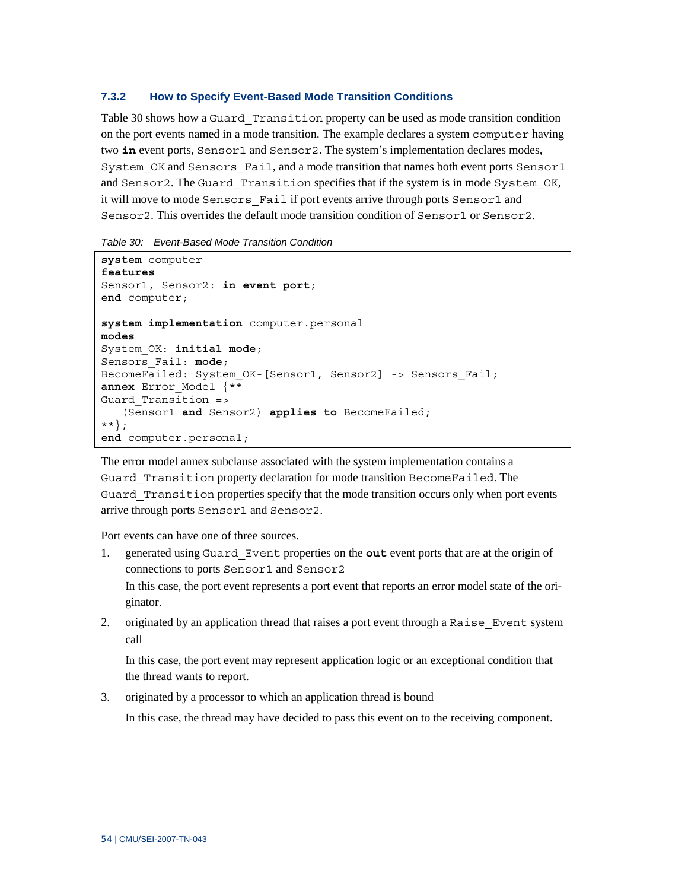## **7.3.2 How to Specify Event-Based Mode Transition Conditions**

Table 30 shows how a Guard\_Transition property can be used as mode transition condition on the port events named in a mode transition. The example declares a system computer having two **in** event ports, Sensor1 and Sensor2. The system's implementation declares modes, System\_OK and Sensors\_Fail, and a mode transition that names both event ports Sensor1 and Sensor2. The Guard\_Transition specifies that if the system is in mode System\_OK*,*  it will move to mode Sensors\_Fail if port events arrive through ports Sensor1 and Sensor2. This overrides the default mode transition condition of Sensor1 or Sensor2.

*Table 30: Event-Based Mode Transition Condition* 

```
system computer 
features 
Sensor1, Sensor2: in event port; 
end computer; 
system implementation computer.personal 
modes 
System_OK: initial mode; 
Sensors_Fail: mode; 
BecomeFailed: System OK-[Sensor1, Sensor2] -> Sensors Fail;
annex Error Model \{**Guard Transition =>
    (Sensor1 and Sensor2) applies to BecomeFailed; 
**}; 
end computer.personal;
```
The error model annex subclause associated with the system implementation contains a Guard\_Transition property declaration for mode transition BecomeFailed. The Guard\_Transition properties specify that the mode transition occurs only when port events arrive through ports Sensor1 and Sensor2.

Port events can have one of three sources.

1. generated using Guard\_Event properties on the **out** event ports that are at the origin of connections to ports Sensor1 and Sensor2 In this case, the port event represents a port event that reports an error model state of the ori-

ginator.

2. originated by an application thread that raises a port event through a Raise\_Event system call

In this case, the port event may represent application logic or an exceptional condition that the thread wants to report.

3. originated by a processor to which an application thread is bound

In this case, the thread may have decided to pass this event on to the receiving component.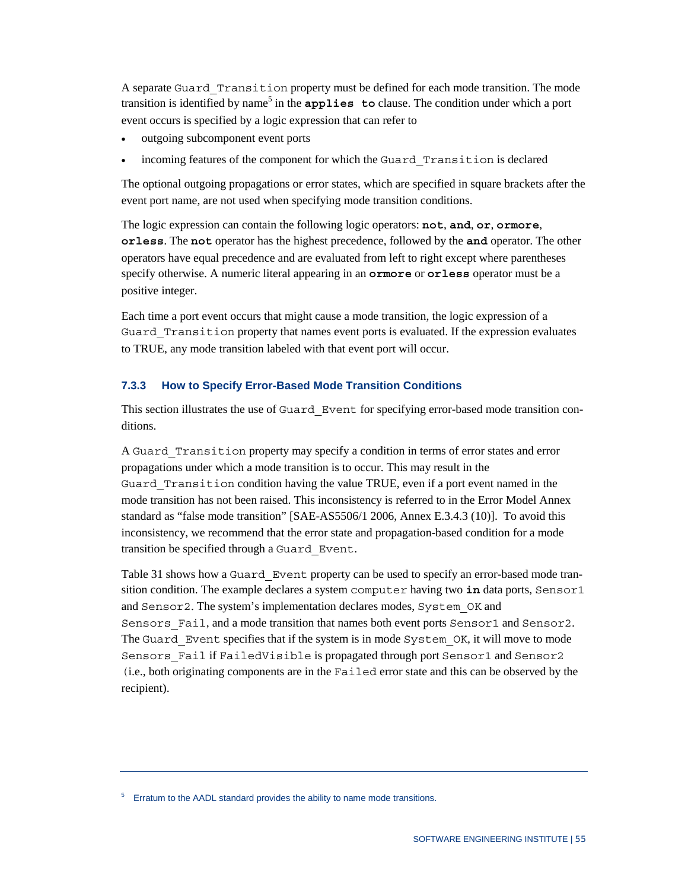A separate Guard\_Transition property must be defined for each mode transition. The mode transition is identified by name<sup>5</sup> in the **applies to** clause. The condition under which a port event occurs is specified by a logic expression that can refer to

- outgoing subcomponent event ports
- incoming features of the component for which the Guard Transition is declared

The optional outgoing propagations or error states, which are specified in square brackets after the event port name, are not used when specifying mode transition conditions.

The logic expression can contain the following logic operators: **not**, **and**, **or**, **ormore**, **orless**. The **not** operator has the highest precedence, followed by the **and** operator. The other operators have equal precedence and are evaluated from left to right except where parentheses specify otherwise. A numeric literal appearing in an **ormore** or **orless** operator must be a positive integer.

Each time a port event occurs that might cause a mode transition, the logic expression of a Guard Transition property that names event ports is evaluated. If the expression evaluates to TRUE, any mode transition labeled with that event port will occur.

# **7.3.3 How to Specify Error-Based Mode Transition Conditions**

This section illustrates the use of Guard\_Event for specifying error-based mode transition conditions.

A Guard\_Transition property may specify a condition in terms of error states and error propagations under which a mode transition is to occur. This may result in the Guard\_Transition condition having the value TRUE, even if a port event named in the mode transition has not been raised. This inconsistency is referred to in the Error Model Annex standard as "false mode transition" [SAE-AS5506/1 2006, Annex E.3.4.3 (10)]. To avoid this inconsistency, we recommend that the error state and propagation-based condition for a mode transition be specified through a Guard\_Event.

Table 31 shows how a Guard\_Event property can be used to specify an error-based mode transition condition. The example declares a system computer having two **in** data ports, Sensor1 and Sensor2. The system's implementation declares modes, System\_OK and Sensors Fail, and a mode transition that names both event ports Sensor1 and Sensor2. The Guard\_Event specifies that if the system is in mode System\_OK*,* it will move to mode Sensors Fail if FailedVisible is propagated through port Sensor1 and Sensor2 (i.e., both originating components are in the Failed error state and this can be observed by the recipient).

 $5$  Erratum to the AADL standard provides the ability to name mode transitions.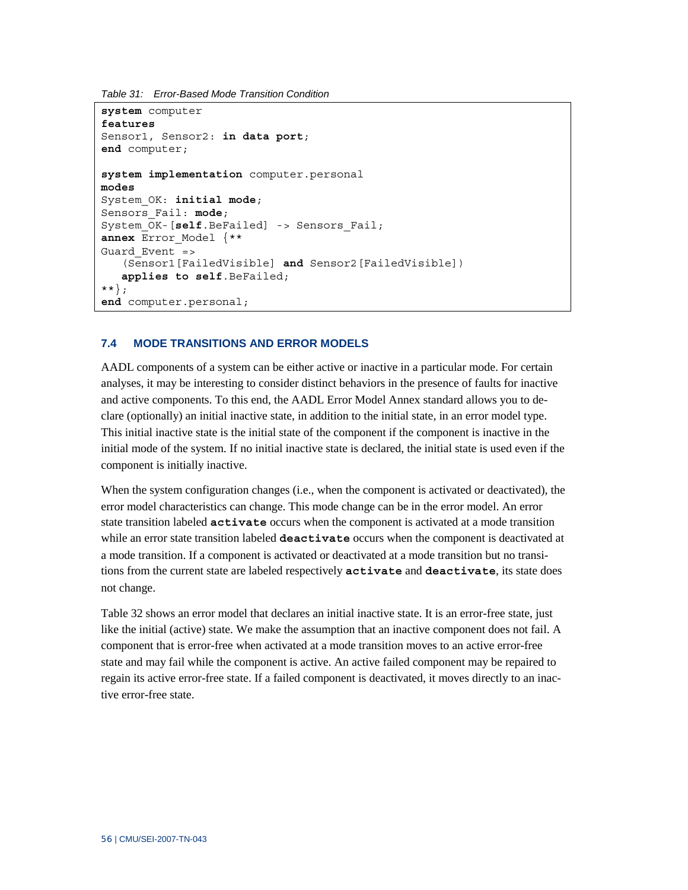*Table 31: Error-Based Mode Transition Condition* 

```
system computer 
features 
Sensor1, Sensor2: in data port; 
end computer; 
system implementation computer.personal 
modes 
System_OK: initial mode; 
Sensors_Fail: mode; 
System OK-[self.BeFailed] -> Sensors Fail;
annex Error_Model {** 
Guard Event =>
    (Sensor1[FailedVisible] and Sensor2[FailedVisible]) 
   applies to self.BeFailed; 
**}; 
end computer.personal;
```
## **7.4 MODE TRANSITIONS AND ERROR MODELS**

AADL components of a system can be either active or inactive in a particular mode. For certain analyses, it may be interesting to consider distinct behaviors in the presence of faults for inactive and active components. To this end, the AADL Error Model Annex standard allows you to declare (optionally) an initial inactive state, in addition to the initial state, in an error model type. This initial inactive state is the initial state of the component if the component is inactive in the initial mode of the system. If no initial inactive state is declared, the initial state is used even if the component is initially inactive.

When the system configuration changes (i.e., when the component is activated or deactivated), the error model characteristics can change. This mode change can be in the error model. An error state transition labeled **activate** occurs when the component is activated at a mode transition while an error state transition labeled **deactivate** occurs when the component is deactivated at a mode transition. If a component is activated or deactivated at a mode transition but no transitions from the current state are labeled respectively **activate** and **deactivate**, its state does not change.

Table 32 shows an error model that declares an initial inactive state. It is an error-free state, just like the initial (active) state. We make the assumption that an inactive component does not fail. A component that is error-free when activated at a mode transition moves to an active error-free state and may fail while the component is active. An active failed component may be repaired to regain its active error-free state. If a failed component is deactivated, it moves directly to an inactive error-free state.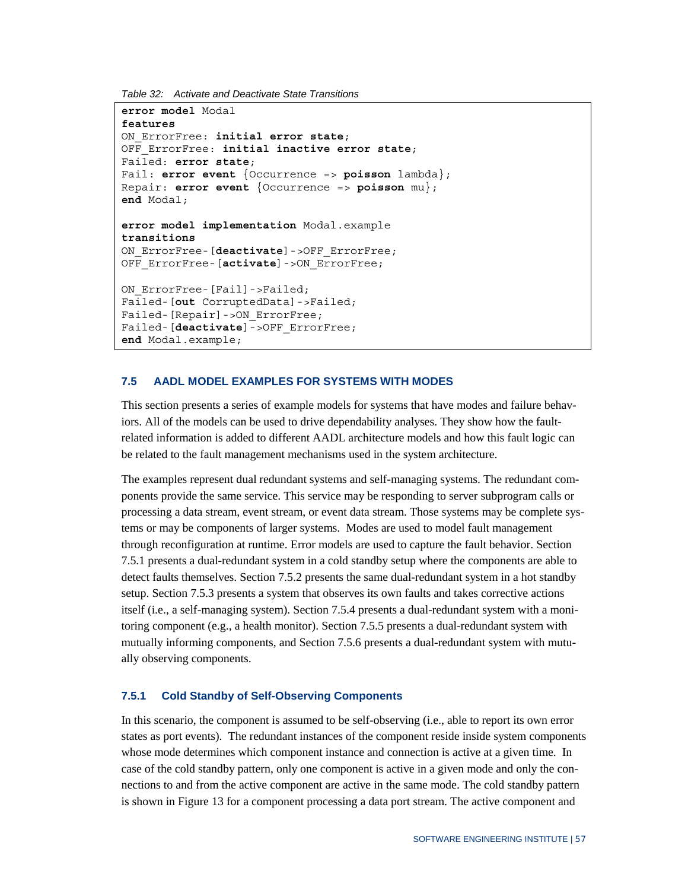*Table 32: Activate and Deactivate State Transitions* 

```
error model Modal 
features
ON_ErrorFree: initial error state; 
OFF ErrorFree: initial inactive error state;
Failed: error state; 
Fail: error event {Occurrence => poisson lambda}; 
Repair: error event {Occurrence => poisson mu}; 
end Modal; 
error model implementation Modal.example 
transitions
ON_ErrorFree-[deactivate]->OFF_ErrorFree; 
OFF_ErrorFree-[activate]->ON_ErrorFree; 
ON ErrorFree-[Fail]->Failed;
Failed-[out CorruptedData]->Failed; 
Failed-[Repair]->ON_ErrorFree; 
Failed-[deactivate]->OFF_ErrorFree; 
end Modal.example;
```
#### **7.5 AADL MODEL EXAMPLES FOR SYSTEMS WITH MODES**

This section presents a series of example models for systems that have modes and failure behaviors. All of the models can be used to drive dependability analyses. They show how the faultrelated information is added to different AADL architecture models and how this fault logic can be related to the fault management mechanisms used in the system architecture.

The examples represent dual redundant systems and self-managing systems. The redundant components provide the same service. This service may be responding to server subprogram calls or processing a data stream, event stream, or event data stream. Those systems may be complete systems or may be components of larger systems. Modes are used to model fault management through reconfiguration at runtime. Error models are used to capture the fault behavior. Section 7.5.1 presents a dual-redundant system in a cold standby setup where the components are able to detect faults themselves. Section 7.5.2 presents the same dual-redundant system in a hot standby setup. Section 7.5.3 presents a system that observes its own faults and takes corrective actions itself (i.e., a self-managing system). Section 7.5.4 presents a dual-redundant system with a monitoring component (e.g., a health monitor). Section 7.5.5 presents a dual-redundant system with mutually informing components, and Section 7.5.6 presents a dual-redundant system with mutually observing components.

## **7.5.1 Cold Standby of Self-Observing Components**

In this scenario, the component is assumed to be self-observing (i.e., able to report its own error states as port events). The redundant instances of the component reside inside system components whose mode determines which component instance and connection is active at a given time. In case of the cold standby pattern, only one component is active in a given mode and only the connections to and from the active component are active in the same mode. The cold standby pattern is shown in Figure 13 for a component processing a data port stream. The active component and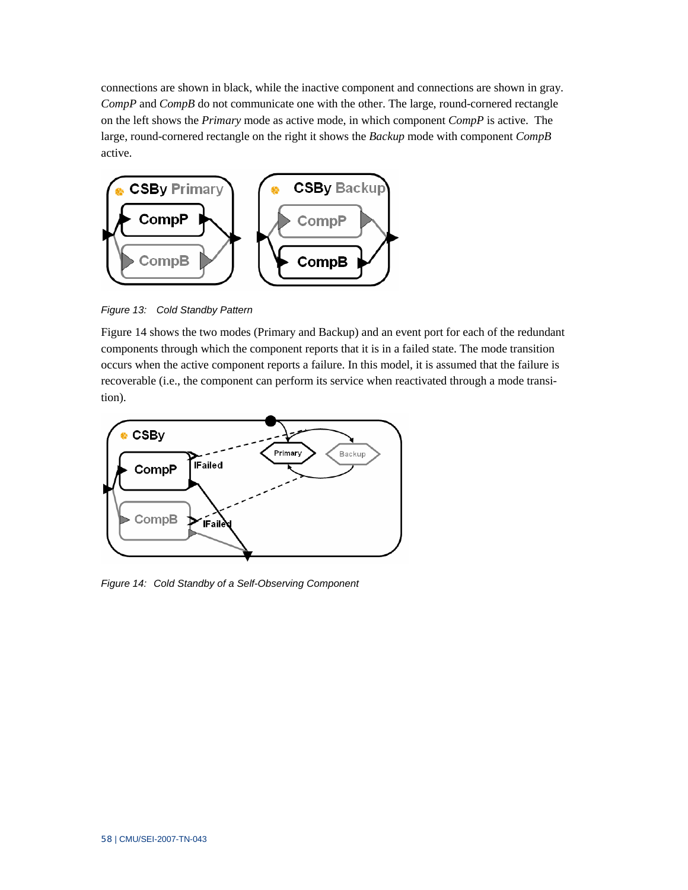connections are shown in black, while the inactive component and connections are shown in gray. *CompP* and *CompB* do not communicate one with the other. The large, round-cornered rectangle on the left shows the *Primary* mode as active mode, in which component *CompP* is active. The large, round-cornered rectangle on the right it shows the *Backup* mode with component *CompB* active.



*Figure 13: Cold Standby Pattern* 

Figure 14 shows the two modes (Primary and Backup) and an event port for each of the redundant components through which the component reports that it is in a failed state. The mode transition occurs when the active component reports a failure. In this model, it is assumed that the failure is recoverable (i.e., the component can perform its service when reactivated through a mode transition).



*Figure 14: Cold Standby of a Self-Observing Component*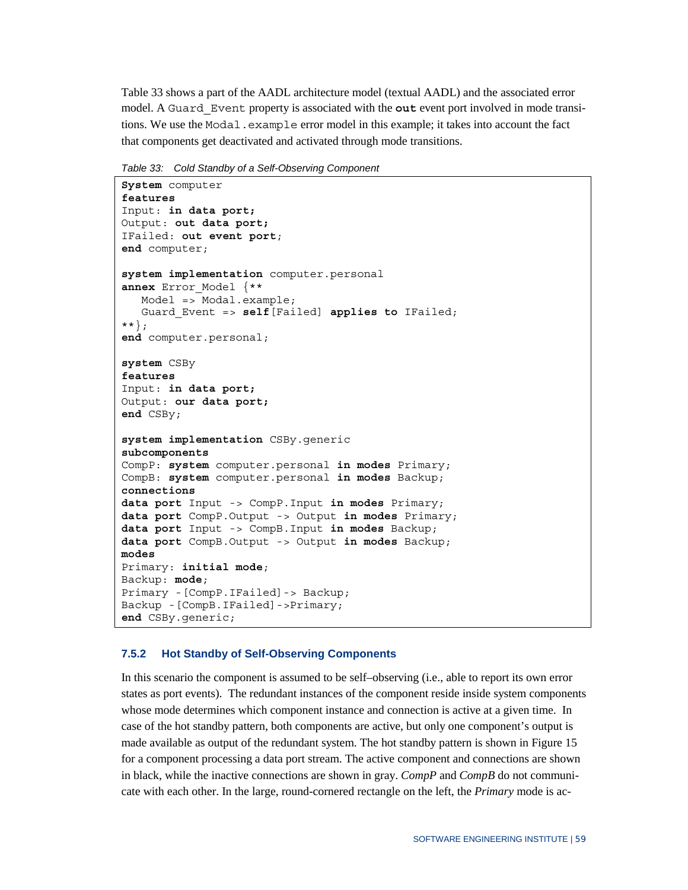Table 33 shows a part of the AADL architecture model (textual AADL) and the associated error model. A Guard\_Event property is associated with the **out** event port involved in mode transitions. We use the Modal.example error model in this example; it takes into account the fact that components get deactivated and activated through mode transitions.

*Table 33: Cold Standby of a Self-Observing Component* 

```
System computer 
features 
Input: in data port; 
Output: out data port;
IFailed: out event port; 
end computer; 
system implementation computer.personal 
annex Error Model {**
    Model => Modal.example; 
    Guard_Event => self[Failed] applies to IFailed; 
**}; 
end computer.personal; 
system CSBy 
features 
Input: in data port;
Output: our data port;
end CSBy; 
system implementation CSBy.generic 
subcomponents 
CompP: system computer.personal in modes Primary; 
CompB: system computer.personal in modes Backup; 
connections 
data port Input -> CompP.Input in modes Primary; 
data port CompP.Output -> Output in modes Primary; 
data port Input -> CompB.Input in modes Backup; 
data port CompB.Output -> Output in modes Backup; 
modes 
Primary: initial mode; 
Backup: mode; 
Primary -[CompP.IFailed]-> Backup; 
Backup -[CompB.IFailed]->Primary; 
end CSBy.generic;
```
#### **7.5.2 Hot Standby of Self-Observing Components**

In this scenario the component is assumed to be self–observing (i.e., able to report its own error states as port events). The redundant instances of the component reside inside system components whose mode determines which component instance and connection is active at a given time. In case of the hot standby pattern, both components are active, but only one component's output is made available as output of the redundant system. The hot standby pattern is shown in Figure 15 for a component processing a data port stream. The active component and connections are shown in black, while the inactive connections are shown in gray. *CompP* and *CompB* do not communicate with each other. In the large, round-cornered rectangle on the left, the *Primary* mode is ac-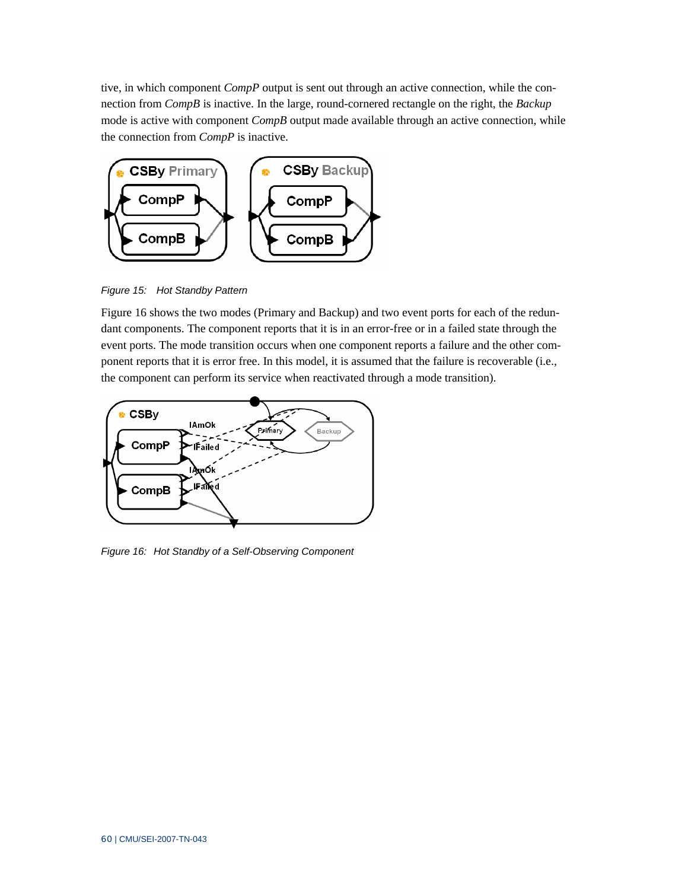tive, in which component *CompP* output is sent out through an active connection, while the connection from *CompB* is inactive. In the large, round-cornered rectangle on the right, the *Backup* mode is active with component *CompB* output made available through an active connection, while the connection from *CompP* is inactive.



*Figure 15: Hot Standby Pattern* 

Figure 16 shows the two modes (Primary and Backup) and two event ports for each of the redundant components. The component reports that it is in an error-free or in a failed state through the event ports. The mode transition occurs when one component reports a failure and the other component reports that it is error free. In this model, it is assumed that the failure is recoverable (i.e., the component can perform its service when reactivated through a mode transition).



*Figure 16: Hot Standby of a Self-Observing Component*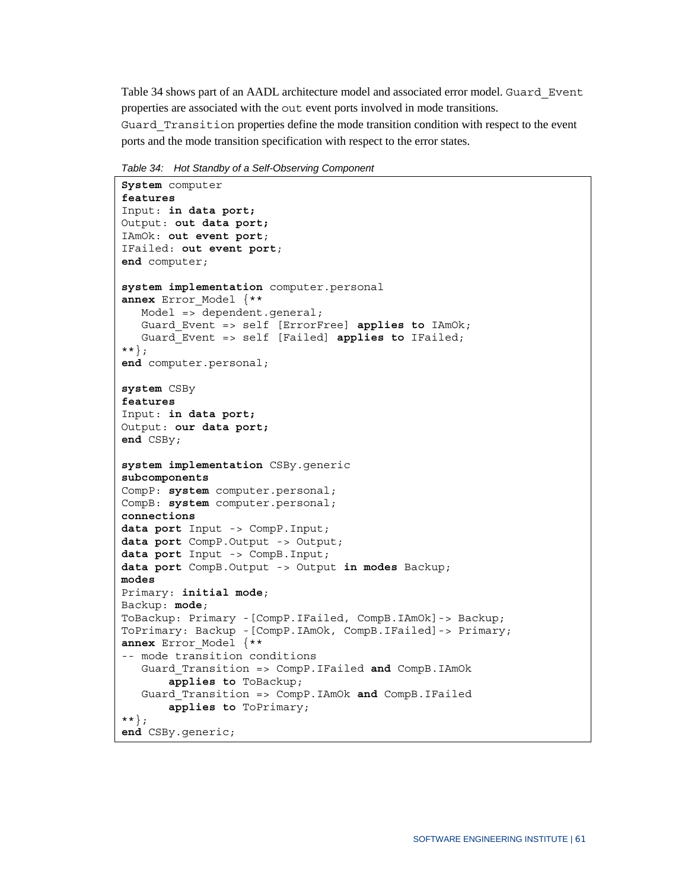Table 34 shows part of an AADL architecture model and associated error model. Guard Event properties are associated with the out event ports involved in mode transitions. Guard\_Transition properties define the mode transition condition with respect to the event ports and the mode transition specification with respect to the error states.

*Table 34: Hot Standby of a Self-Observing Component* 

```
System computer 
features 
Input: in data port; 
Output: out data port;
IAmOk: out event port; 
IFailed: out event port; 
end computer; 
system implementation computer.personal 
annex Error Model \{**\} Model => dependent.general; 
    Guard_Event => self [ErrorFree] applies to IAmOk; 
    Guard_Event => self [Failed] applies to IFailed; 
**}; 
end computer.personal; 
system CSBy 
features 
Input: in data port;
Output: our data port;
end CSBy; 
system implementation CSBy.generic 
subcomponents 
CompP: system computer.personal; 
CompB: system computer.personal; 
connections 
data port Input -> CompP.Input; 
data port CompP.Output -> Output; 
data port Input -> CompB.Input; 
data port CompB.Output -> Output in modes Backup; 
modes 
Primary: initial mode; 
Backup: mode; 
ToBackup: Primary -[CompP.IFailed, CompB.IAmOk]-> Backup; 
ToPrimary: Backup -[CompP.IAmOk, CompB.IFailed]-> Primary; 
annex Error_Model {** 
-- mode transition conditions 
    Guard_Transition => CompP.IFailed and CompB.IAmOk 
        applies to ToBackup; 
    Guard_Transition => CompP.IAmOk and CompB.IFailed 
        applies to ToPrimary; 
**}; 
end CSBy.generic;
```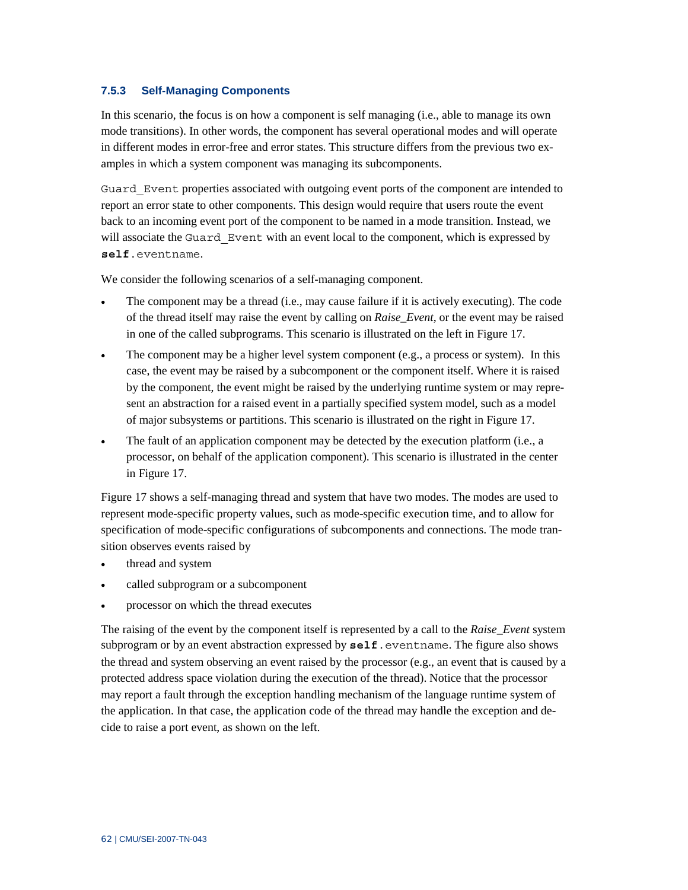# **7.5.3 Self-Managing Components**

In this scenario, the focus is on how a component is self managing (i.e., able to manage its own mode transitions). In other words, the component has several operational modes and will operate in different modes in error-free and error states. This structure differs from the previous two examples in which a system component was managing its subcomponents.

Guard\_Event properties associated with outgoing event ports of the component are intended to report an error state to other components. This design would require that users route the event back to an incoming event port of the component to be named in a mode transition. Instead, we will associate the Guard Event with an event local to the component, which is expressed by **self**.eventname.

We consider the following scenarios of a self-managing component.

- The component may be a thread (i.e., may cause failure if it is actively executing). The code of the thread itself may raise the event by calling on *Raise\_Event*, or the event may be raised in one of the called subprograms. This scenario is illustrated on the left in Figure 17.
- The component may be a higher level system component (e.g., a process or system). In this case, the event may be raised by a subcomponent or the component itself. Where it is raised by the component, the event might be raised by the underlying runtime system or may represent an abstraction for a raised event in a partially specified system model, such as a model of major subsystems or partitions. This scenario is illustrated on the right in Figure 17.
- The fault of an application component may be detected by the execution platform (i.e., a processor, on behalf of the application component). This scenario is illustrated in the center in Figure 17.

Figure 17 shows a self-managing thread and system that have two modes. The modes are used to represent mode-specific property values, such as mode-specific execution time, and to allow for specification of mode-specific configurations of subcomponents and connections. The mode transition observes events raised by

- thread and system
- called subprogram or a subcomponent
- processor on which the thread executes

The raising of the event by the component itself is represented by a call to the *Raise\_Event* system subprogram or by an event abstraction expressed by  $\texttt{self}$ . eventname. The figure also shows the thread and system observing an event raised by the processor (e.g., an event that is caused by a protected address space violation during the execution of the thread). Notice that the processor may report a fault through the exception handling mechanism of the language runtime system of the application. In that case, the application code of the thread may handle the exception and decide to raise a port event, as shown on the left.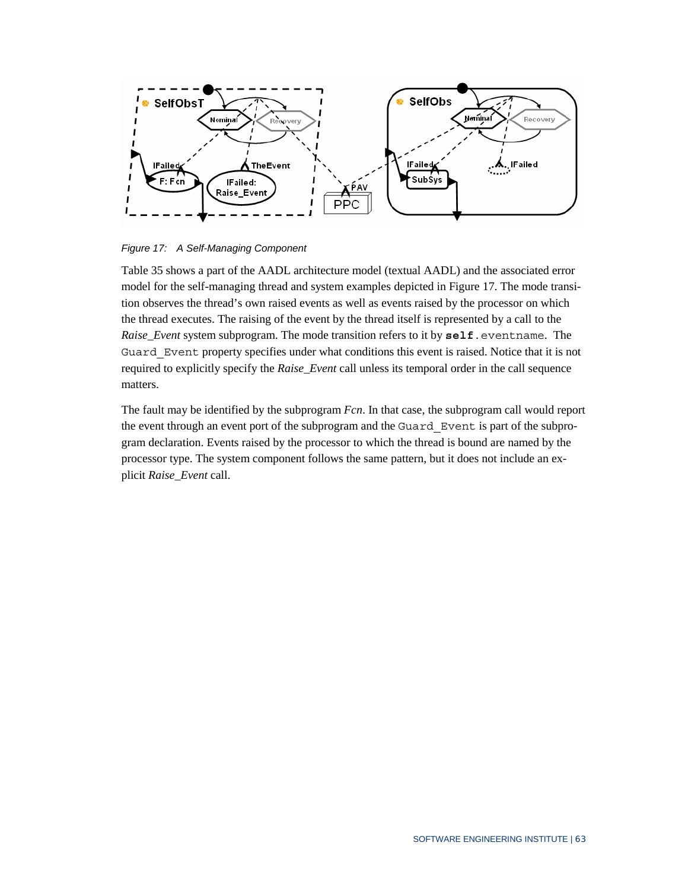

*Figure 17: A Self-Managing Component* 

Table 35 shows a part of the AADL architecture model (textual AADL) and the associated error model for the self-managing thread and system examples depicted in Figure 17. The mode transition observes the thread's own raised events as well as events raised by the processor on which the thread executes. The raising of the event by the thread itself is represented by a call to the *Raise Event* system subprogram. The mode transition refers to it by **self**. eventname. The Guard\_Event property specifies under what conditions this event is raised. Notice that it is not required to explicitly specify the *Raise\_Event* call unless its temporal order in the call sequence matters.

The fault may be identified by the subprogram *Fcn*. In that case, the subprogram call would report the event through an event port of the subprogram and the Guard\_Event is part of the subprogram declaration. Events raised by the processor to which the thread is bound are named by the processor type. The system component follows the same pattern, but it does not include an explicit *Raise\_Event* call.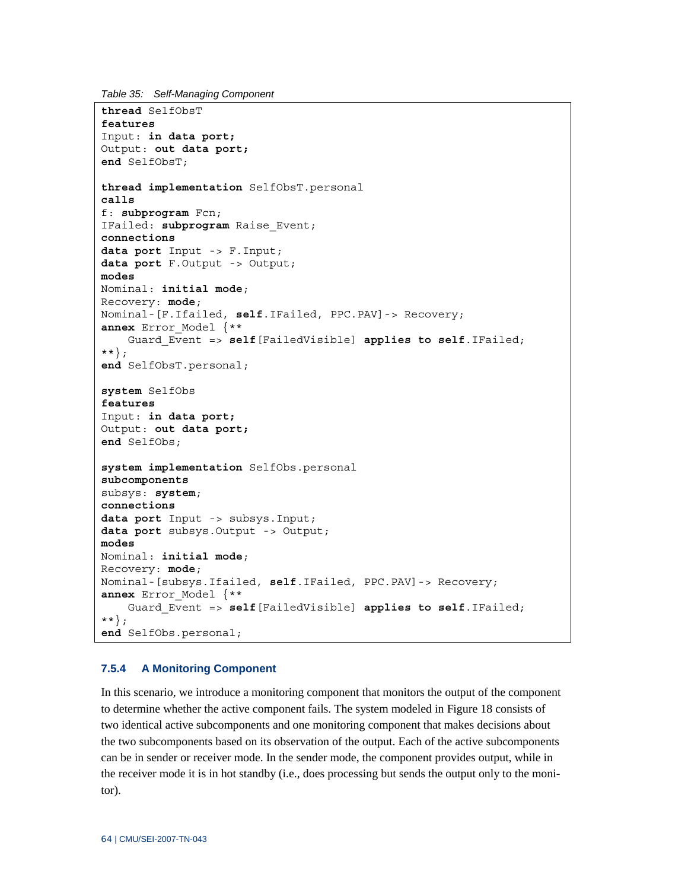*Table 35: Self-Managing Component* 

```
thread SelfObsT 
features 
Input: in data port; 
Output: out data port;
end SelfObsT; 
thread implementation SelfObsT.personal 
calls 
f: subprogram Fcn; 
IFailed: subprogram Raise_Event; 
connections 
data port Input -> F.Input; 
data port F.Output -> Output; 
modes 
Nominal: initial mode; 
Recovery: mode; 
Nominal-[F.Ifailed, self.IFailed, PPC.PAV]-> Recovery; 
annex Error_Model {** 
     Guard_Event => self[FailedVisible] applies to self.IFailed; 
**}; 
end SelfObsT.personal; 
system SelfObs 
features 
Input: in data port; 
Output: out data port;
end SelfObs; 
system implementation SelfObs.personal 
subcomponents 
subsys: system; 
connections 
data port Input -> subsys.Input; 
data port subsys.Output -> Output; 
modes 
Nominal: initial mode; 
Recovery: mode; 
Nominal-[subsys.Ifailed, self.IFailed, PPC.PAV]-> Recovery; 
annex Error Model \{** Guard_Event => self[FailedVisible] applies to self.IFailed; 
**}; 
end SelfObs.personal;
```
#### **7.5.4 A Monitoring Component**

In this scenario, we introduce a monitoring component that monitors the output of the component to determine whether the active component fails. The system modeled in Figure 18 consists of two identical active subcomponents and one monitoring component that makes decisions about the two subcomponents based on its observation of the output. Each of the active subcomponents can be in sender or receiver mode. In the sender mode, the component provides output, while in the receiver mode it is in hot standby (i.e., does processing but sends the output only to the monitor).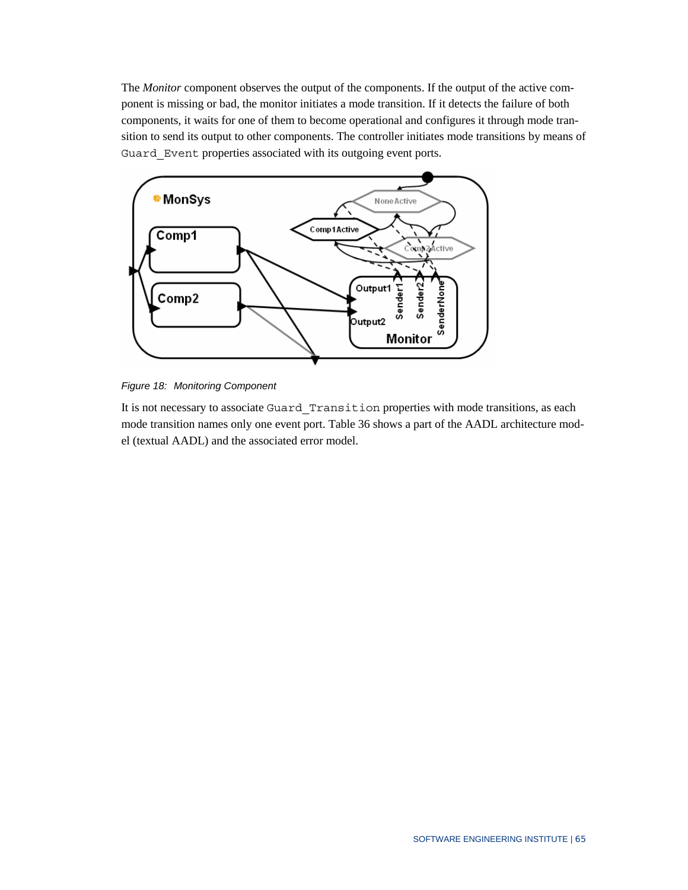The *Monitor* component observes the output of the components. If the output of the active component is missing or bad, the monitor initiates a mode transition. If it detects the failure of both components, it waits for one of them to become operational and configures it through mode transition to send its output to other components. The controller initiates mode transitions by means of Guard\_Event properties associated with its outgoing event ports.



*Figure 18: Monitoring Component* 

It is not necessary to associate Guard Transition properties with mode transitions, as each mode transition names only one event port. Table 36 shows a part of the AADL architecture model (textual AADL) and the associated error model.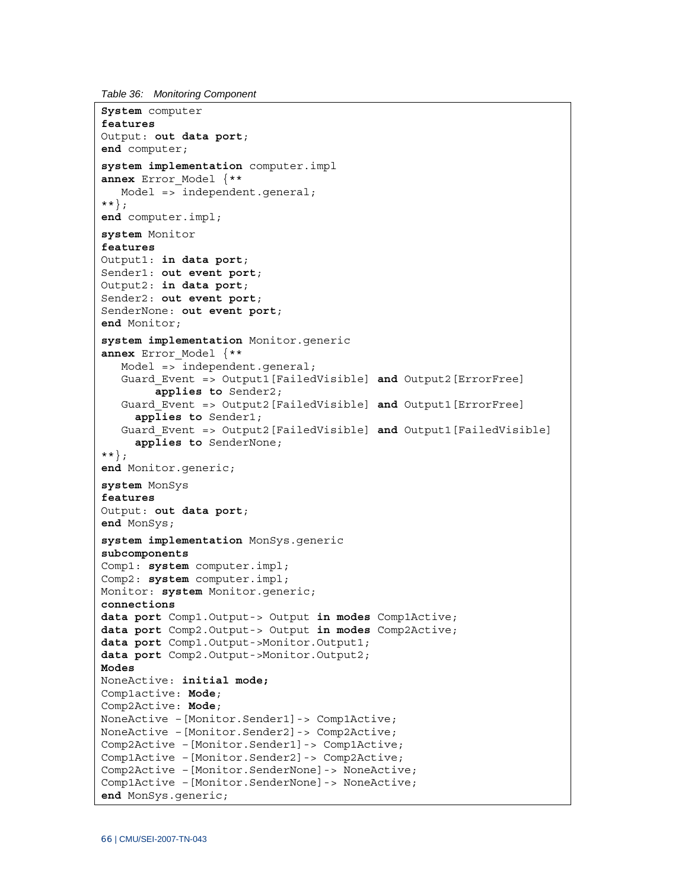*Table 36: Monitoring Component* 

```
System computer 
features 
Output: out data port; 
end computer; 
system implementation computer.impl 
annex Error Model \{** Model => independent.general; 
**}; 
end computer.impl; 
system Monitor 
features 
Output1: in data port; 
Sender1: out event port; 
Output2: in data port; 
Sender2: out event port; 
SenderNone: out event port; 
end Monitor; 
system implementation Monitor.generic 
annex Error Model \{**Model => independent.general;
    Guard_Event => Output1[FailedVisible] and Output2[ErrorFree] 
         applies to Sender2; 
    Guard_Event => Output2[FailedVisible] and Output1[ErrorFree]
      applies to Sender1; 
    Guard_Event => Output2[FailedVisible] and Output1[FailedVisible]
      applies to SenderNone; 
**}; 
end Monitor.generic; 
system MonSys 
features
Output: out data port; 
end MonSys; 
system implementation MonSys.generic 
subcomponents 
Comp1: system computer.impl; 
Comp2: system computer.impl; 
Monitor: system Monitor.generic; 
connections 
data port Comp1.Output-> Output in modes Comp1Active; 
data port Comp2.Output-> Output in modes Comp2Active; 
data port Comp1.Output->Monitor.Output1; 
data port Comp2.Output->Monitor.Output2; 
Modes
NoneActive: initial mode;
Comp1active: Mode; 
Comp2Active: Mode; 
NoneActive –[Monitor.Sender1]-> Comp1Active; 
NoneActive –[Monitor.Sender2]-> Comp2Active; 
Comp2Active –[Monitor.Sender1]-> Comp1Active; 
Comp1Active –[Monitor.Sender2]-> Comp2Active; 
Comp2Active –[Monitor.SenderNone]-> NoneActive; 
Comp1Active –[Monitor.SenderNone]-> NoneActive; 
end MonSys.generic;
```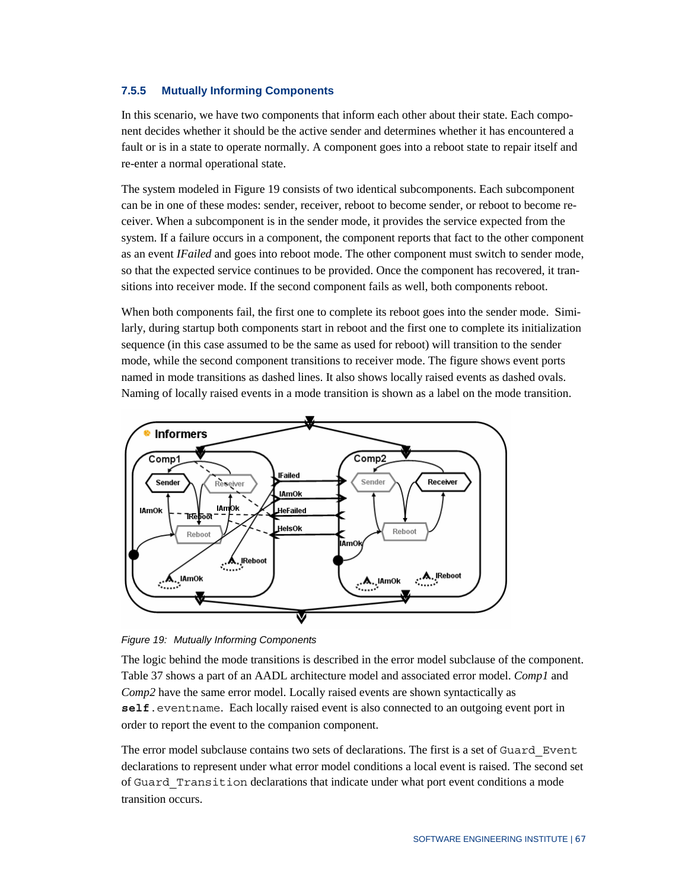#### **7.5.5 Mutually Informing Components**

In this scenario, we have two components that inform each other about their state. Each component decides whether it should be the active sender and determines whether it has encountered a fault or is in a state to operate normally. A component goes into a reboot state to repair itself and re-enter a normal operational state.

The system modeled in Figure 19 consists of two identical subcomponents. Each subcomponent can be in one of these modes: sender, receiver, reboot to become sender, or reboot to become receiver. When a subcomponent is in the sender mode, it provides the service expected from the system. If a failure occurs in a component, the component reports that fact to the other component as an event *IFailed* and goes into reboot mode. The other component must switch to sender mode, so that the expected service continues to be provided. Once the component has recovered, it transitions into receiver mode. If the second component fails as well, both components reboot.

When both components fail, the first one to complete its reboot goes into the sender mode. Similarly, during startup both components start in reboot and the first one to complete its initialization sequence (in this case assumed to be the same as used for reboot) will transition to the sender mode, while the second component transitions to receiver mode. The figure shows event ports named in mode transitions as dashed lines. It also shows locally raised events as dashed ovals. Naming of locally raised events in a mode transition is shown as a label on the mode transition.



*Figure 19: Mutually Informing Components* 

The logic behind the mode transitions is described in the error model subclause of the component. Table 37 shows a part of an AADL architecture model and associated error model. *Comp1* and *Comp2* have the same error model. Locally raised events are shown syntactically as **self**. eventname. Each locally raised event is also connected to an outgoing event port in order to report the event to the companion component.

The error model subclause contains two sets of declarations. The first is a set of Guard Event declarations to represent under what error model conditions a local event is raised. The second set of Guard\_Transition declarations that indicate under what port event conditions a mode transition occurs.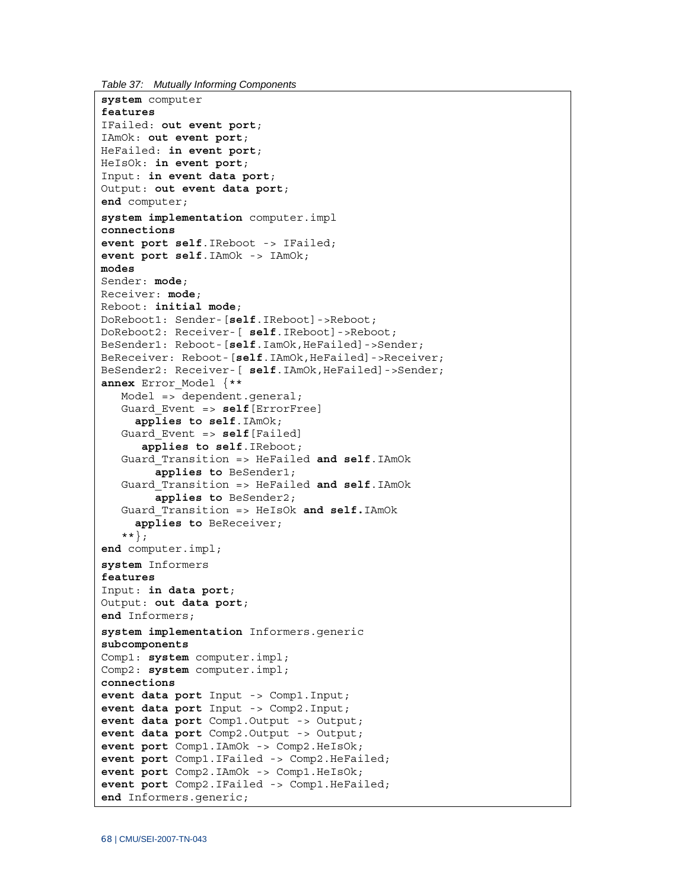```
Table 37: Mutually Informing Components
```

```
system computer 
features 
IFailed: out event port; 
IAmOk: out event port; 
HeFailed: in event port; 
HeIsOk: in event port; 
Input: in event data port; 
Output: out event data port; 
end computer; 
system implementation computer.impl 
connections 
event port self.IReboot -> IFailed; 
event port self.IAmOk -> IAmOk; 
modes 
Sender: mode; 
Receiver: mode; 
Reboot: initial mode; 
DoReboot1: Sender-[self.IReboot]->Reboot; 
DoReboot2: Receiver-[ self.IReboot]->Reboot; 
BeSender1: Reboot-[self.IamOk, HeFailed]->Sender;
BeReceiver: Reboot-[self.IAmOk, HeFailed]->Receiver;
BeSender2: Receiver-[ self.IAmOk, HeFailed]->Sender;
annex Error_Model {** 
    Model => dependent.general; 
    Guard_Event => self[ErrorFree]
      applies to self.IAmOk; 
   Guard Event => self[Failed]
       applies to self.IReboot; 
    Guard_Transition => HeFailed and self.IAmOk 
         applies to BeSender1; 
    Guard_Transition => HeFailed and self.IAmOk 
         applies to BeSender2; 
    Guard_Transition => HeIsOk and self.IAmOk
      applies to BeReceiver; 
    **}; 
end computer.impl; 
system Informers 
features 
Input: in data port; 
Output: out data port; 
end Informers; 
system implementation Informers.generic 
subcomponents 
Comp1: system computer.impl; 
Comp2: system computer.impl; 
connections 
event data port Input -> Comp1.Input;
event data port Input -> Comp2.Input;
event data port Comp1.Output -> Output;
event data port Comp2.Output -> Output; 
event port Comp1.IAmOk -> Comp2.HeIsOk; 
event port Comp1.IFailed -> Comp2.HeFailed; 
event port Comp2.IAmOk -> Comp1.HeIsOk; 
event port Comp2.IFailed -> Comp1.HeFailed; 
end Informers.generic;
```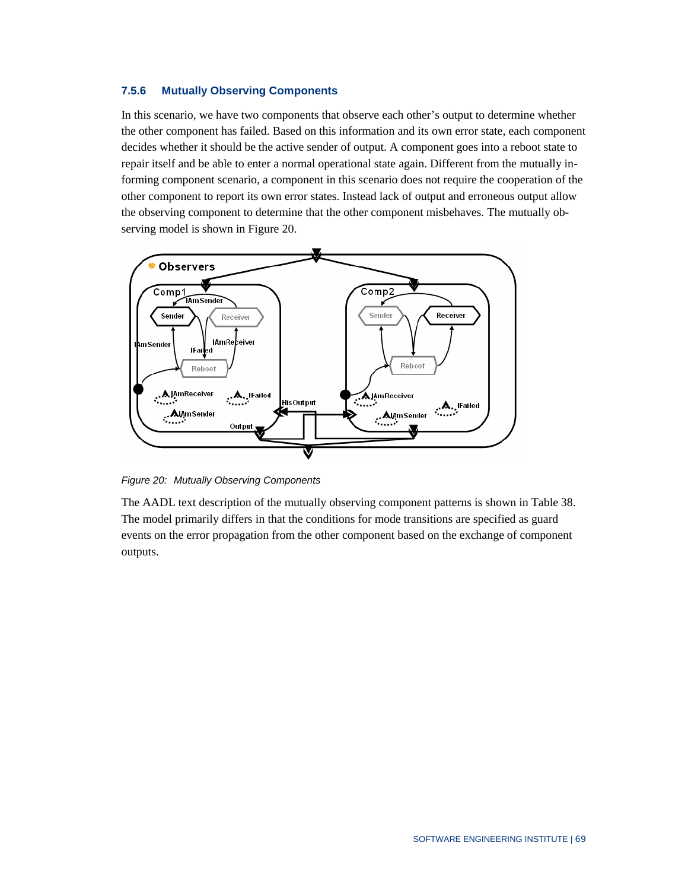#### **7.5.6 Mutually Observing Components**

In this scenario, we have two components that observe each other's output to determine whether the other component has failed. Based on this information and its own error state, each component decides whether it should be the active sender of output. A component goes into a reboot state to repair itself and be able to enter a normal operational state again. Different from the mutually informing component scenario, a component in this scenario does not require the cooperation of the other component to report its own error states. Instead lack of output and erroneous output allow the observing component to determine that the other component misbehaves. The mutually observing model is shown in Figure 20.



*Figure 20: Mutually Observing Components* 

The AADL text description of the mutually observing component patterns is shown in Table 38. The model primarily differs in that the conditions for mode transitions are specified as guard events on the error propagation from the other component based on the exchange of component outputs.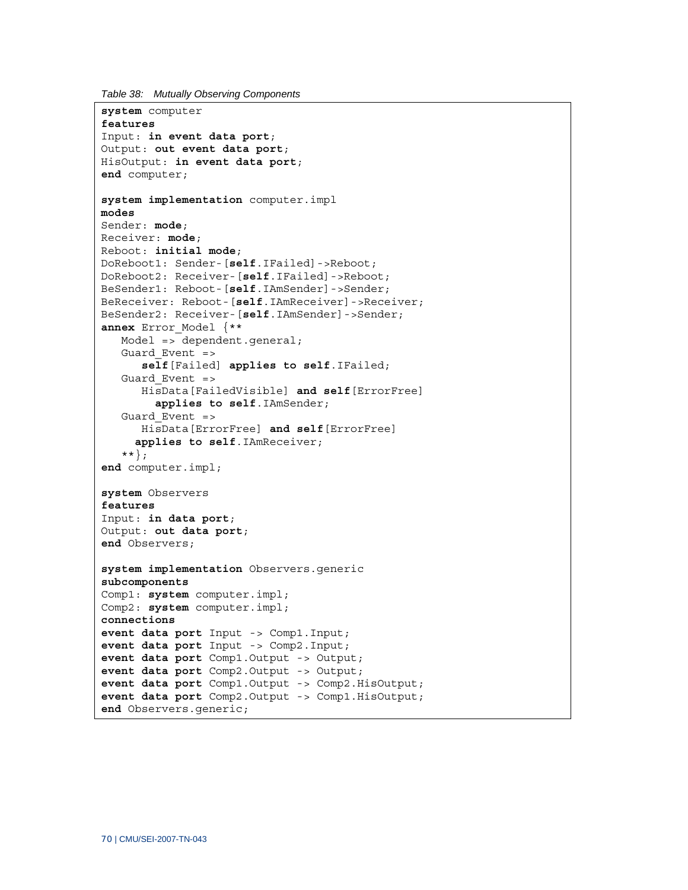*Table 38: Mutually Observing Components* 

```
system computer 
features 
Input: in event data port; 
Output: out event data port; 
HisOutput: in event data port; 
end computer; 
system implementation computer.impl 
modes 
Sender: mode; 
Receiver: mode; 
Reboot: initial mode; 
DoReboot1: Sender-[self.IFailed]->Reboot; 
DoReboot2: Receiver-[self.IFailed]->Reboot; 
BeSender1: Reboot-[self.IAmSender]->Sender; 
BeReceiver: Reboot-[self.IAmReceiver]->Receiver; 
BeSender2: Receiver-[self.IAmSender]->Sender; 
annex Error_Model {** 
    Model => dependent.general; 
   Guard Event =>
       self[Failed] applies to self.IFailed; 
   Guard Event =>
       HisData[FailedVisible] and self[ErrorFree] 
         applies to self.IAmSender; 
   Guard Event =>
       HisData[ErrorFree] and self[ErrorFree]
      applies to self.IAmReceiver; 
    **}; 
end computer.impl; 
system Observers 
features 
Input: in data port; 
Output: out data port; 
end Observers; 
system implementation Observers.generic 
subcomponents 
Comp1: system computer.impl; 
Comp2: system computer.impl; 
connections 
event data port Input -> Comp1.Input;
event data port Input -> Comp2.Input;
event data port Comp1.Output -> Output;
event data port Comp2.Output -> Output; 
event data port Comp1.Output -> Comp2.HisOutput; 
event data port Comp2.Output -> Comp1.HisOutput; 
end Observers.generic;
```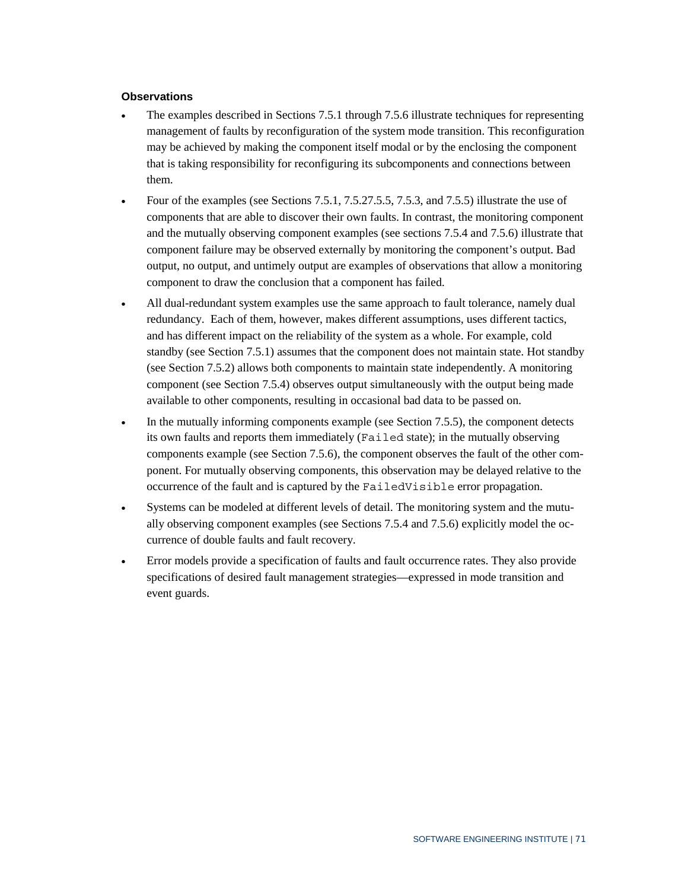#### **Observations**

- The examples described in Sections 7.5.1 through 7.5.6 illustrate techniques for representing management of faults by reconfiguration of the system mode transition. This reconfiguration may be achieved by making the component itself modal or by the enclosing the component that is taking responsibility for reconfiguring its subcomponents and connections between them.
- Four of the examples (see Sections  $7.5.1$ ,  $7.5.27.5.5$ ,  $7.5.3$ , and  $7.5.5$ ) illustrate the use of components that are able to discover their own faults. In contrast, the monitoring component and the mutually observing component examples (see sections 7.5.4 and 7.5.6) illustrate that component failure may be observed externally by monitoring the component's output. Bad output, no output, and untimely output are examples of observations that allow a monitoring component to draw the conclusion that a component has failed.
- All dual-redundant system examples use the same approach to fault tolerance, namely dual redundancy. Each of them, however, makes different assumptions, uses different tactics, and has different impact on the reliability of the system as a whole. For example, cold standby (see Section 7.5.1) assumes that the component does not maintain state. Hot standby (see Section 7.5.2) allows both components to maintain state independently. A monitoring component (see Section 7.5.4) observes output simultaneously with the output being made available to other components, resulting in occasional bad data to be passed on.
- In the mutually informing components example (see Section 7.5.5), the component detects its own faults and reports them immediately (Failed state); in the mutually observing components example (see Section 7.5.6), the component observes the fault of the other component. For mutually observing components, this observation may be delayed relative to the occurrence of the fault and is captured by the FailedVisible error propagation.
- Systems can be modeled at different levels of detail. The monitoring system and the mutually observing component examples (see Sections 7.5.4 and 7.5.6) explicitly model the occurrence of double faults and fault recovery.
- Error models provide a specification of faults and fault occurrence rates. They also provide specifications of desired fault management strategies—expressed in mode transition and event guards.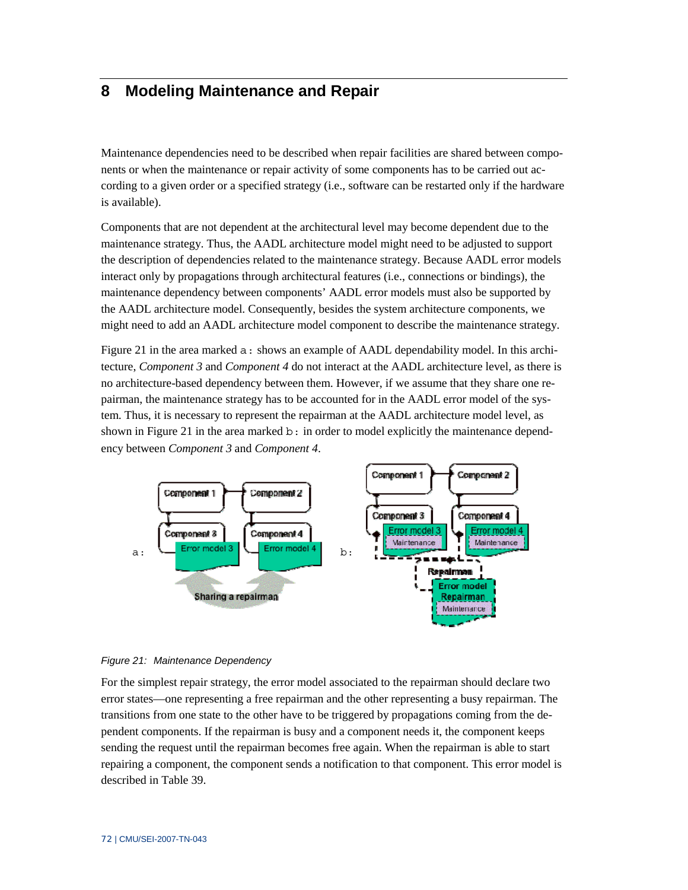## **8 Modeling Maintenance and Repair**

Maintenance dependencies need to be described when repair facilities are shared between components or when the maintenance or repair activity of some components has to be carried out according to a given order or a specified strategy (i.e., software can be restarted only if the hardware is available).

Components that are not dependent at the architectural level may become dependent due to the maintenance strategy. Thus, the AADL architecture model might need to be adjusted to support the description of dependencies related to the maintenance strategy. Because AADL error models interact only by propagations through architectural features (i.e., connections or bindings), the maintenance dependency between components' AADL error models must also be supported by the AADL architecture model. Consequently, besides the system architecture components, we might need to add an AADL architecture model component to describe the maintenance strategy.

Figure 21 in the area marked  $a:$  shows an example of AADL dependability model. In this architecture, *Component 3* and *Component 4* do not interact at the AADL architecture level, as there is no architecture-based dependency between them. However, if we assume that they share one repairman, the maintenance strategy has to be accounted for in the AADL error model of the system. Thus, it is necessary to represent the repairman at the AADL architecture model level, as shown in Figure 21 in the area marked  $b:$  in order to model explicitly the maintenance dependency between *Component 3* and *Component 4*.





For the simplest repair strategy, the error model associated to the repairman should declare two error states—one representing a free repairman and the other representing a busy repairman. The transitions from one state to the other have to be triggered by propagations coming from the dependent components. If the repairman is busy and a component needs it, the component keeps sending the request until the repairman becomes free again. When the repairman is able to start repairing a component, the component sends a notification to that component. This error model is described in Table 39.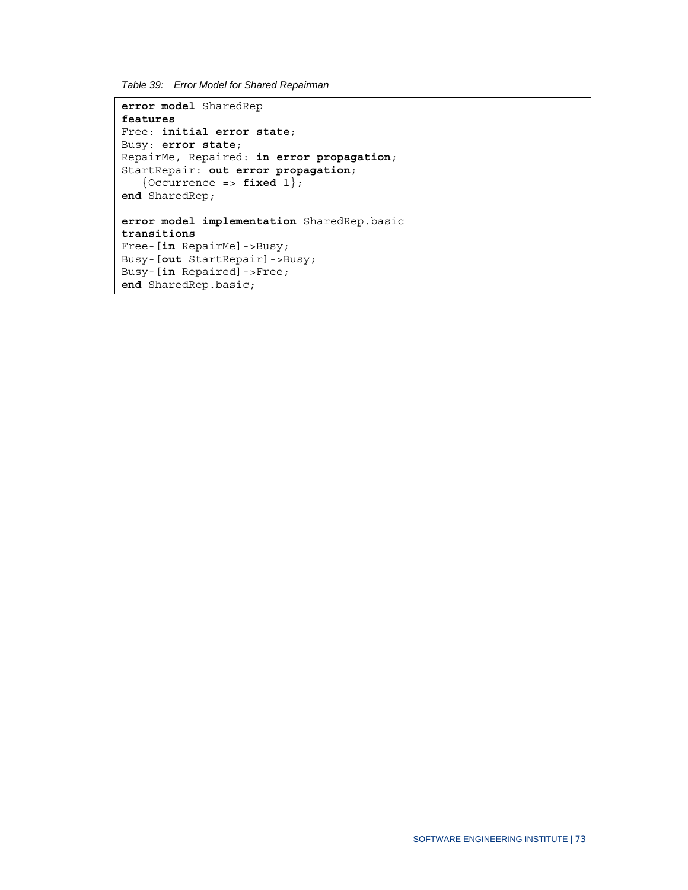*Table 39: Error Model for Shared Repairman* 

```
error model SharedRep 
features
Free: initial error state; 
Busy: error state; 
RepairMe, Repaired: in error propagation; 
StartRepair: out error propagation; 
   {Occurrence \Rightarrow fixed 1};end SharedRep; 
error model implementation SharedRep.basic 
transitions
Free-[in RepairMe]->Busy; 
Busy-[out StartRepair]->Busy; 
Busy-[in Repaired]->Free; 
end SharedRep.basic;
```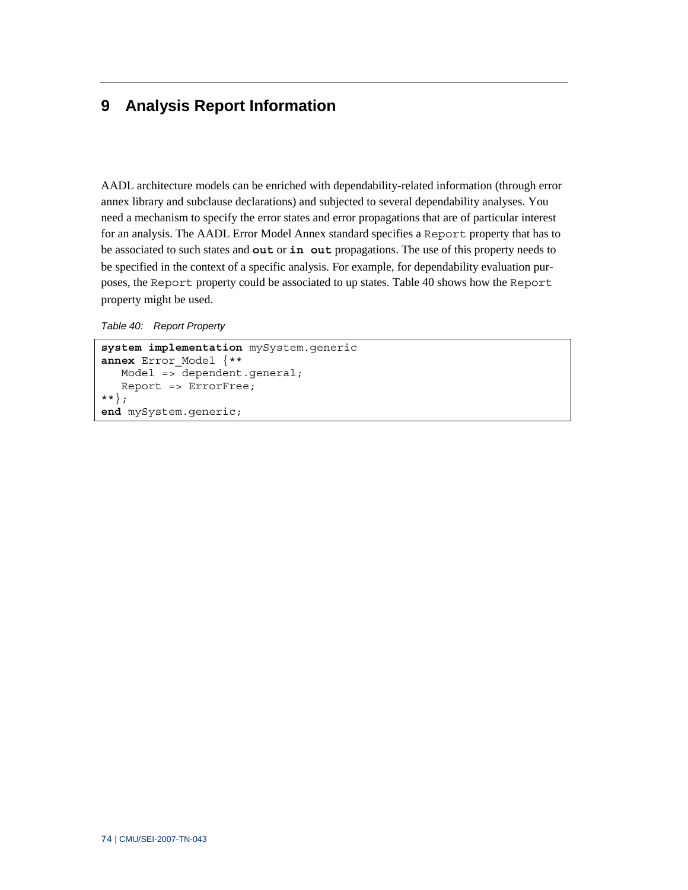## **9 Analysis Report Information**

AADL architecture models can be enriched with dependability-related information (through error annex library and subclause declarations) and subjected to several dependability analyses. You need a mechanism to specify the error states and error propagations that are of particular interest for an analysis. The AADL Error Model Annex standard specifies a Report property that has to be associated to such states and **out** or **in out** propagations. The use of this property needs to be specified in the context of a specific analysis. For example, for dependability evaluation purposes, the Report property could be associated to up states. Table 40 shows how the Report property might be used.

*Table 40: Report Property* 

```
system implementation mySystem.generic 
annex Error Model \{**Model => dependent.general;
    Report => ErrorFree; 
**}; 
end mySystem.generic;
```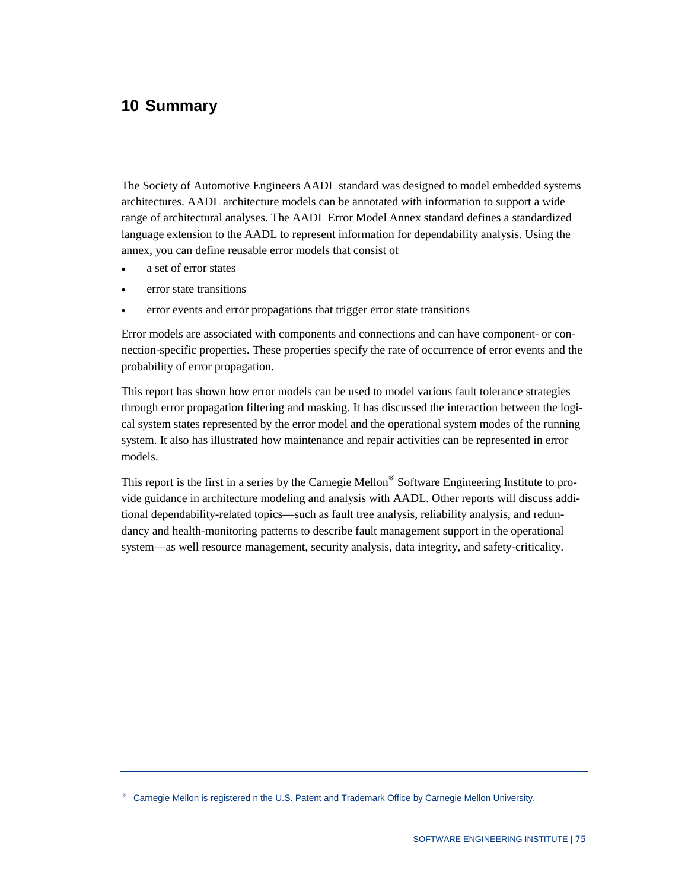## **10 Summary**

The Society of Automotive Engineers AADL standard was designed to model embedded systems architectures. AADL architecture models can be annotated with information to support a wide range of architectural analyses. The AADL Error Model Annex standard defines a standardized language extension to the AADL to represent information for dependability analysis. Using the annex, you can define reusable error models that consist of

- a set of error states
- error state transitions
- error events and error propagations that trigger error state transitions

Error models are associated with components and connections and can have component- or connection-specific properties. These properties specify the rate of occurrence of error events and the probability of error propagation.

This report has shown how error models can be used to model various fault tolerance strategies through error propagation filtering and masking. It has discussed the interaction between the logical system states represented by the error model and the operational system modes of the running system. It also has illustrated how maintenance and repair activities can be represented in error models.

This report is the first in a series by the Carnegie Mellon® Software Engineering Institute to provide guidance in architecture modeling and analysis with AADL. Other reports will discuss additional dependability-related topics—such as fault tree analysis, reliability analysis, and redundancy and health-monitoring patterns to describe fault management support in the operational system—as well resource management, security analysis, data integrity, and safety-criticality.

<sup>®</sup> Carnegie Mellon is registered n the U.S. Patent and Trademark Office by Carnegie Mellon University.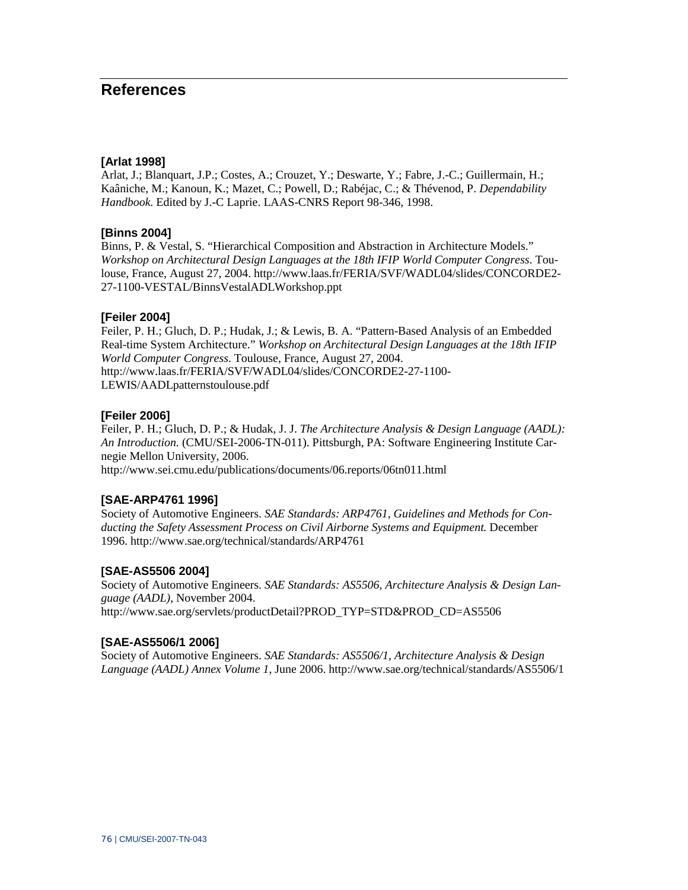### **References**

#### **[Arlat 1998]**

Arlat, J.; Blanquart, J.P.; Costes, A.; Crouzet, Y.; Deswarte, Y.; Fabre, J.-C.; Guillermain, H.; Kaâniche, M.; Kanoun, K.; Mazet, C.; Powell, D.; Rabéjac, C.; & Thévenod, P. *Dependability Handbook*. Edited by J.-C Laprie. LAAS-CNRS Report 98-346, 1998.

#### **[Binns 2004]**

Binns, P. & Vestal, S. "Hierarchical Composition and Abstraction in Architecture Models." *Workshop on Architectural Design Languages at the 18th IFIP World Computer Congress*. Toulouse, France, August 27, 2004. [http://www.laas.fr/FERIA/SVF/WADL04/slides/CONCORDE2-](http://www.laas.fr/FERIA/SVF/WADL04/slides/CONCORDE2-27-1100-VESTAL/BinnsVestalADLWorkshop.ppt) [27-1100-VESTAL/BinnsVestalADLWorkshop.ppt](http://www.laas.fr/FERIA/SVF/WADL04/slides/CONCORDE2-27-1100-VESTAL/BinnsVestalADLWorkshop.ppt) 

#### **[Feiler 2004]**

Feiler, P. H.; Gluch, D. P.; Hudak, J.; & Lewis, B. A. "Pattern-Based Analysis of an Embedded Real-time System Architecture." *Workshop on Architectural Design Languages at the 18th IFIP World Computer Congress*. Toulouse, France, August 27, 2004. [http://www.laas.fr/FERIA/SVF/WADL04/slides/CONCORDE2-27-1100-](http://www.laas.fr/FERIA/SVF/WADL04/slides/CONCORDE2-27-1100-LEWIS/AADLpatternstoulouse.pdf) [LEWIS/AADLpatternstoulouse.pdf](http://www.laas.fr/FERIA/SVF/WADL04/slides/CONCORDE2-27-1100-LEWIS/AADLpatternstoulouse.pdf) 

#### **[Feiler 2006]**

Feiler, P. H.; Gluch, D. P.; & Hudak, J. J. *The Architecture Analysis & Design Language (AADL): An Introduction.* (CMU/SEI-2006-TN-011). Pittsburgh, PA: Software Engineering Institute Carnegie Mellon University, 2006. <http://www.sei.cmu.edu/publications/documents/06.reports/06tn011.html>

# **[SAE-ARP4761 1996]**

Society of Automotive Engineers. *SAE Standards: ARP4761, Guidelines and Methods for Conducting the Safety Assessment Process on Civil Airborne Systems and Equipment.* December 1996.<http://www.sae.org/technical/standards/ARP4761>

#### **[SAE-AS5506 2004]**

Society of Automotive Engineers. *SAE Standards: AS5506, Architecture Analysis & Design Language (AADL)*, November 2004. [http://www.sae.org/servlets/productDetail?PROD\\_TYP=STD&PROD\\_CD=AS5506](http://www.sae.org/servlets/productDetail?PROD_TYP=STD&PROD_CD=AS5506) 

#### **[SAE-AS5506/1 2006]**

Society of Automotive Engineers. *SAE Standards: AS5506/1, Architecture Analysis & Design Language (AADL) Annex Volume 1*, June 2006. <http://www.sae.org/technical/standards/AS5506/1>